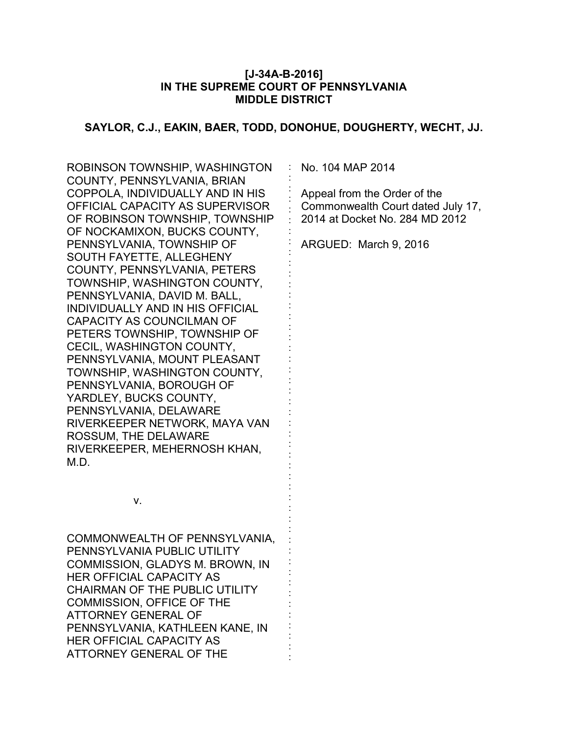#### **[J-34A-B-2016] IN THE SUPREME COURT OF PENNSYLVANIA MIDDLE DISTRICT**

### **SAYLOR, C.J., EAKIN, BAER, TODD, DONOHUE, DOUGHERTY, WECHT, JJ.**

: : : : : : : : : : : : : : : : : : : : : : : : : : : : : : : : : : : : : : : : : : : : : : :

ROBINSON TOWNSHIP, WASHINGTON COUNTY, PENNSYLVANIA, BRIAN COPPOLA, INDIVIDUALLY AND IN HIS OFFICIAL CAPACITY AS SUPERVISOR OF ROBINSON TOWNSHIP, TOWNSHIP OF NOCKAMIXON, BUCKS COUNTY, PENNSYLVANIA, TOWNSHIP OF SOUTH FAYETTE, ALLEGHENY COUNTY, PENNSYLVANIA, PETERS TOWNSHIP, WASHINGTON COUNTY, PENNSYLVANIA, DAVID M. BALL, INDIVIDUALLY AND IN HIS OFFICIAL CAPACITY AS COUNCILMAN OF PETERS TOWNSHIP, TOWNSHIP OF CECIL, WASHINGTON COUNTY, PENNSYLVANIA, MOUNT PLEASANT TOWNSHIP, WASHINGTON COUNTY, PENNSYLVANIA, BOROUGH OF YARDLEY, BUCKS COUNTY, PENNSYLVANIA, DELAWARE RIVERKEEPER NETWORK, MAYA VAN ROSSUM, THE DELAWARE RIVERKEEPER, MEHERNOSH KHAN, M.D.

No. 104 MAP 2014

Appeal from the Order of the Commonwealth Court dated July 17, 2014 at Docket No. 284 MD 2012

ARGUED: March 9, 2016

v.

COMMONWEALTH OF PENNSYLVANIA, PENNSYLVANIA PUBLIC UTILITY COMMISSION, GLADYS M. BROWN, IN HER OFFICIAL CAPACITY AS CHAIRMAN OF THE PUBLIC UTILITY COMMISSION, OFFICE OF THE ATTORNEY GENERAL OF PENNSYLVANIA, KATHLEEN KANE, IN HER OFFICIAL CAPACITY AS ATTORNEY GENERAL OF THE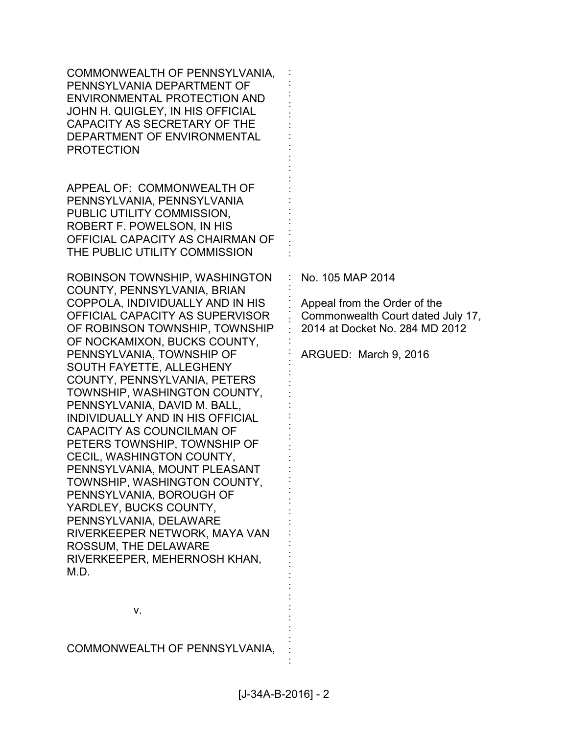| COMMONWEALTH OF PENNSYLVANIA,<br>PENNSYLVANIA DEPARTMENT OF<br><b>ENVIRONMENTAL PROTECTION AND</b><br>JOHN H. QUIGLEY, IN HIS OFFICIAL<br>CAPACITY AS SECRETARY OF THE<br>DEPARTMENT OF ENVIRONMENTAL<br><b>PROTECTION</b>                                                                                                                                                                                                                                                                                                                                                                                                                                                                                                                           |                                                                                                                                                  |
|------------------------------------------------------------------------------------------------------------------------------------------------------------------------------------------------------------------------------------------------------------------------------------------------------------------------------------------------------------------------------------------------------------------------------------------------------------------------------------------------------------------------------------------------------------------------------------------------------------------------------------------------------------------------------------------------------------------------------------------------------|--------------------------------------------------------------------------------------------------------------------------------------------------|
| APPEAL OF: COMMONWEALTH OF<br>PENNSYLVANIA, PENNSYLVANIA<br>PUBLIC UTILITY COMMISSION,<br>ROBERT F. POWELSON, IN HIS<br>OFFICIAL CAPACITY AS CHAIRMAN OF<br>THE PUBLIC UTILITY COMMISSION                                                                                                                                                                                                                                                                                                                                                                                                                                                                                                                                                            |                                                                                                                                                  |
| ROBINSON TOWNSHIP, WASHINGTON<br>COUNTY, PENNSYLVANIA, BRIAN<br>COPPOLA, INDIVIDUALLY AND IN HIS<br>OFFICIAL CAPACITY AS SUPERVISOR<br>OF ROBINSON TOWNSHIP, TOWNSHIP<br>OF NOCKAMIXON, BUCKS COUNTY,<br>PENNSYLVANIA, TOWNSHIP OF<br>SOUTH FAYETTE, ALLEGHENY<br>COUNTY, PENNSYLVANIA, PETERS<br>TOWNSHIP, WASHINGTON COUNTY,<br>PENNSYLVANIA, DAVID M. BALL,<br>INDIVIDUALLY AND IN HIS OFFICIAL<br><b>CAPACITY AS COUNCILMAN OF</b><br>PETERS TOWNSHIP, TOWNSHIP OF<br>CECIL, WASHINGTON COUNTY,<br>PENNSYLVANIA, MOUNT PLEASANT<br>TOWNSHIP, WASHINGTON COUNTY,<br>PENNSYLVANIA, BOROUGH OF<br>YARDLEY, BUCKS COUNTY,<br>PENNSYLVANIA, DELAWARE<br>RIVERKEEPER NETWORK, MAYA VAN<br>ROSSUM, THE DELAWARE<br>RIVERKEEPER, MEHERNOSH KHAN,<br>M.D. | No. 105 MAP 2014<br>Appeal from the Order of the<br>Commonwealth Court dated July 17,<br>2014 at Docket No. 284 MD 2012<br>ARGUED: March 9, 2016 |
| v.                                                                                                                                                                                                                                                                                                                                                                                                                                                                                                                                                                                                                                                                                                                                                   |                                                                                                                                                  |
| COMMONWEALTH OF PENNSYLVANIA,                                                                                                                                                                                                                                                                                                                                                                                                                                                                                                                                                                                                                                                                                                                        |                                                                                                                                                  |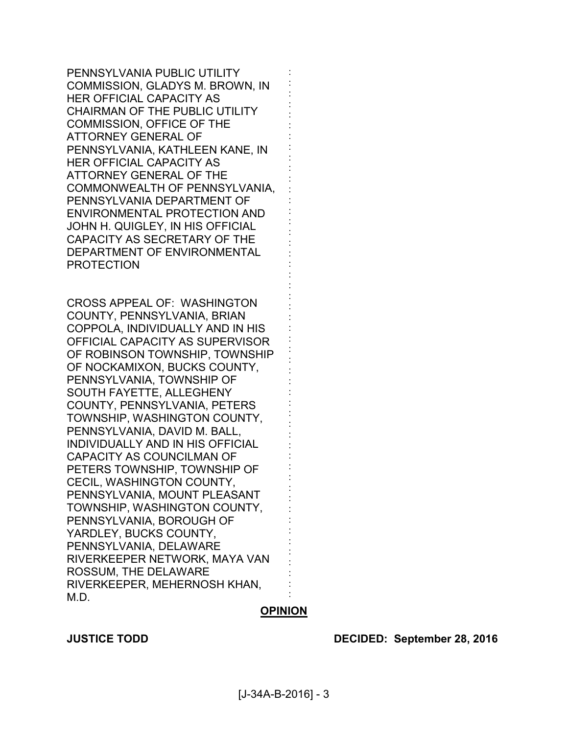PENNSYLVANIA PUBLIC UTILITY COMMISSION, GLADYS M. BROWN, IN HER OFFICIAL CAPACITY AS CHAIRMAN OF THE PUBLIC UTILITY COMMISSION, OFFICE OF THE ATTORNEY GENERAL OF PENNSYLVANIA, KATHLEEN KANE, IN HER OFFICIAL CAPACITY AS ATTORNEY GENERAL OF THE COMMONWEALTH OF PENNSYLVANIA, PENNSYLVANIA DEPARTMENT OF ENVIRONMENTAL PROTECTION AND JOHN H. QUIGLEY, IN HIS OFFICIAL CAPACITY AS SECRETARY OF THE DEPARTMENT OF ENVIRONMENTAL PROTECTION

CROSS APPEAL OF: WASHINGTON COUNTY, PENNSYLVANIA, BRIAN COPPOLA, INDIVIDUALLY AND IN HIS OFFICIAL CAPACITY AS SUPERVISOR OF ROBINSON TOWNSHIP, TOWNSHIP OF NOCKAMIXON, BUCKS COUNTY, PENNSYLVANIA, TOWNSHIP OF SOUTH FAYETTE, ALLEGHENY COUNTY, PENNSYLVANIA, PETERS TOWNSHIP, WASHINGTON COUNTY, PENNSYLVANIA, DAVID M. BALL, INDIVIDUALLY AND IN HIS OFFICIAL CAPACITY AS COUNCILMAN OF PETERS TOWNSHIP, TOWNSHIP OF CECIL, WASHINGTON COUNTY, PENNSYLVANIA, MOUNT PLEASANT TOWNSHIP, WASHINGTON COUNTY, PENNSYLVANIA, BOROUGH OF YARDLEY, BUCKS COUNTY, PENNSYLVANIA, DELAWARE RIVERKEEPER NETWORK, MAYA VAN ROSSUM, THE DELAWARE RIVERKEEPER, MEHERNOSH KHAN, M.D.

### **OPINION**

: : : : : : : : : : : : : : : : : : : : : : : : : : : : : : : : : : : : : : : : : : : : : : : : : :

**JUSTICE TODD DECIDED: September 28, 2016**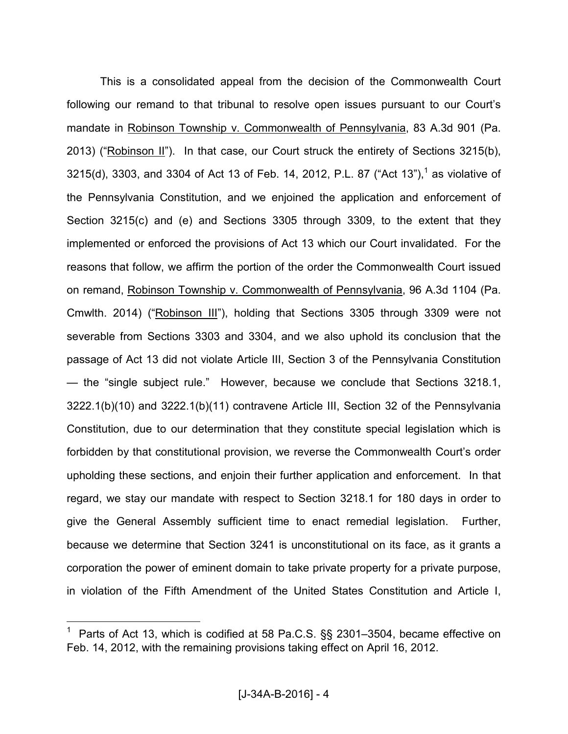This is a consolidated appeal from the decision of the Commonwealth Court following our remand to that tribunal to resolve open issues pursuant to our Court's mandate in Robinson Township v. Commonwealth of Pennsylvania, 83 A.3d 901 (Pa. 2013) ("Robinson II"). In that case, our Court struck the entirety of Sections 3215(b), 3215(d), 3303, and 3304 of Act 13 of Feb. 14, 2012, P.L. 87 ("Act 13"),<sup>1</sup> as violative of the Pennsylvania Constitution, and we enjoined the application and enforcement of Section 3215(c) and (e) and Sections 3305 through 3309, to the extent that they implemented or enforced the provisions of Act 13 which our Court invalidated. For the reasons that follow, we affirm the portion of the order the Commonwealth Court issued on remand, Robinson Township v. Commonwealth of Pennsylvania, 96 A.3d 1104 (Pa. Cmwlth. 2014) ("Robinson III"), holding that Sections 3305 through 3309 were not severable from Sections 3303 and 3304, and we also uphold its conclusion that the passage of Act 13 did not violate Article III, Section 3 of the Pennsylvania Constitution — the "single subject rule." However, because we conclude that Sections 3218.1, 3222.1(b)(10) and 3222.1(b)(11) contravene Article III, Section 32 of the Pennsylvania Constitution, due to our determination that they constitute special legislation which is forbidden by that constitutional provision, we reverse the Commonwealth Court's order upholding these sections, and enjoin their further application and enforcement. In that regard, we stay our mandate with respect to Section 3218.1 for 180 days in order to give the General Assembly sufficient time to enact remedial legislation. Further, because we determine that Section 3241 is unconstitutional on its face, as it grants a corporation the power of eminent domain to take private property for a private purpose, in violation of the Fifth Amendment of the United States Constitution and Article I,

<sup>1</sup> Parts of Act 13, which is codified at 58 Pa.C.S. §§ 2301–3504, became effective on Feb. 14, 2012, with the remaining provisions taking effect on April 16, 2012.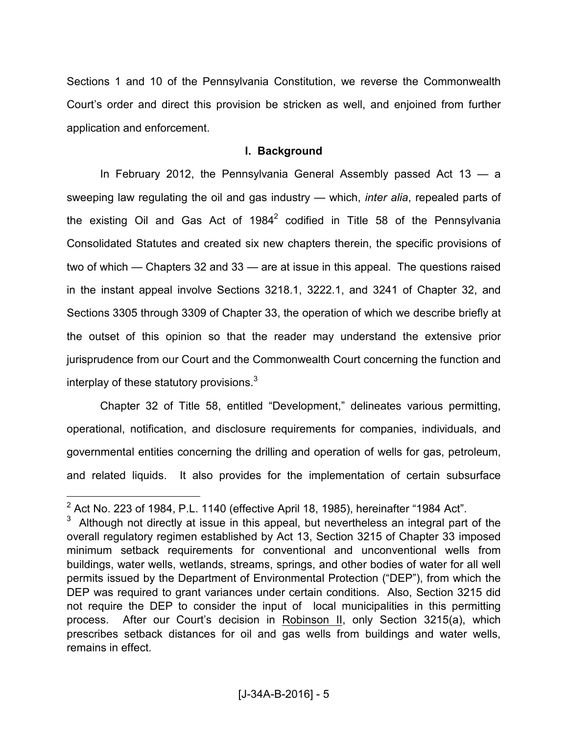Sections 1 and 10 of the Pennsylvania Constitution, we reverse the Commonwealth Court's order and direct this provision be stricken as well, and enjoined from further application and enforcement.

#### **I. Background**

 In February 2012, the Pennsylvania General Assembly passed Act 13 — a sweeping law regulating the oil and gas industry — which, *inter alia*, repealed parts of the existing Oil and Gas Act of 1984<sup>2</sup> codified in Title 58 of the Pennsylvania Consolidated Statutes and created six new chapters therein, the specific provisions of two of which — Chapters 32 and 33 — are at issue in this appeal. The questions raised in the instant appeal involve Sections 3218.1, 3222.1, and 3241 of Chapter 32, and Sections 3305 through 3309 of Chapter 33, the operation of which we describe briefly at the outset of this opinion so that the reader may understand the extensive prior jurisprudence from our Court and the Commonwealth Court concerning the function and interplay of these statutory provisions. $^3$ 

 Chapter 32 of Title 58, entitled "Development," delineates various permitting, operational, notification, and disclosure requirements for companies, individuals, and governmental entities concerning the drilling and operation of wells for gas, petroleum, and related liquids. It also provides for the implementation of certain subsurface

<sup>&</sup>lt;sup>2</sup> Act No. 223 of 1984, P.L. 1140 (effective April 18, 1985), hereinafter "1984 Act".

 $3$  Although not directly at issue in this appeal, but nevertheless an integral part of the overall regulatory regimen established by Act 13, Section 3215 of Chapter 33 imposed minimum setback requirements for conventional and unconventional wells from buildings, water wells, wetlands, streams, springs, and other bodies of water for all well permits issued by the Department of Environmental Protection ("DEP"), from which the DEP was required to grant variances under certain conditions. Also, Section 3215 did not require the DEP to consider the input of local municipalities in this permitting process. After our Court's decision in Robinson II, only Section 3215(a), which prescribes setback distances for oil and gas wells from buildings and water wells, remains in effect.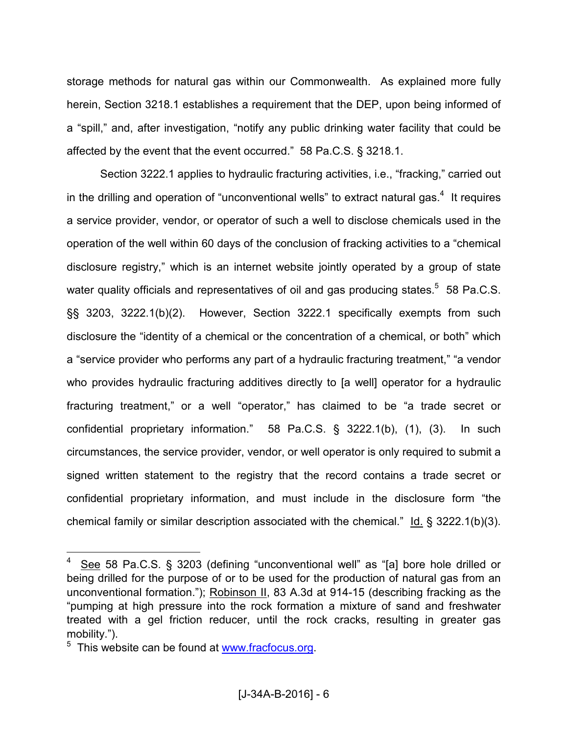storage methods for natural gas within our Commonwealth. As explained more fully herein, Section 3218.1 establishes a requirement that the DEP, upon being informed of a "spill," and, after investigation, "notify any public drinking water facility that could be affected by the event that the event occurred." 58 Pa.C.S. § 3218.1.

 Section 3222.1 applies to hydraulic fracturing activities, i.e., "fracking," carried out in the drilling and operation of "unconventional wells" to extract natural gas. $4$  It requires a service provider, vendor, or operator of such a well to disclose chemicals used in the operation of the well within 60 days of the conclusion of fracking activities to a "chemical disclosure registry," which is an internet website jointly operated by a group of state water quality officials and representatives of oil and gas producing states. $5\,$  58 Pa.C.S. §§ 3203, 3222.1(b)(2). However, Section 3222.1 specifically exempts from such disclosure the "identity of a chemical or the concentration of a chemical, or both" which a "service provider who performs any part of a hydraulic fracturing treatment," "a vendor who provides hydraulic fracturing additives directly to [a well] operator for a hydraulic fracturing treatment," or a well "operator," has claimed to be "a trade secret or confidential proprietary information." 58 Pa.C.S. § 3222.1(b), (1), (3). In such circumstances, the service provider, vendor, or well operator is only required to submit a signed written statement to the registry that the record contains a trade secret or confidential proprietary information, and must include in the disclosure form "the chemical family or similar description associated with the chemical."  $\underline{Id.}$  § 3222.1(b)(3).

<sup>4</sup> See 58 Pa.C.S. § 3203 (defining "unconventional well" as "[a] bore hole drilled or being drilled for the purpose of or to be used for the production of natural gas from an unconventional formation."); Robinson II, 83 A.3d at 914-15 (describing fracking as the "pumping at high pressure into the rock formation a mixture of sand and freshwater treated with a gel friction reducer, until the rock cracks, resulting in greater gas mobility.").

<sup>&</sup>lt;sup>5</sup> This website can be found at **www.fracfocus.org**.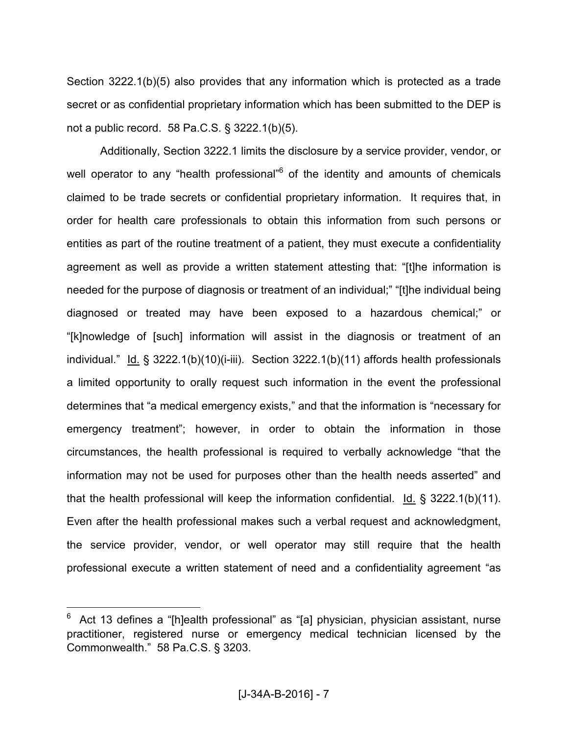Section 3222.1(b)(5) also provides that any information which is protected as a trade secret or as confidential proprietary information which has been submitted to the DEP is not a public record. 58 Pa.C.S. § 3222.1(b)(5).

 Additionally, Section 3222.1 limits the disclosure by a service provider, vendor, or well operator to any "health professional"<sup>6</sup> of the identity and amounts of chemicals claimed to be trade secrets or confidential proprietary information. It requires that, in order for health care professionals to obtain this information from such persons or entities as part of the routine treatment of a patient, they must execute a confidentiality agreement as well as provide a written statement attesting that: "[t]he information is needed for the purpose of diagnosis or treatment of an individual;" "[t]he individual being diagnosed or treated may have been exposed to a hazardous chemical;" or "[k]nowledge of [such] information will assist in the diagnosis or treatment of an individual." Id. § 3222.1(b)(10)(i-iii). Section 3222.1(b)(11) affords health professionals a limited opportunity to orally request such information in the event the professional determines that "a medical emergency exists," and that the information is "necessary for emergency treatment"; however, in order to obtain the information in those circumstances, the health professional is required to verbally acknowledge "that the information may not be used for purposes other than the health needs asserted" and that the health professional will keep the information confidential. Id. § 3222.1(b)(11). Even after the health professional makes such a verbal request and acknowledgment, the service provider, vendor, or well operator may still require that the health professional execute a written statement of need and a confidentiality agreement "as

<sup>6</sup> Act 13 defines a "[h]ealth professional" as "[a] physician, physician assistant, nurse practitioner, registered nurse or emergency medical technician licensed by the Commonwealth." 58 Pa.C.S. § 3203.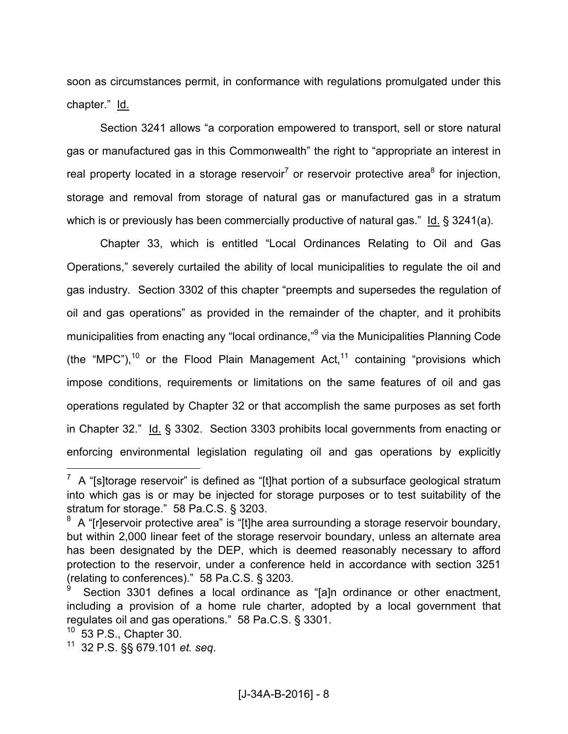soon as circumstances permit, in conformance with regulations promulgated under this chapter." Id.

 Section 3241 allows "a corporation empowered to transport, sell or store natural gas or manufactured gas in this Commonwealth" the right to "appropriate an interest in real property located in a storage reservoir<sup>7</sup> or reservoir protective area<sup>8</sup> for injection, storage and removal from storage of natural gas or manufactured gas in a stratum which is or previously has been commercially productive of natural gas." Id. § 3241(a).

 Chapter 33, which is entitled "Local Ordinances Relating to Oil and Gas Operations," severely curtailed the ability of local municipalities to regulate the oil and gas industry. Section 3302 of this chapter "preempts and supersedes the regulation of oil and gas operations" as provided in the remainder of the chapter, and it prohibits municipalities from enacting any "local ordinance,"<sup>9</sup> via the Municipalities Planning Code (the "MPC"), $10$  or the Flood Plain Management Act, $11$  containing "provisions which impose conditions, requirements or limitations on the same features of oil and gas operations regulated by Chapter 32 or that accomplish the same purposes as set forth in Chapter 32." Id. § 3302. Section 3303 prohibits local governments from enacting or enforcing environmental legislation regulating oil and gas operations by explicitly

 $7\,$  A "[s]torage reservoir" is defined as "[t]hat portion of a subsurface geological stratum into which gas is or may be injected for storage purposes or to test suitability of the stratum for storage." 58 Pa.C.S. § 3203.

 $8\,$  A "[r]eservoir protective area" is "[t]he area surrounding a storage reservoir boundary, but within 2,000 linear feet of the storage reservoir boundary, unless an alternate area has been designated by the DEP, which is deemed reasonably necessary to afford protection to the reservoir, under a conference held in accordance with section 3251 (relating to conferences)." 58 Pa.C.S. § 3203.

<sup>9</sup> Section 3301 defines a local ordinance as "[a]n ordinance or other enactment, including a provision of a home rule charter, adopted by a local government that regulates oil and gas operations." 58 Pa.C.S. § 3301.

 $10\,$  53 P.S., Chapter 30.

<sup>11</sup> 32 P.S. §§ 679.101 *et. seq*.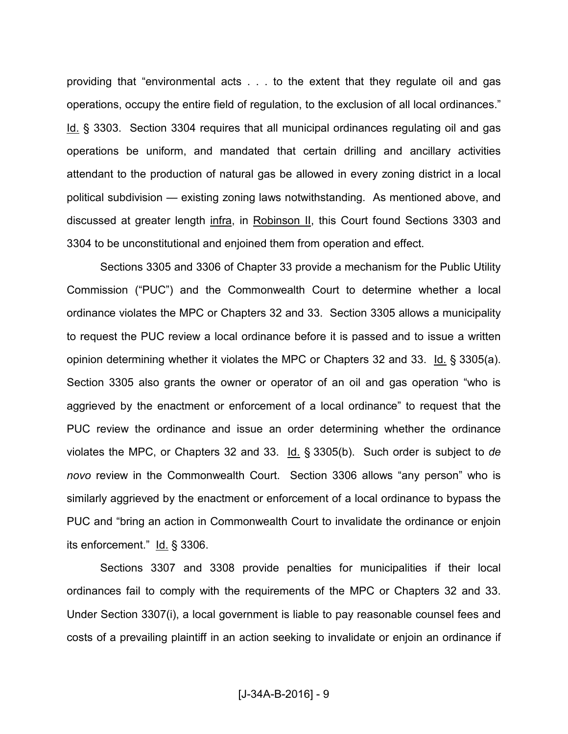providing that "environmental acts . . . to the extent that they regulate oil and gas operations, occupy the entire field of regulation, to the exclusion of all local ordinances." Id. § 3303. Section 3304 requires that all municipal ordinances regulating oil and gas operations be uniform, and mandated that certain drilling and ancillary activities attendant to the production of natural gas be allowed in every zoning district in a local political subdivision — existing zoning laws notwithstanding. As mentioned above, and discussed at greater length infra, in Robinson II, this Court found Sections 3303 and 3304 to be unconstitutional and enjoined them from operation and effect.

 Sections 3305 and 3306 of Chapter 33 provide a mechanism for the Public Utility Commission ("PUC") and the Commonwealth Court to determine whether a local ordinance violates the MPC or Chapters 32 and 33. Section 3305 allows a municipality to request the PUC review a local ordinance before it is passed and to issue a written opinion determining whether it violates the MPC or Chapters 32 and 33. Id. § 3305(a). Section 3305 also grants the owner or operator of an oil and gas operation "who is aggrieved by the enactment or enforcement of a local ordinance" to request that the PUC review the ordinance and issue an order determining whether the ordinance violates the MPC, or Chapters 32 and 33. Id. § 3305(b). Such order is subject to *de novo* review in the Commonwealth Court. Section 3306 allows "any person" who is similarly aggrieved by the enactment or enforcement of a local ordinance to bypass the PUC and "bring an action in Commonwealth Court to invalidate the ordinance or enjoin its enforcement." Id. § 3306.

 Sections 3307 and 3308 provide penalties for municipalities if their local ordinances fail to comply with the requirements of the MPC or Chapters 32 and 33. Under Section 3307(i), a local government is liable to pay reasonable counsel fees and costs of a prevailing plaintiff in an action seeking to invalidate or enjoin an ordinance if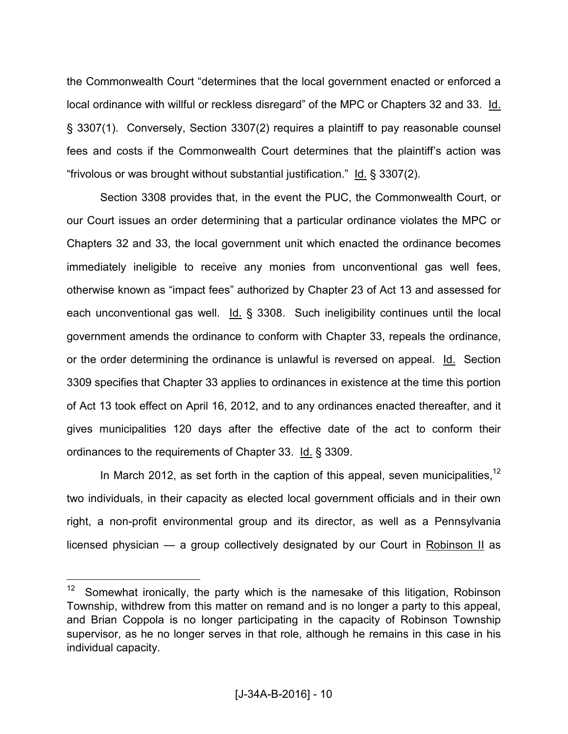the Commonwealth Court "determines that the local government enacted or enforced a local ordinance with willful or reckless disregard" of the MPC or Chapters 32 and 33. Id. § 3307(1). Conversely, Section 3307(2) requires a plaintiff to pay reasonable counsel fees and costs if the Commonwealth Court determines that the plaintiff's action was "frivolous or was brought without substantial justification." Id. § 3307(2).

 Section 3308 provides that, in the event the PUC, the Commonwealth Court, or our Court issues an order determining that a particular ordinance violates the MPC or Chapters 32 and 33, the local government unit which enacted the ordinance becomes immediately ineligible to receive any monies from unconventional gas well fees, otherwise known as "impact fees" authorized by Chapter 23 of Act 13 and assessed for each unconventional gas well.  $Id. \S$  3308. Such ineligibility continues until the local government amends the ordinance to conform with Chapter 33, repeals the ordinance, or the order determining the ordinance is unlawful is reversed on appeal. Id. Section 3309 specifies that Chapter 33 applies to ordinances in existence at the time this portion of Act 13 took effect on April 16, 2012, and to any ordinances enacted thereafter, and it gives municipalities 120 days after the effective date of the act to conform their ordinances to the requirements of Chapter 33. Id. § 3309.

In March 2012, as set forth in the caption of this appeal, seven municipalities.<sup>12</sup> two individuals, in their capacity as elected local government officials and in their own right, a non-profit environmental group and its director, as well as a Pennsylvania licensed physician — a group collectively designated by our Court in Robinson II as

<sup>&</sup>lt;sup>12</sup> Somewhat ironically, the party which is the namesake of this litigation, Robinson Township, withdrew from this matter on remand and is no longer a party to this appeal, and Brian Coppola is no longer participating in the capacity of Robinson Township supervisor, as he no longer serves in that role, although he remains in this case in his individual capacity.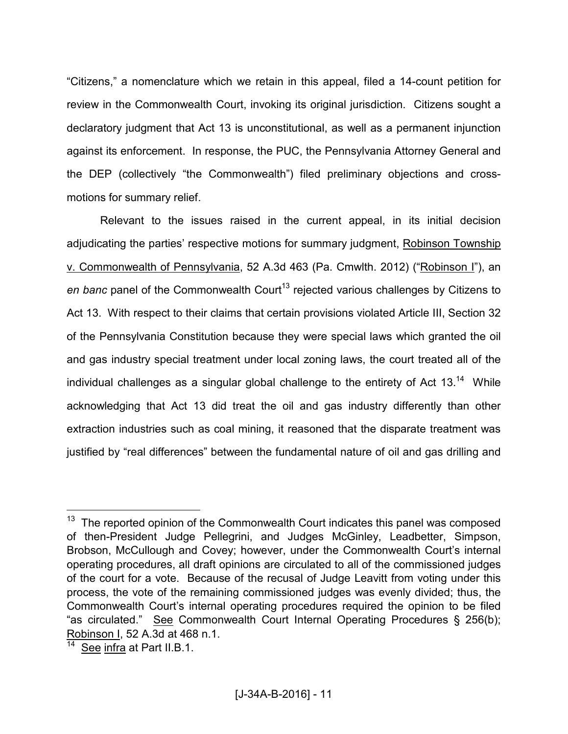"Citizens," a nomenclature which we retain in this appeal, filed a 14-count petition for review in the Commonwealth Court, invoking its original jurisdiction. Citizens sought a declaratory judgment that Act 13 is unconstitutional, as well as a permanent injunction against its enforcement. In response, the PUC, the Pennsylvania Attorney General and the DEP (collectively "the Commonwealth") filed preliminary objections and crossmotions for summary relief.

 Relevant to the issues raised in the current appeal, in its initial decision adjudicating the parties' respective motions for summary judgment, Robinson Township v. Commonwealth of Pennsylvania, 52 A.3d 463 (Pa. Cmwlth. 2012) ("Robinson I"), an *en banc* panel of the Commonwealth Court<sup>13</sup> rejected various challenges by Citizens to Act 13. With respect to their claims that certain provisions violated Article III, Section 32 of the Pennsylvania Constitution because they were special laws which granted the oil and gas industry special treatment under local zoning laws, the court treated all of the individual challenges as a singular global challenge to the entirety of Act  $13^{14}$  While acknowledging that Act 13 did treat the oil and gas industry differently than other extraction industries such as coal mining, it reasoned that the disparate treatment was justified by "real differences" between the fundamental nature of oil and gas drilling and

 $13$  The reported opinion of the Commonwealth Court indicates this panel was composed of then-President Judge Pellegrini, and Judges McGinley, Leadbetter, Simpson, Brobson, McCullough and Covey; however, under the Commonwealth Court's internal operating procedures, all draft opinions are circulated to all of the commissioned judges of the court for a vote. Because of the recusal of Judge Leavitt from voting under this process, the vote of the remaining commissioned judges was evenly divided; thus, the Commonwealth Court's internal operating procedures required the opinion to be filed "as circulated." See Commonwealth Court Internal Operating Procedures § 256(b); Robinson I, 52 A.3d at 468 n.1.

See infra at Part II.B.1.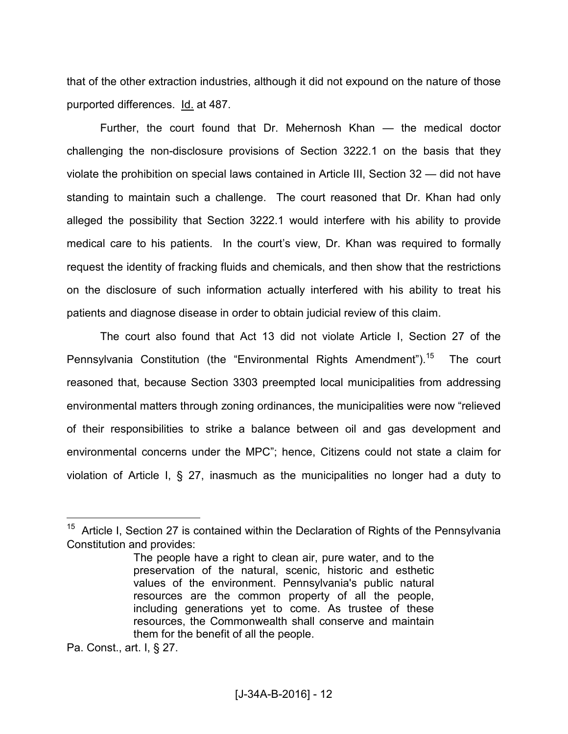that of the other extraction industries, although it did not expound on the nature of those purported differences. Id. at 487.

 Further, the court found that Dr. Mehernosh Khan — the medical doctor challenging the non-disclosure provisions of Section 3222.1 on the basis that they violate the prohibition on special laws contained in Article III, Section 32 — did not have standing to maintain such a challenge. The court reasoned that Dr. Khan had only alleged the possibility that Section 3222.1 would interfere with his ability to provide medical care to his patients. In the court's view, Dr. Khan was required to formally request the identity of fracking fluids and chemicals, and then show that the restrictions on the disclosure of such information actually interfered with his ability to treat his patients and diagnose disease in order to obtain judicial review of this claim.

 The court also found that Act 13 did not violate Article I, Section 27 of the Pennsylvania Constitution (the "Environmental Rights Amendment").<sup>15</sup> The court reasoned that, because Section 3303 preempted local municipalities from addressing environmental matters through zoning ordinances, the municipalities were now "relieved of their responsibilities to strike a balance between oil and gas development and environmental concerns under the MPC"; hence, Citizens could not state a claim for violation of Article I, § 27, inasmuch as the municipalities no longer had a duty to

Pa. Const., art. I, § 27.

 $15$  Article I, Section 27 is contained within the Declaration of Rights of the Pennsylvania Constitution and provides:

The people have a right to clean air, pure water, and to the preservation of the natural, scenic, historic and esthetic values of the environment. Pennsylvania's public natural resources are the common property of all the people, including generations yet to come. As trustee of these resources, the Commonwealth shall conserve and maintain them for the benefit of all the people.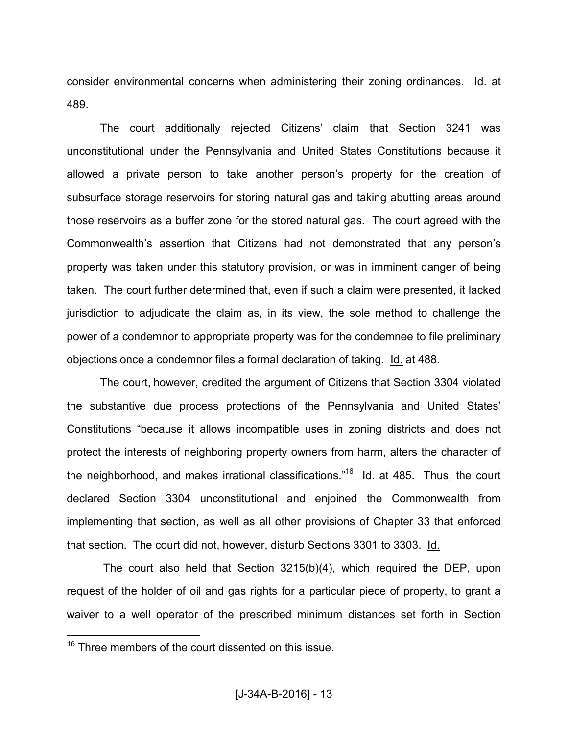consider environmental concerns when administering their zoning ordinances. Id. at 489.

 The court additionally rejected Citizens' claim that Section 3241 was unconstitutional under the Pennsylvania and United States Constitutions because it allowed a private person to take another person's property for the creation of subsurface storage reservoirs for storing natural gas and taking abutting areas around those reservoirs as a buffer zone for the stored natural gas. The court agreed with the Commonwealth's assertion that Citizens had not demonstrated that any person's property was taken under this statutory provision, or was in imminent danger of being taken. The court further determined that, even if such a claim were presented, it lacked jurisdiction to adjudicate the claim as, in its view, the sole method to challenge the power of a condemnor to appropriate property was for the condemnee to file preliminary objections once a condemnor files a formal declaration of taking. Id. at 488.

 The court, however, credited the argument of Citizens that Section 3304 violated the substantive due process protections of the Pennsylvania and United States' Constitutions "because it allows incompatible uses in zoning districts and does not protect the interests of neighboring property owners from harm, alters the character of the neighborhood, and makes irrational classifications.<sup>"16</sup> Id. at 485. Thus, the court declared Section 3304 unconstitutional and enjoined the Commonwealth from implementing that section, as well as all other provisions of Chapter 33 that enforced that section. The court did not, however, disturb Sections 3301 to 3303. Id.

 The court also held that Section 3215(b)(4), which required the DEP, upon request of the holder of oil and gas rights for a particular piece of property, to grant a waiver to a well operator of the prescribed minimum distances set forth in Section

<sup>&</sup>lt;sup>16</sup> Three members of the court dissented on this issue.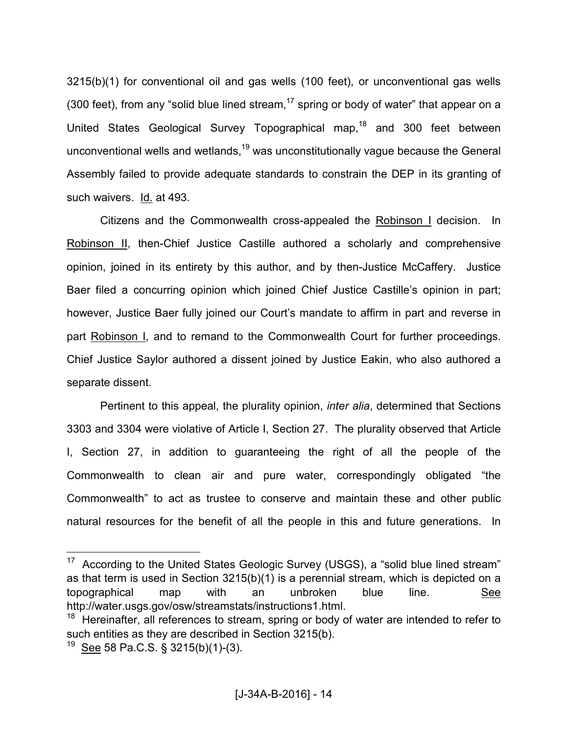3215(b)(1) for conventional oil and gas wells (100 feet), or unconventional gas wells (300 feet), from any "solid blue lined stream,  $17$  spring or body of water" that appear on a United States Geological Survey Topographical map,<sup>18</sup> and 300 feet between unconventional wells and wetlands,<sup>19</sup> was unconstitutionally vague because the General Assembly failed to provide adequate standards to constrain the DEP in its granting of such waivers. Id. at 493.

 Citizens and the Commonwealth cross-appealed the Robinson I decision. In Robinson II, then-Chief Justice Castille authored a scholarly and comprehensive opinion, joined in its entirety by this author, and by then-Justice McCaffery. Justice Baer filed a concurring opinion which joined Chief Justice Castille's opinion in part; however, Justice Baer fully joined our Court's mandate to affirm in part and reverse in part Robinson I, and to remand to the Commonwealth Court for further proceedings. Chief Justice Saylor authored a dissent joined by Justice Eakin, who also authored a separate dissent.

 Pertinent to this appeal, the plurality opinion, *inter alia*, determined that Sections 3303 and 3304 were violative of Article I, Section 27. The plurality observed that Article I, Section 27, in addition to guaranteeing the right of all the people of the Commonwealth to clean air and pure water, correspondingly obligated "the Commonwealth" to act as trustee to conserve and maintain these and other public natural resources for the benefit of all the people in this and future generations. In

According to the United States Geologic Survey (USGS), a "solid blue lined stream" as that term is used in Section 3215(b)(1) is a perennial stream, which is depicted on a topographical map with an unbroken blue line. See http://water.usgs.gov/osw/streamstats/instructions1.html.

 $18$  Hereinafter, all references to stream, spring or body of water are intended to refer to such entities as they are described in Section 3215(b).

<sup>&</sup>lt;sup>19</sup> See 58 Pa.C.S. § 3215(b)(1)-(3).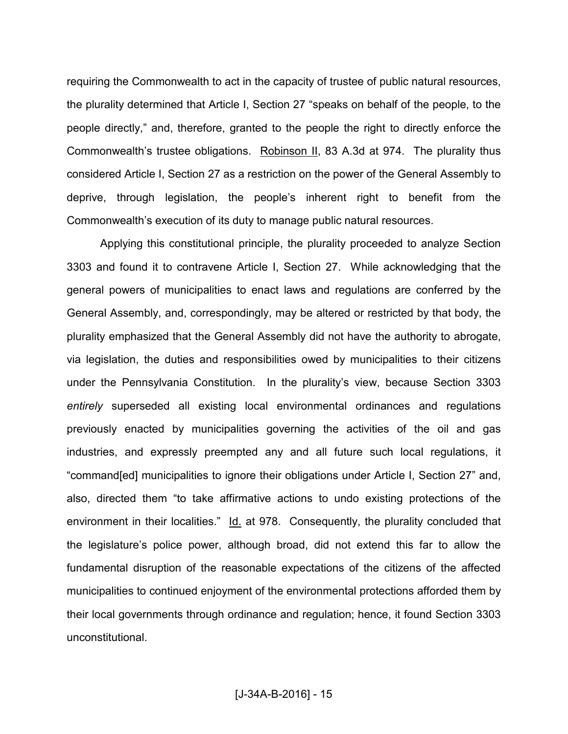requiring the Commonwealth to act in the capacity of trustee of public natural resources, the plurality determined that Article I, Section 27 "speaks on behalf of the people, to the people directly," and, therefore, granted to the people the right to directly enforce the Commonwealth's trustee obligations. Robinson II, 83 A.3d at 974. The plurality thus considered Article I, Section 27 as a restriction on the power of the General Assembly to deprive, through legislation, the people's inherent right to benefit from the Commonwealth's execution of its duty to manage public natural resources.

 Applying this constitutional principle, the plurality proceeded to analyze Section 3303 and found it to contravene Article I, Section 27. While acknowledging that the general powers of municipalities to enact laws and regulations are conferred by the General Assembly, and, correspondingly, may be altered or restricted by that body, the plurality emphasized that the General Assembly did not have the authority to abrogate, via legislation, the duties and responsibilities owed by municipalities to their citizens under the Pennsylvania Constitution. In the plurality's view, because Section 3303 *entirely* superseded all existing local environmental ordinances and regulations previously enacted by municipalities governing the activities of the oil and gas industries, and expressly preempted any and all future such local regulations, it "command[ed] municipalities to ignore their obligations under Article I, Section 27" and, also, directed them "to take affirmative actions to undo existing protections of the environment in their localities." Id. at 978. Consequently, the plurality concluded that the legislature's police power, although broad, did not extend this far to allow the fundamental disruption of the reasonable expectations of the citizens of the affected municipalities to continued enjoyment of the environmental protections afforded them by their local governments through ordinance and regulation; hence, it found Section 3303 unconstitutional.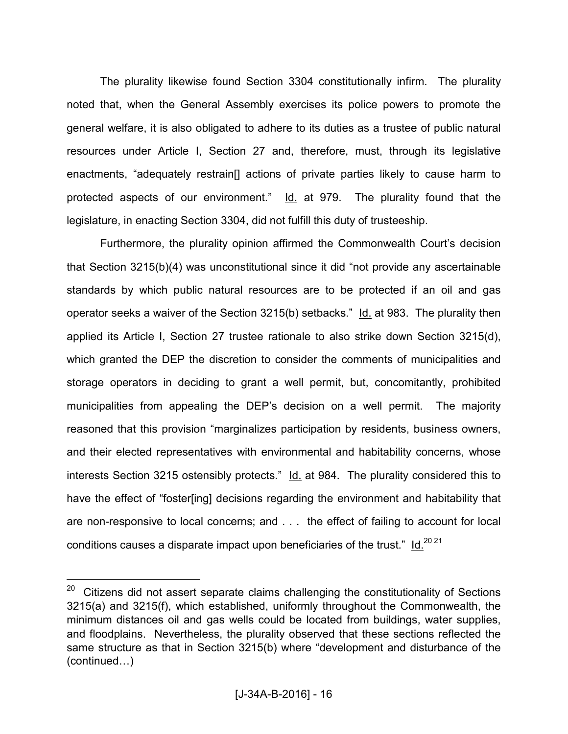The plurality likewise found Section 3304 constitutionally infirm. The plurality noted that, when the General Assembly exercises its police powers to promote the general welfare, it is also obligated to adhere to its duties as a trustee of public natural resources under Article I, Section 27 and, therefore, must, through its legislative enactments, "adequately restrain[] actions of private parties likely to cause harm to protected aspects of our environment." Id. at 979. The plurality found that the legislature, in enacting Section 3304, did not fulfill this duty of trusteeship.

 Furthermore, the plurality opinion affirmed the Commonwealth Court's decision that Section 3215(b)(4) was unconstitutional since it did "not provide any ascertainable standards by which public natural resources are to be protected if an oil and gas operator seeks a waiver of the Section 3215(b) setbacks." Id. at 983. The plurality then applied its Article I, Section 27 trustee rationale to also strike down Section 3215(d), which granted the DEP the discretion to consider the comments of municipalities and storage operators in deciding to grant a well permit, but, concomitantly, prohibited municipalities from appealing the DEP's decision on a well permit. The majority reasoned that this provision "marginalizes participation by residents, business owners, and their elected representatives with environmental and habitability concerns, whose interests Section 3215 ostensibly protects." Id. at 984. The plurality considered this to have the effect of "foster[ing] decisions regarding the environment and habitability that are non-responsive to local concerns; and . . . the effect of failing to account for local conditions causes a disparate impact upon beneficiaries of the trust."  $Id.<sup>20,21</sup>$ 

 $20$  Citizens did not assert separate claims challenging the constitutionality of Sections 3215(a) and 3215(f), which established, uniformly throughout the Commonwealth, the minimum distances oil and gas wells could be located from buildings, water supplies, and floodplains. Nevertheless, the plurality observed that these sections reflected the same structure as that in Section 3215(b) where "development and disturbance of the  $(continued...)$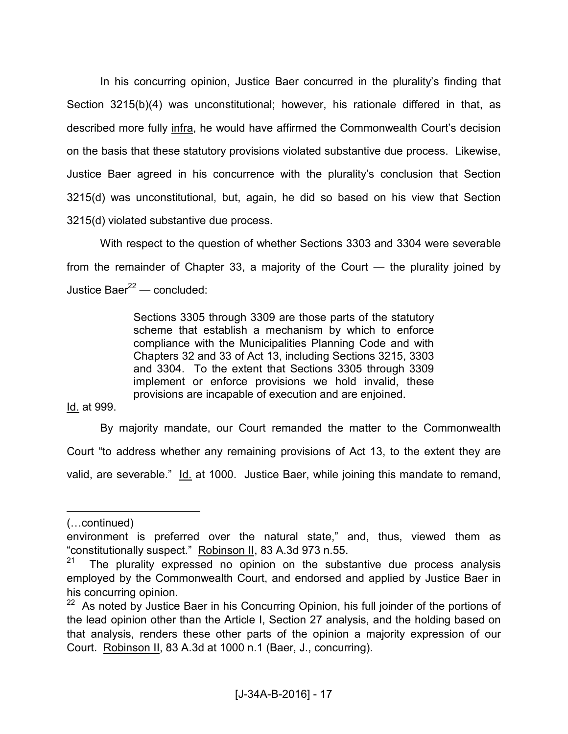In his concurring opinion, Justice Baer concurred in the plurality's finding that Section 3215(b)(4) was unconstitutional; however, his rationale differed in that, as described more fully infra, he would have affirmed the Commonwealth Court's decision on the basis that these statutory provisions violated substantive due process. Likewise, Justice Baer agreed in his concurrence with the plurality's conclusion that Section 3215(d) was unconstitutional, but, again, he did so based on his view that Section 3215(d) violated substantive due process.

 With respect to the question of whether Sections 3303 and 3304 were severable from the remainder of Chapter 33, a majority of the Court — the plurality joined by Justice Baer $^{22}$  — concluded:

> Sections 3305 through 3309 are those parts of the statutory scheme that establish a mechanism by which to enforce compliance with the Municipalities Planning Code and with Chapters 32 and 33 of Act 13, including Sections 3215, 3303 and 3304. To the extent that Sections 3305 through 3309 implement or enforce provisions we hold invalid, these provisions are incapable of execution and are enjoined.

Id. at 999.

 By majority mandate, our Court remanded the matter to the Commonwealth Court "to address whether any remaining provisions of Act 13, to the extent they are valid, are severable." Id. at 1000. Justice Baer, while joining this mandate to remand,

<sup>(...</sup>continued)

environment is preferred over the natural state," and, thus, viewed them as "constitutionally suspect." Robinson II, 83 A.3d 973 n.55.<br><sup>21</sup> The plurality expressed no opinion on the subst

The plurality expressed no opinion on the substantive due process analysis employed by the Commonwealth Court, and endorsed and applied by Justice Baer in his concurring opinion.

<sup>&</sup>lt;sup>22</sup> As noted by Justice Baer in his Concurring Opinion, his full joinder of the portions of the lead opinion other than the Article I, Section 27 analysis, and the holding based on that analysis, renders these other parts of the opinion a majority expression of our Court. Robinson II, 83 A.3d at 1000 n.1 (Baer, J., concurring).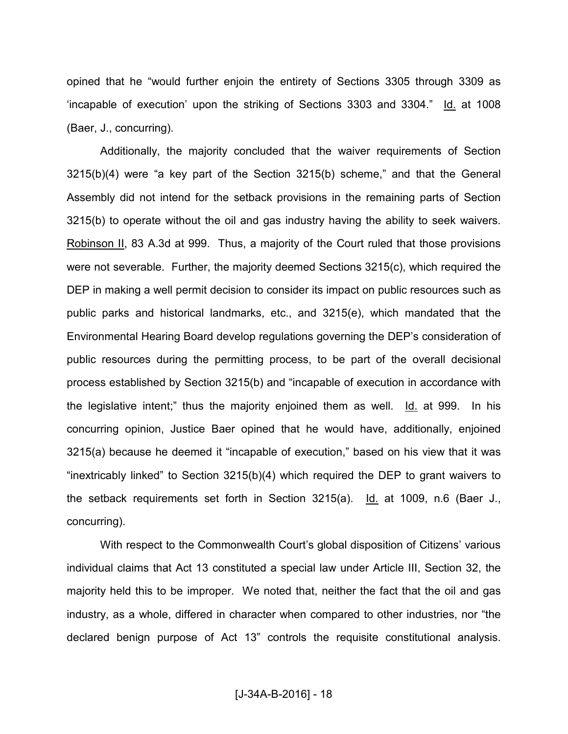opined that he "would further enjoin the entirety of Sections 3305 through 3309 as 'incapable of execution' upon the striking of Sections 3303 and 3304." Id. at 1008 (Baer, J., concurring).

 Additionally, the majority concluded that the waiver requirements of Section 3215(b)(4) were "a key part of the Section 3215(b) scheme," and that the General Assembly did not intend for the setback provisions in the remaining parts of Section 3215(b) to operate without the oil and gas industry having the ability to seek waivers. Robinson II, 83 A.3d at 999. Thus, a majority of the Court ruled that those provisions were not severable. Further, the majority deemed Sections 3215(c), which required the DEP in making a well permit decision to consider its impact on public resources such as public parks and historical landmarks, etc., and 3215(e), which mandated that the Environmental Hearing Board develop regulations governing the DEP's consideration of public resources during the permitting process, to be part of the overall decisional process established by Section 3215(b) and "incapable of execution in accordance with the legislative intent;" thus the majority enjoined them as well. Id. at 999. In his concurring opinion, Justice Baer opined that he would have, additionally, enjoined 3215(a) because he deemed it "incapable of execution," based on his view that it was "inextricably linked" to Section 3215(b)(4) which required the DEP to grant waivers to the setback requirements set forth in Section 3215(a). Id. at 1009, n.6 (Baer J., concurring).

 With respect to the Commonwealth Court's global disposition of Citizens' various individual claims that Act 13 constituted a special law under Article III, Section 32, the majority held this to be improper. We noted that, neither the fact that the oil and gas industry, as a whole, differed in character when compared to other industries, nor "the declared benign purpose of Act 13" controls the requisite constitutional analysis.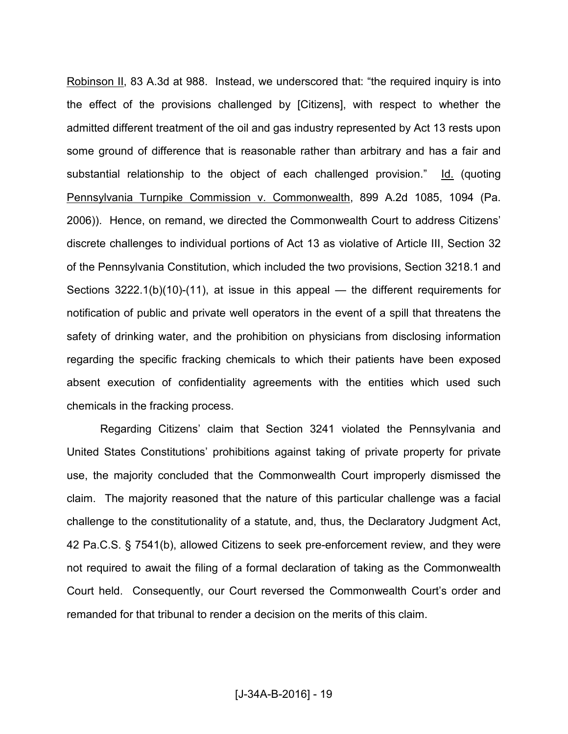Robinson II, 83 A.3d at 988. Instead, we underscored that: "the required inquiry is into the effect of the provisions challenged by [Citizens], with respect to whether the admitted different treatment of the oil and gas industry represented by Act 13 rests upon some ground of difference that is reasonable rather than arbitrary and has a fair and substantial relationship to the object of each challenged provision." Id. (quoting Pennsylvania Turnpike Commission v. Commonwealth, 899 A.2d 1085, 1094 (Pa. 2006)). Hence, on remand, we directed the Commonwealth Court to address Citizens' discrete challenges to individual portions of Act 13 as violative of Article III, Section 32 of the Pennsylvania Constitution, which included the two provisions, Section 3218.1 and Sections 3222.1(b)(10)-(11), at issue in this appeal — the different requirements for notification of public and private well operators in the event of a spill that threatens the safety of drinking water, and the prohibition on physicians from disclosing information regarding the specific fracking chemicals to which their patients have been exposed absent execution of confidentiality agreements with the entities which used such chemicals in the fracking process.

 Regarding Citizens' claim that Section 3241 violated the Pennsylvania and United States Constitutions' prohibitions against taking of private property for private use, the majority concluded that the Commonwealth Court improperly dismissed the claim. The majority reasoned that the nature of this particular challenge was a facial challenge to the constitutionality of a statute, and, thus, the Declaratory Judgment Act, 42 Pa.C.S. § 7541(b), allowed Citizens to seek pre-enforcement review, and they were not required to await the filing of a formal declaration of taking as the Commonwealth Court held. Consequently, our Court reversed the Commonwealth Court's order and remanded for that tribunal to render a decision on the merits of this claim.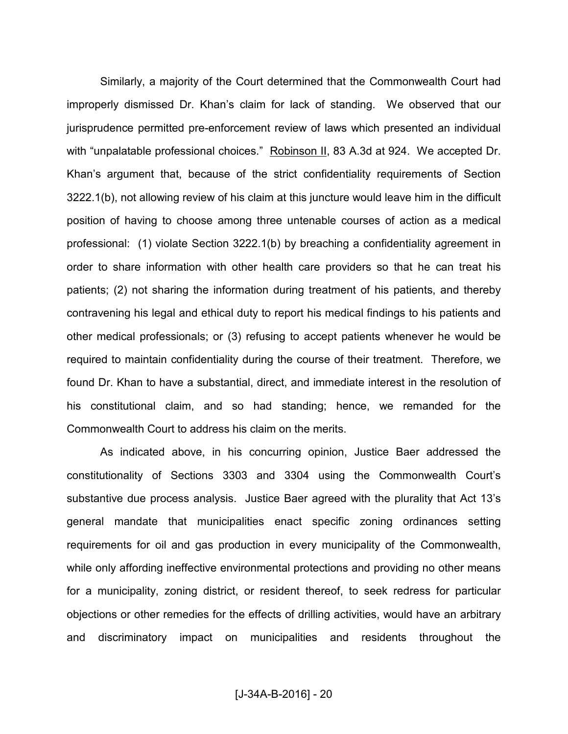Similarly, a majority of the Court determined that the Commonwealth Court had improperly dismissed Dr. Khan's claim for lack of standing. We observed that our jurisprudence permitted pre-enforcement review of laws which presented an individual with "unpalatable professional choices." Robinson II, 83 A.3d at 924. We accepted Dr. Khan's argument that, because of the strict confidentiality requirements of Section 3222.1(b), not allowing review of his claim at this juncture would leave him in the difficult position of having to choose among three untenable courses of action as a medical professional: (1) violate Section 3222.1(b) by breaching a confidentiality agreement in order to share information with other health care providers so that he can treat his patients; (2) not sharing the information during treatment of his patients, and thereby contravening his legal and ethical duty to report his medical findings to his patients and other medical professionals; or (3) refusing to accept patients whenever he would be required to maintain confidentiality during the course of their treatment. Therefore, we found Dr. Khan to have a substantial, direct, and immediate interest in the resolution of his constitutional claim, and so had standing; hence, we remanded for the Commonwealth Court to address his claim on the merits.

 As indicated above, in his concurring opinion, Justice Baer addressed the constitutionality of Sections 3303 and 3304 using the Commonwealth Court's substantive due process analysis. Justice Baer agreed with the plurality that Act 13's general mandate that municipalities enact specific zoning ordinances setting requirements for oil and gas production in every municipality of the Commonwealth, while only affording ineffective environmental protections and providing no other means for a municipality, zoning district, or resident thereof, to seek redress for particular objections or other remedies for the effects of drilling activities, would have an arbitrary and discriminatory impact on municipalities and residents throughout the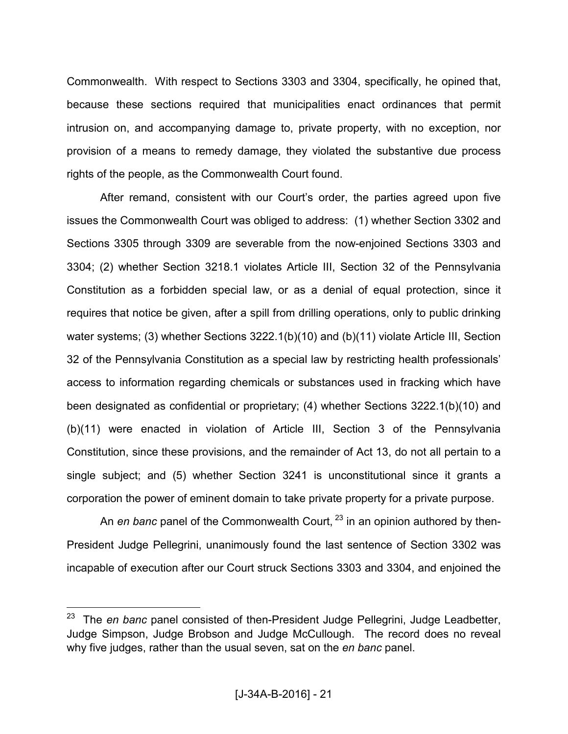Commonwealth. With respect to Sections 3303 and 3304, specifically, he opined that, because these sections required that municipalities enact ordinances that permit intrusion on, and accompanying damage to, private property, with no exception, nor provision of a means to remedy damage, they violated the substantive due process rights of the people, as the Commonwealth Court found.

 After remand, consistent with our Court's order, the parties agreed upon five issues the Commonwealth Court was obliged to address: (1) whether Section 3302 and Sections 3305 through 3309 are severable from the now-enjoined Sections 3303 and 3304; (2) whether Section 3218.1 violates Article III, Section 32 of the Pennsylvania Constitution as a forbidden special law, or as a denial of equal protection, since it requires that notice be given, after a spill from drilling operations, only to public drinking water systems; (3) whether Sections 3222.1(b)(10) and (b)(11) violate Article III, Section 32 of the Pennsylvania Constitution as a special law by restricting health professionals' access to information regarding chemicals or substances used in fracking which have been designated as confidential or proprietary; (4) whether Sections 3222.1(b)(10) and (b)(11) were enacted in violation of Article III, Section 3 of the Pennsylvania Constitution, since these provisions, and the remainder of Act 13, do not all pertain to a single subject; and (5) whether Section 3241 is unconstitutional since it grants a corporation the power of eminent domain to take private property for a private purpose.

An *en banc* panel of the Commonwealth Court, <sup>23</sup> in an opinion authored by then-President Judge Pellegrini, unanimously found the last sentence of Section 3302 was incapable of execution after our Court struck Sections 3303 and 3304, and enjoined the

The *en banc* panel consisted of then-President Judge Pellegrini, Judge Leadbetter, Judge Simpson, Judge Brobson and Judge McCullough. The record does no reveal why five judges, rather than the usual seven, sat on the *en banc* panel.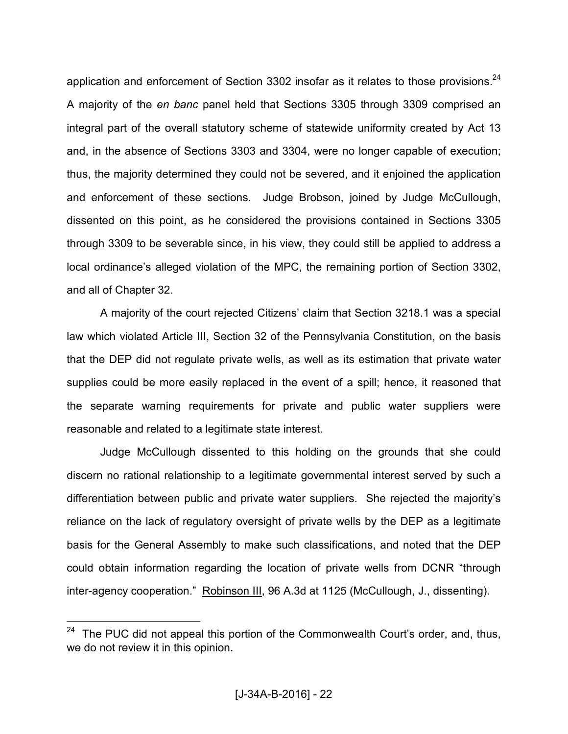application and enforcement of Section 3302 insofar as it relates to those provisions. $^{24}$ A majority of the *en banc* panel held that Sections 3305 through 3309 comprised an integral part of the overall statutory scheme of statewide uniformity created by Act 13 and, in the absence of Sections 3303 and 3304, were no longer capable of execution; thus, the majority determined they could not be severed, and it enjoined the application and enforcement of these sections. Judge Brobson, joined by Judge McCullough, dissented on this point, as he considered the provisions contained in Sections 3305 through 3309 to be severable since, in his view, they could still be applied to address a local ordinance's alleged violation of the MPC, the remaining portion of Section 3302, and all of Chapter 32.

 A majority of the court rejected Citizens' claim that Section 3218.1 was a special law which violated Article III, Section 32 of the Pennsylvania Constitution, on the basis that the DEP did not regulate private wells, as well as its estimation that private water supplies could be more easily replaced in the event of a spill; hence, it reasoned that the separate warning requirements for private and public water suppliers were reasonable and related to a legitimate state interest.

 Judge McCullough dissented to this holding on the grounds that she could discern no rational relationship to a legitimate governmental interest served by such a differentiation between public and private water suppliers. She rejected the majority's reliance on the lack of regulatory oversight of private wells by the DEP as a legitimate basis for the General Assembly to make such classifications, and noted that the DEP could obtain information regarding the location of private wells from DCNR "through inter-agency cooperation." Robinson III, 96 A.3d at 1125 (McCullough, J., dissenting).

<sup>&</sup>lt;sup>24</sup> The PUC did not appeal this portion of the Commonwealth Court's order, and, thus, we do not review it in this opinion.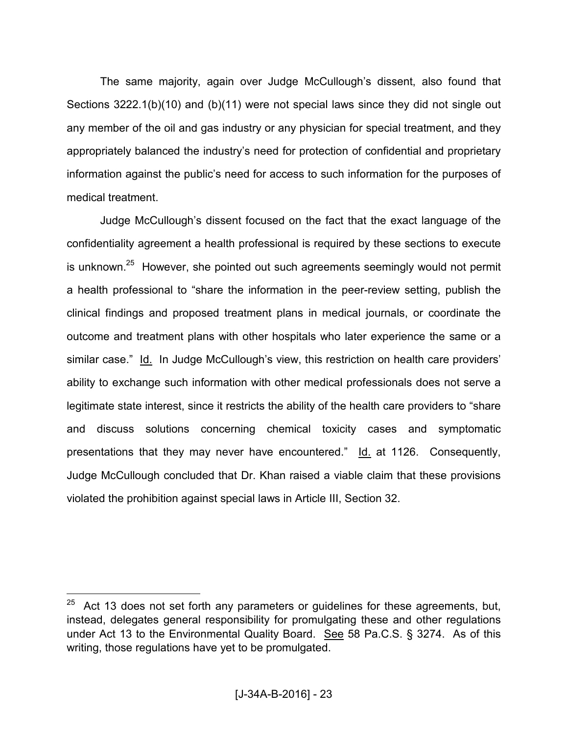The same majority, again over Judge McCullough's dissent, also found that Sections 3222.1(b)(10) and (b)(11) were not special laws since they did not single out any member of the oil and gas industry or any physician for special treatment, and they appropriately balanced the industry's need for protection of confidential and proprietary information against the public's need for access to such information for the purposes of medical treatment.

 Judge McCullough's dissent focused on the fact that the exact language of the confidentiality agreement a health professional is required by these sections to execute is unknown.<sup>25</sup> However, she pointed out such agreements seemingly would not permit a health professional to "share the information in the peer-review setting, publish the clinical findings and proposed treatment plans in medical journals, or coordinate the outcome and treatment plans with other hospitals who later experience the same or a similar case." Id. In Judge McCullough's view, this restriction on health care providers' ability to exchange such information with other medical professionals does not serve a legitimate state interest, since it restricts the ability of the health care providers to "share and discuss solutions concerning chemical toxicity cases and symptomatic presentations that they may never have encountered." Id. at 1126. Consequently, Judge McCullough concluded that Dr. Khan raised a viable claim that these provisions violated the prohibition against special laws in Article III, Section 32.

Act 13 does not set forth any parameters or guidelines for these agreements, but, instead, delegates general responsibility for promulgating these and other regulations under Act 13 to the Environmental Quality Board. See 58 Pa.C.S. § 3274. As of this writing, those regulations have yet to be promulgated.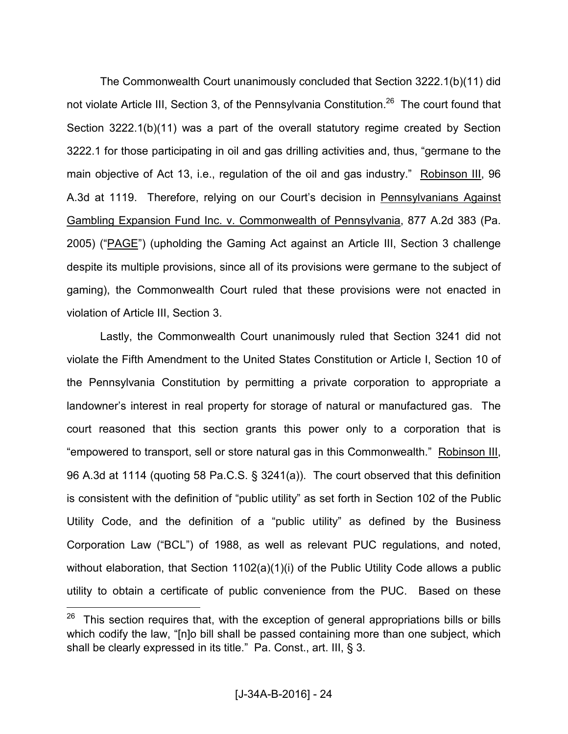The Commonwealth Court unanimously concluded that Section 3222.1(b)(11) did not violate Article III, Section 3, of the Pennsylvania Constitution.<sup>26</sup> The court found that Section 3222.1(b)(11) was a part of the overall statutory regime created by Section 3222.1 for those participating in oil and gas drilling activities and, thus, "germane to the main objective of Act 13, i.e., regulation of the oil and gas industry." Robinson III, 96 A.3d at 1119. Therefore, relying on our Court's decision in Pennsylvanians Against Gambling Expansion Fund Inc. v. Commonwealth of Pennsylvania, 877 A.2d 383 (Pa. 2005) ("PAGE") (upholding the Gaming Act against an Article III, Section 3 challenge despite its multiple provisions, since all of its provisions were germane to the subject of gaming), the Commonwealth Court ruled that these provisions were not enacted in violation of Article III, Section 3.

 Lastly, the Commonwealth Court unanimously ruled that Section 3241 did not violate the Fifth Amendment to the United States Constitution or Article I, Section 10 of the Pennsylvania Constitution by permitting a private corporation to appropriate a landowner's interest in real property for storage of natural or manufactured gas. The court reasoned that this section grants this power only to a corporation that is "empowered to transport, sell or store natural gas in this Commonwealth." Robinson III, 96 A.3d at 1114 (quoting 58 Pa.C.S. § 3241(a)). The court observed that this definition is consistent with the definition of "public utility" as set forth in Section 102 of the Public Utility Code, and the definition of a "public utility" as defined by the Business Corporation Law ("BCL") of 1988, as well as relevant PUC regulations, and noted, without elaboration, that Section 1102(a)(1)(i) of the Public Utility Code allows a public utility to obtain a certificate of public convenience from the PUC. Based on these

 $26$  This section requires that, with the exception of general appropriations bills or bills which codify the law, "[n]o bill shall be passed containing more than one subject, which shall be clearly expressed in its title." Pa. Const., art. III, § 3.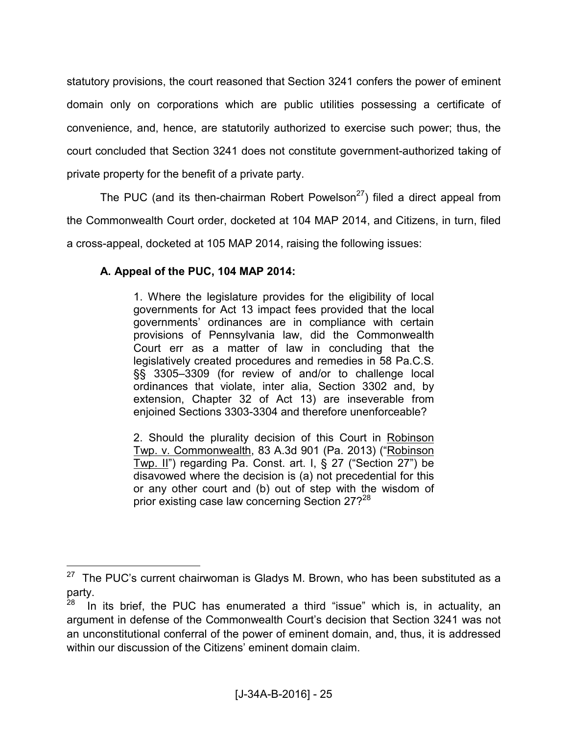statutory provisions, the court reasoned that Section 3241 confers the power of eminent domain only on corporations which are public utilities possessing a certificate of convenience, and, hence, are statutorily authorized to exercise such power; thus, the court concluded that Section 3241 does not constitute government-authorized taking of private property for the benefit of a private party.

The PUC (and its then-chairman Robert Powelson<sup>27</sup>) filed a direct appeal from the Commonwealth Court order, docketed at 104 MAP 2014, and Citizens, in turn, filed a cross-appeal, docketed at 105 MAP 2014, raising the following issues:

# **A. Appeal of the PUC, 104 MAP 2014:**

 $\overline{a}$ 

1. Where the legislature provides for the eligibility of local governments for Act 13 impact fees provided that the local governments' ordinances are in compliance with certain provisions of Pennsylvania law, did the Commonwealth Court err as a matter of law in concluding that the legislatively created procedures and remedies in 58 Pa.C.S. §§ 3305–3309 (for review of and/or to challenge local ordinances that violate, inter alia, Section 3302 and, by extension, Chapter 32 of Act 13) are inseverable from enjoined Sections 3303-3304 and therefore unenforceable?

2. Should the plurality decision of this Court in Robinson Twp. v. Commonwealth, 83 A.3d 901 (Pa. 2013) ("Robinson Twp. II") regarding Pa. Const. art. I, § 27 ("Section 27") be disavowed where the decision is (a) not precedential for this or any other court and (b) out of step with the wisdom of prior existing case law concerning Section 27?<sup>28</sup>

<sup>&</sup>lt;sup>27</sup> The PUC's current chairwoman is Gladys M. Brown, who has been substituted as a party.

In its brief, the PUC has enumerated a third "issue" which is, in actuality, an argument in defense of the Commonwealth Court's decision that Section 3241 was not an unconstitutional conferral of the power of eminent domain, and, thus, it is addressed within our discussion of the Citizens' eminent domain claim.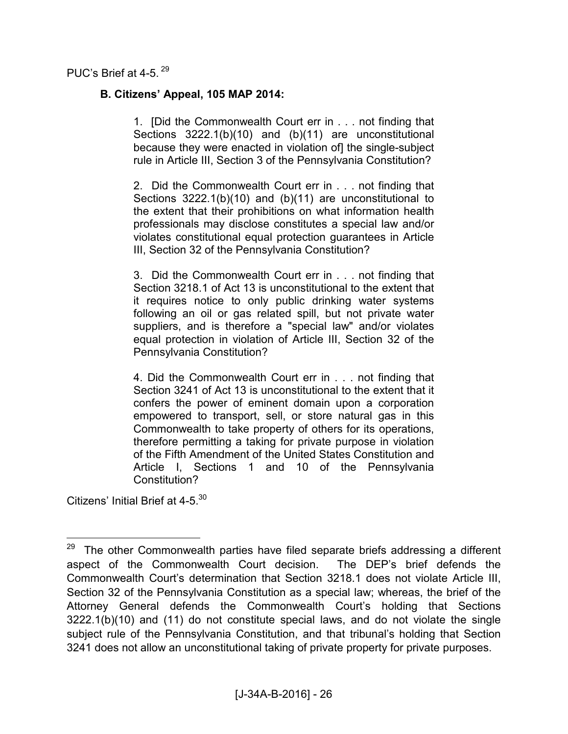PUC's Brief at 4-5.  $^{29}$ 

### **B. Citizens' Appeal, 105 MAP 2014:**

1. [Did the Commonwealth Court err in . . . not finding that Sections 3222.1(b)(10) and (b)(11) are unconstitutional because they were enacted in violation of] the single-subject rule in Article III, Section 3 of the Pennsylvania Constitution?

2. Did the Commonwealth Court err in . . . not finding that Sections 3222.1(b)(10) and (b)(11) are unconstitutional to the extent that their prohibitions on what information health professionals may disclose constitutes a special law and/or violates constitutional equal protection guarantees in Article III, Section 32 of the Pennsylvania Constitution?

3. Did the Commonwealth Court err in . . . not finding that Section 3218.1 of Act 13 is unconstitutional to the extent that it requires notice to only public drinking water systems following an oil or gas related spill, but not private water suppliers, and is therefore a "special law" and/or violates equal protection in violation of Article III, Section 32 of the Pennsylvania Constitution?

4. Did the Commonwealth Court err in . . . not finding that Section 3241 of Act 13 is unconstitutional to the extent that it confers the power of eminent domain upon a corporation empowered to transport, sell, or store natural gas in this Commonwealth to take property of others for its operations, therefore permitting a taking for private purpose in violation of the Fifth Amendment of the United States Constitution and Article I, Sections 1 and 10 of the Pennsylvania Constitution?

Citizens' Initial Brief at 4-5<sup>30</sup>

-

<sup>&</sup>lt;sup>29</sup> The other Commonwealth parties have filed separate briefs addressing a different aspect of the Commonwealth Court decision. The DEP's brief defends the Commonwealth Court's determination that Section 3218.1 does not violate Article III, Section 32 of the Pennsylvania Constitution as a special law; whereas, the brief of the Attorney General defends the Commonwealth Court's holding that Sections 3222.1(b)(10) and (11) do not constitute special laws, and do not violate the single subject rule of the Pennsylvania Constitution, and that tribunal's holding that Section 3241 does not allow an unconstitutional taking of private property for private purposes.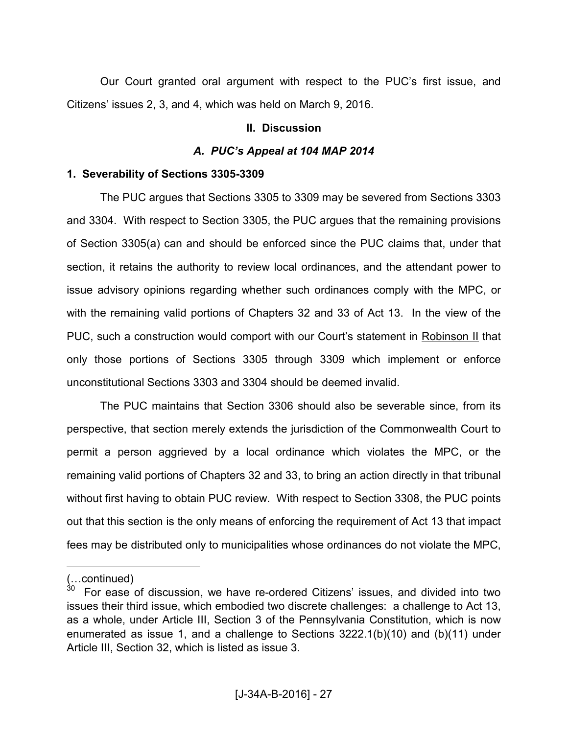Our Court granted oral argument with respect to the PUC's first issue, and Citizens' issues 2, 3, and 4, which was held on March 9, 2016.

### **II. Discussion**

# *A. PUC's Appeal at 104 MAP 2014*

# **1. Severability of Sections 3305-3309**

 The PUC argues that Sections 3305 to 3309 may be severed from Sections 3303 and 3304. With respect to Section 3305, the PUC argues that the remaining provisions of Section 3305(a) can and should be enforced since the PUC claims that, under that section, it retains the authority to review local ordinances, and the attendant power to issue advisory opinions regarding whether such ordinances comply with the MPC, or with the remaining valid portions of Chapters 32 and 33 of Act 13. In the view of the PUC, such a construction would comport with our Court's statement in Robinson II that only those portions of Sections 3305 through 3309 which implement or enforce unconstitutional Sections 3303 and 3304 should be deemed invalid.

 The PUC maintains that Section 3306 should also be severable since, from its perspective, that section merely extends the jurisdiction of the Commonwealth Court to permit a person aggrieved by a local ordinance which violates the MPC, or the remaining valid portions of Chapters 32 and 33, to bring an action directly in that tribunal without first having to obtain PUC review. With respect to Section 3308, the PUC points out that this section is the only means of enforcing the requirement of Act 13 that impact fees may be distributed only to municipalities whose ordinances do not violate the MPC,

<sup>(...</sup>continued)

<sup>30</sup> For ease of discussion, we have re-ordered Citizens' issues, and divided into two issues their third issue, which embodied two discrete challenges: a challenge to Act 13, as a whole, under Article III, Section 3 of the Pennsylvania Constitution, which is now enumerated as issue 1, and a challenge to Sections 3222.1(b)(10) and (b)(11) under Article III, Section 32, which is listed as issue 3.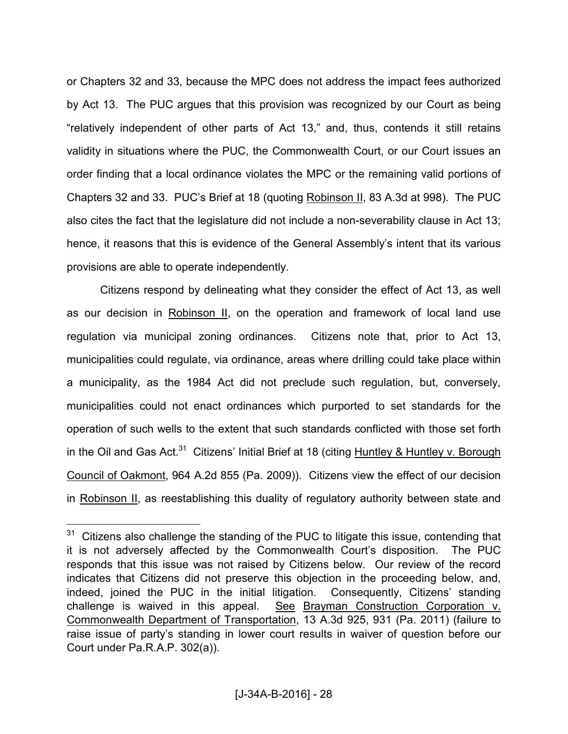or Chapters 32 and 33, because the MPC does not address the impact fees authorized by Act 13. The PUC argues that this provision was recognized by our Court as being "relatively independent of other parts of Act 13," and, thus, contends it still retains validity in situations where the PUC, the Commonwealth Court, or our Court issues an order finding that a local ordinance violates the MPC or the remaining valid portions of Chapters 32 and 33. PUC's Brief at 18 (quoting Robinson II, 83 A.3d at 998). The PUC also cites the fact that the legislature did not include a non-severability clause in Act 13; hence, it reasons that this is evidence of the General Assembly's intent that its various provisions are able to operate independently.

 Citizens respond by delineating what they consider the effect of Act 13, as well as our decision in Robinson II, on the operation and framework of local land use regulation via municipal zoning ordinances. Citizens note that, prior to Act 13, municipalities could regulate, via ordinance, areas where drilling could take place within a municipality, as the 1984 Act did not preclude such regulation, but, conversely, municipalities could not enact ordinances which purported to set standards for the operation of such wells to the extent that such standards conflicted with those set forth in the Oil and Gas Act.<sup>31</sup> Citizens' Initial Brief at 18 (citing Huntley & Huntley v. Borough Council of Oakmont, 964 A.2d 855 (Pa. 2009)). Citizens view the effect of our decision in Robinson II, as reestablishing this duality of regulatory authority between state and

 $31$  Citizens also challenge the standing of the PUC to litigate this issue, contending that it is not adversely affected by the Commonwealth Court's disposition. The PUC responds that this issue was not raised by Citizens below. Our review of the record indicates that Citizens did not preserve this objection in the proceeding below, and, indeed, joined the PUC in the initial litigation. Consequently, Citizens' standing challenge is waived in this appeal. See Brayman Construction Corporation v. Commonwealth Department of Transportation, 13 A.3d 925, 931 (Pa. 2011) (failure to raise issue of party's standing in lower court results in waiver of question before our Court under Pa.R.A.P. 302(a)).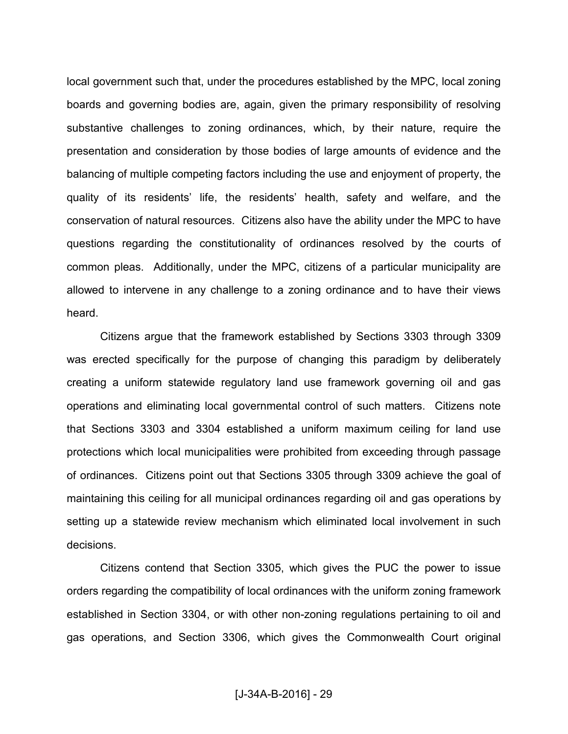local government such that, under the procedures established by the MPC, local zoning boards and governing bodies are, again, given the primary responsibility of resolving substantive challenges to zoning ordinances, which, by their nature, require the presentation and consideration by those bodies of large amounts of evidence and the balancing of multiple competing factors including the use and enjoyment of property, the quality of its residents' life, the residents' health, safety and welfare, and the conservation of natural resources. Citizens also have the ability under the MPC to have questions regarding the constitutionality of ordinances resolved by the courts of common pleas. Additionally, under the MPC, citizens of a particular municipality are allowed to intervene in any challenge to a zoning ordinance and to have their views heard.

 Citizens argue that the framework established by Sections 3303 through 3309 was erected specifically for the purpose of changing this paradigm by deliberately creating a uniform statewide regulatory land use framework governing oil and gas operations and eliminating local governmental control of such matters. Citizens note that Sections 3303 and 3304 established a uniform maximum ceiling for land use protections which local municipalities were prohibited from exceeding through passage of ordinances. Citizens point out that Sections 3305 through 3309 achieve the goal of maintaining this ceiling for all municipal ordinances regarding oil and gas operations by setting up a statewide review mechanism which eliminated local involvement in such decisions.

 Citizens contend that Section 3305, which gives the PUC the power to issue orders regarding the compatibility of local ordinances with the uniform zoning framework established in Section 3304, or with other non-zoning regulations pertaining to oil and gas operations, and Section 3306, which gives the Commonwealth Court original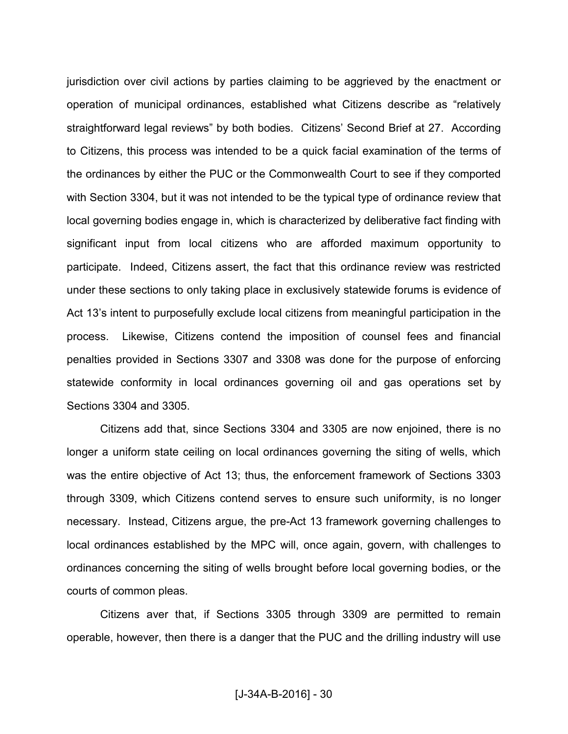jurisdiction over civil actions by parties claiming to be aggrieved by the enactment or operation of municipal ordinances, established what Citizens describe as "relatively straightforward legal reviews" by both bodies. Citizens' Second Brief at 27. According to Citizens, this process was intended to be a quick facial examination of the terms of the ordinances by either the PUC or the Commonwealth Court to see if they comported with Section 3304, but it was not intended to be the typical type of ordinance review that local governing bodies engage in, which is characterized by deliberative fact finding with significant input from local citizens who are afforded maximum opportunity to participate. Indeed, Citizens assert, the fact that this ordinance review was restricted under these sections to only taking place in exclusively statewide forums is evidence of Act 13's intent to purposefully exclude local citizens from meaningful participation in the process. Likewise, Citizens contend the imposition of counsel fees and financial penalties provided in Sections 3307 and 3308 was done for the purpose of enforcing statewide conformity in local ordinances governing oil and gas operations set by Sections 3304 and 3305.

 Citizens add that, since Sections 3304 and 3305 are now enjoined, there is no longer a uniform state ceiling on local ordinances governing the siting of wells, which was the entire objective of Act 13; thus, the enforcement framework of Sections 3303 through 3309, which Citizens contend serves to ensure such uniformity, is no longer necessary. Instead, Citizens argue, the pre-Act 13 framework governing challenges to local ordinances established by the MPC will, once again, govern, with challenges to ordinances concerning the siting of wells brought before local governing bodies, or the courts of common pleas.

 Citizens aver that, if Sections 3305 through 3309 are permitted to remain operable, however, then there is a danger that the PUC and the drilling industry will use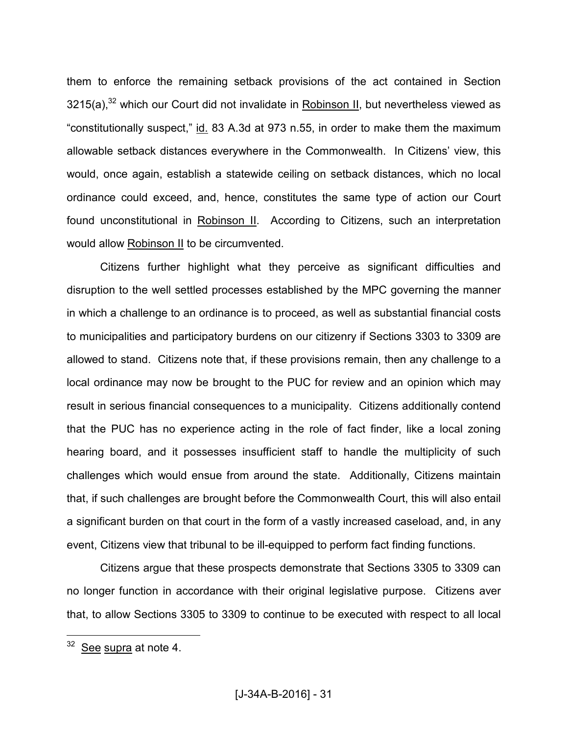them to enforce the remaining setback provisions of the act contained in Section  $3215(a)$ ,<sup>32</sup> which our Court did not invalidate in Robinson II, but nevertheless viewed as "constitutionally suspect," id. 83 A.3d at 973 n.55, in order to make them the maximum allowable setback distances everywhere in the Commonwealth. In Citizens' view, this would, once again, establish a statewide ceiling on setback distances, which no local ordinance could exceed, and, hence, constitutes the same type of action our Court found unconstitutional in Robinson II. According to Citizens, such an interpretation would allow Robinson II to be circumvented.

 Citizens further highlight what they perceive as significant difficulties and disruption to the well settled processes established by the MPC governing the manner in which a challenge to an ordinance is to proceed, as well as substantial financial costs to municipalities and participatory burdens on our citizenry if Sections 3303 to 3309 are allowed to stand. Citizens note that, if these provisions remain, then any challenge to a local ordinance may now be brought to the PUC for review and an opinion which may result in serious financial consequences to a municipality. Citizens additionally contend that the PUC has no experience acting in the role of fact finder, like a local zoning hearing board, and it possesses insufficient staff to handle the multiplicity of such challenges which would ensue from around the state. Additionally, Citizens maintain that, if such challenges are brought before the Commonwealth Court, this will also entail a significant burden on that court in the form of a vastly increased caseload, and, in any event, Citizens view that tribunal to be ill-equipped to perform fact finding functions.

 Citizens argue that these prospects demonstrate that Sections 3305 to 3309 can no longer function in accordance with their original legislative purpose. Citizens aver that, to allow Sections 3305 to 3309 to continue to be executed with respect to all local

<sup>&</sup>lt;sup>32</sup> See supra at note 4.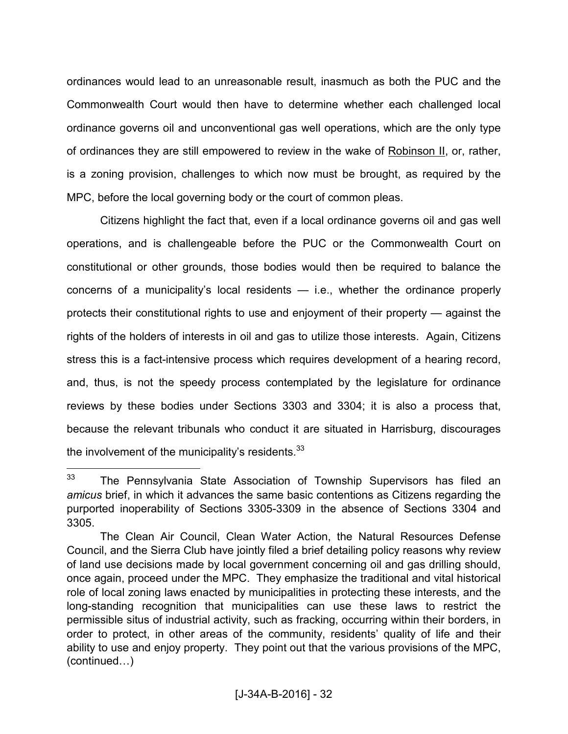ordinances would lead to an unreasonable result, inasmuch as both the PUC and the Commonwealth Court would then have to determine whether each challenged local ordinance governs oil and unconventional gas well operations, which are the only type of ordinances they are still empowered to review in the wake of Robinson II, or, rather, is a zoning provision, challenges to which now must be brought, as required by the MPC, before the local governing body or the court of common pleas.

 Citizens highlight the fact that, even if a local ordinance governs oil and gas well operations, and is challengeable before the PUC or the Commonwealth Court on constitutional or other grounds, those bodies would then be required to balance the concerns of a municipality's local residents — i.e., whether the ordinance properly protects their constitutional rights to use and enjoyment of their property — against the rights of the holders of interests in oil and gas to utilize those interests. Again, Citizens stress this is a fact-intensive process which requires development of a hearing record, and, thus, is not the speedy process contemplated by the legislature for ordinance reviews by these bodies under Sections 3303 and 3304; it is also a process that, because the relevant tribunals who conduct it are situated in Harrisburg, discourages the involvement of the municipality's residents. $^{33}$ 

<sup>&</sup>lt;sup>33</sup> The Pennsylvania State Association of Township Supervisors has filed an *amicus* brief, in which it advances the same basic contentions as Citizens regarding the purported inoperability of Sections 3305-3309 in the absence of Sections 3304 and 3305.

The Clean Air Council, Clean Water Action, the Natural Resources Defense Council, and the Sierra Club have jointly filed a brief detailing policy reasons why review of land use decisions made by local government concerning oil and gas drilling should, once again, proceed under the MPC. They emphasize the traditional and vital historical role of local zoning laws enacted by municipalities in protecting these interests, and the long-standing recognition that municipalities can use these laws to restrict the permissible situs of industrial activity, such as fracking, occurring within their borders, in order to protect, in other areas of the community, residents' quality of life and their ability to use and enjoy property. They point out that the various provisions of the MPC,  $(continued...)$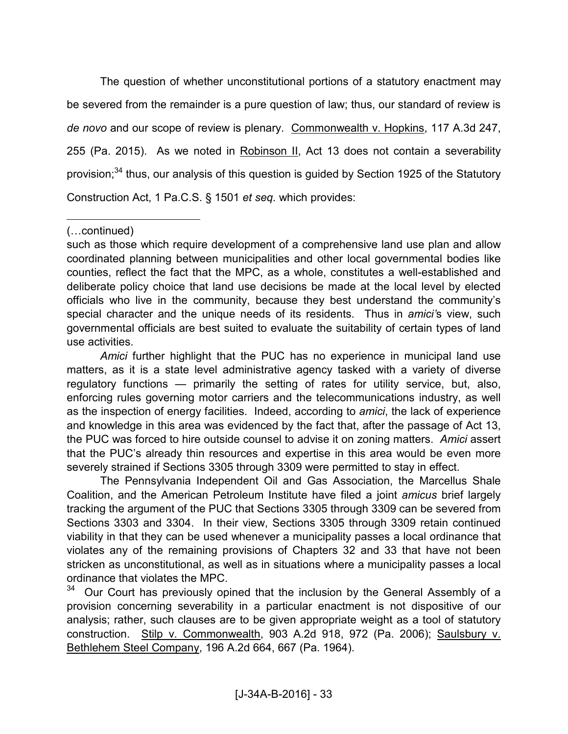The question of whether unconstitutional portions of a statutory enactment may be severed from the remainder is a pure question of law; thus, our standard of review is *de novo* and our scope of review is plenary. Commonwealth v. Hopkins, 117 A.3d 247, 255 (Pa. 2015). As we noted in Robinson II, Act 13 does not contain a severability provision; $34$  thus, our analysis of this question is guided by Section 1925 of the Statutory Construction Act, 1 Pa.C.S. § 1501 *et seq.* which provides:

 $\overline{a}$ 

*Amici* further highlight that the PUC has no experience in municipal land use matters, as it is a state level administrative agency tasked with a variety of diverse regulatory functions — primarily the setting of rates for utility service, but, also, enforcing rules governing motor carriers and the telecommunications industry, as well as the inspection of energy facilities. Indeed, according to *amici*, the lack of experience and knowledge in this area was evidenced by the fact that, after the passage of Act 13, the PUC was forced to hire outside counsel to advise it on zoning matters. *Amici* assert that the PUC's already thin resources and expertise in this area would be even more severely strained if Sections 3305 through 3309 were permitted to stay in effect.

 The Pennsylvania Independent Oil and Gas Association, the Marcellus Shale Coalition, and the American Petroleum Institute have filed a joint *amicus* brief largely tracking the argument of the PUC that Sections 3305 through 3309 can be severed from Sections 3303 and 3304. In their view, Sections 3305 through 3309 retain continued viability in that they can be used whenever a municipality passes a local ordinance that violates any of the remaining provisions of Chapters 32 and 33 that have not been stricken as unconstitutional, as well as in situations where a municipality passes a local ordinance that violates the MPC.

Our Court has previously opined that the inclusion by the General Assembly of a provision concerning severability in a particular enactment is not dispositive of our analysis; rather, such clauses are to be given appropriate weight as a tool of statutory construction. Stilp v. Commonwealth, 903 A.2d 918, 972 (Pa. 2006); Saulsbury v. Bethlehem Steel Company, 196 A.2d 664, 667 (Pa. 1964).

<sup>(...</sup>continued)

such as those which require development of a comprehensive land use plan and allow coordinated planning between municipalities and other local governmental bodies like counties, reflect the fact that the MPC, as a whole, constitutes a well-established and deliberate policy choice that land use decisions be made at the local level by elected officials who live in the community, because they best understand the community's special character and the unique needs of its residents. Thus in *amici'*s view, such governmental officials are best suited to evaluate the suitability of certain types of land use activities.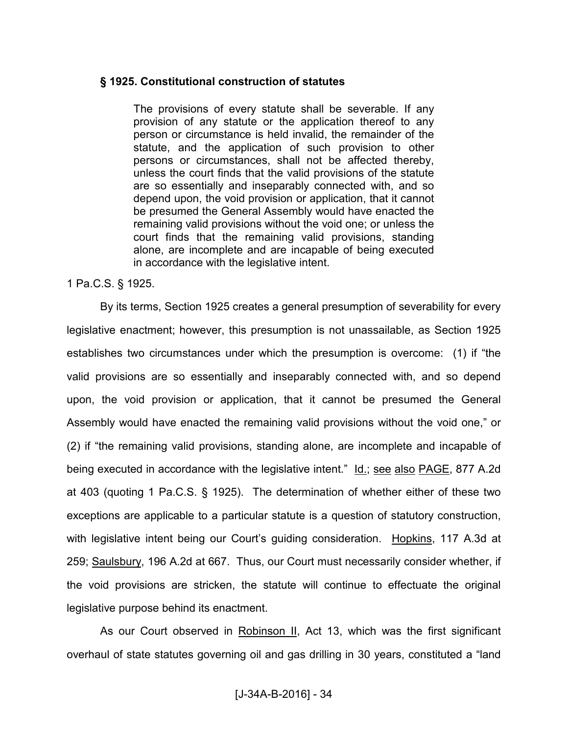#### **§ 1925. Constitutional construction of statutes**

The provisions of every statute shall be severable. If any provision of any statute or the application thereof to any person or circumstance is held invalid, the remainder of the statute, and the application of such provision to other persons or circumstances, shall not be affected thereby, unless the court finds that the valid provisions of the statute are so essentially and inseparably connected with, and so depend upon, the void provision or application, that it cannot be presumed the General Assembly would have enacted the remaining valid provisions without the void one; or unless the court finds that the remaining valid provisions, standing alone, are incomplete and are incapable of being executed in accordance with the legislative intent.

#### 1 Pa.C.S. § 1925.

 By its terms, Section 1925 creates a general presumption of severability for every legislative enactment; however, this presumption is not unassailable, as Section 1925 establishes two circumstances under which the presumption is overcome: (1) if "the valid provisions are so essentially and inseparably connected with, and so depend upon, the void provision or application, that it cannot be presumed the General Assembly would have enacted the remaining valid provisions without the void one," or (2) if "the remaining valid provisions, standing alone, are incomplete and incapable of being executed in accordance with the legislative intent." Id.; see also PAGE, 877 A.2d at 403 (quoting 1 Pa.C.S. § 1925). The determination of whether either of these two exceptions are applicable to a particular statute is a question of statutory construction, with legislative intent being our Court's guiding consideration. Hopkins, 117 A.3d at 259; Saulsbury, 196 A.2d at 667. Thus, our Court must necessarily consider whether, if the void provisions are stricken, the statute will continue to effectuate the original legislative purpose behind its enactment.

As our Court observed in Robinson II, Act 13, which was the first significant overhaul of state statutes governing oil and gas drilling in 30 years, constituted a "land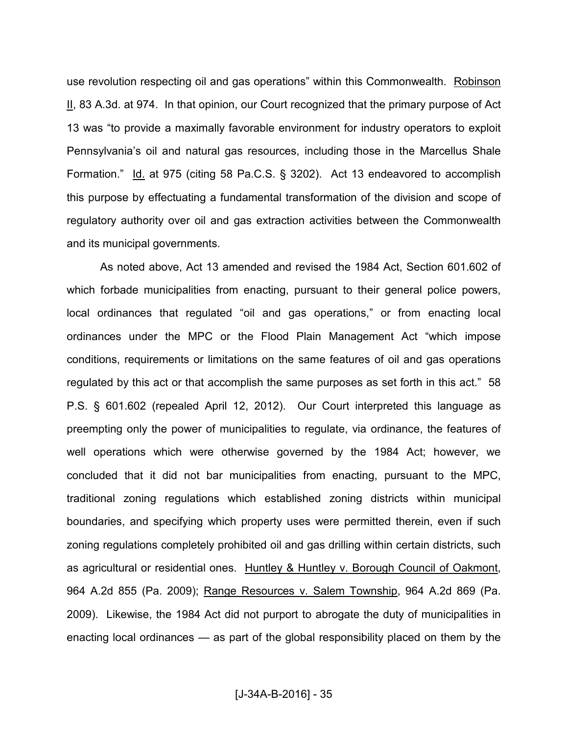use revolution respecting oil and gas operations" within this Commonwealth. Robinson II, 83 A.3d. at 974. In that opinion, our Court recognized that the primary purpose of Act 13 was "to provide a maximally favorable environment for industry operators to exploit Pennsylvania's oil and natural gas resources, including those in the Marcellus Shale Formation." Id. at 975 (citing 58 Pa.C.S. § 3202). Act 13 endeavored to accomplish this purpose by effectuating a fundamental transformation of the division and scope of regulatory authority over oil and gas extraction activities between the Commonwealth and its municipal governments.

 As noted above, Act 13 amended and revised the 1984 Act, Section 601.602 of which forbade municipalities from enacting, pursuant to their general police powers, local ordinances that regulated "oil and gas operations," or from enacting local ordinances under the MPC or the Flood Plain Management Act "which impose conditions, requirements or limitations on the same features of oil and gas operations regulated by this act or that accomplish the same purposes as set forth in this act." 58 P.S. § 601.602 (repealed April 12, 2012). Our Court interpreted this language as preempting only the power of municipalities to regulate, via ordinance, the features of well operations which were otherwise governed by the 1984 Act; however, we concluded that it did not bar municipalities from enacting, pursuant to the MPC, traditional zoning regulations which established zoning districts within municipal boundaries, and specifying which property uses were permitted therein, even if such zoning regulations completely prohibited oil and gas drilling within certain districts, such as agricultural or residential ones. Huntley & Huntley v. Borough Council of Oakmont, 964 A.2d 855 (Pa. 2009); Range Resources v. Salem Township, 964 A.2d 869 (Pa. 2009). Likewise, the 1984 Act did not purport to abrogate the duty of municipalities in enacting local ordinances — as part of the global responsibility placed on them by the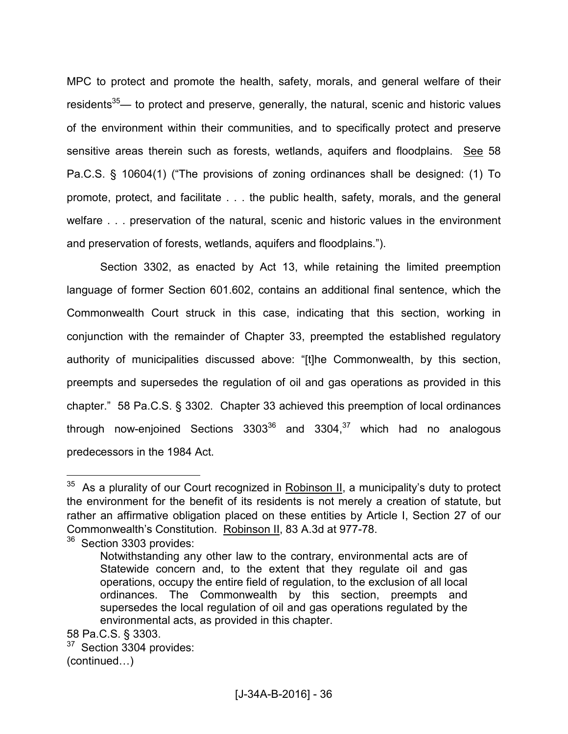MPC to protect and promote the health, safety, morals, and general welfare of their residents<sup>35</sup>— to protect and preserve, generally, the natural, scenic and historic values of the environment within their communities, and to specifically protect and preserve sensitive areas therein such as forests, wetlands, aquifers and floodplains. See 58 Pa.C.S. § 10604(1) ("The provisions of zoning ordinances shall be designed: (1) To promote, protect, and facilitate . . . the public health, safety, morals, and the general welfare . . . preservation of the natural, scenic and historic values in the environment and preservation of forests, wetlands, aquifers and floodplains.").

 Section 3302, as enacted by Act 13, while retaining the limited preemption language of former Section 601.602, contains an additional final sentence, which the Commonwealth Court struck in this case, indicating that this section, working in conjunction with the remainder of Chapter 33, preempted the established regulatory authority of municipalities discussed above: "[t]he Commonwealth, by this section, preempts and supersedes the regulation of oil and gas operations as provided in this chapter." 58 Pa.C.S. § 3302. Chapter 33 achieved this preemption of local ordinances through now-enjoined Sections  $3303^{36}$  and  $3304$ , <sup>37</sup> which had no analogous predecessors in the 1984 Act.

 $35$  As a plurality of our Court recognized in Robinson II, a municipality's duty to protect the environment for the benefit of its residents is not merely a creation of statute, but rather an affirmative obligation placed on these entities by Article I, Section 27 of our Commonwealth's Constitution. Robinson II, 83 A.3d at 977-78.

<sup>&</sup>lt;sup>36</sup> Section 3303 provides:

Notwithstanding any other law to the contrary, environmental acts are of Statewide concern and, to the extent that they regulate oil and gas operations, occupy the entire field of regulation, to the exclusion of all local ordinances. The Commonwealth by this section, preempts and supersedes the local regulation of oil and gas operations regulated by the environmental acts, as provided in this chapter.

<sup>58</sup> Pa.C.S. § 3303.

<sup>&</sup>lt;sup>37</sup> Section 3304 provides:  $(continued...)$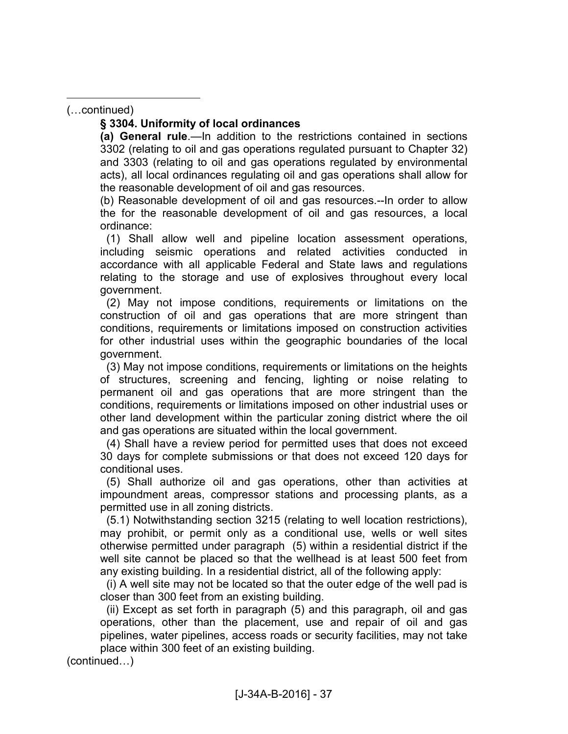(...continued)

 $\overline{a}$ 

#### **§ 3304. Uniformity of local ordinances**

**(a) General rule**.—In addition to the restrictions contained in sections 3302 (relating to oil and gas operations regulated pursuant to Chapter 32) and 3303 (relating to oil and gas operations regulated by environmental acts), all local ordinances regulating oil and gas operations shall allow for the reasonable development of oil and gas resources.

(b) Reasonable development of oil and gas resources.--In order to allow the for the reasonable development of oil and gas resources, a local ordinance:

 (1) Shall allow well and pipeline location assessment operations, including seismic operations and related activities conducted in accordance with all applicable Federal and State laws and regulations relating to the storage and use of explosives throughout every local government.

 (2) May not impose conditions, requirements or limitations on the construction of oil and gas operations that are more stringent than conditions, requirements or limitations imposed on construction activities for other industrial uses within the geographic boundaries of the local government.

 (3) May not impose conditions, requirements or limitations on the heights of structures, screening and fencing, lighting or noise relating to permanent oil and gas operations that are more stringent than the conditions, requirements or limitations imposed on other industrial uses or other land development within the particular zoning district where the oil and gas operations are situated within the local government.

 (4) Shall have a review period for permitted uses that does not exceed 30 days for complete submissions or that does not exceed 120 days for conditional uses.

 (5) Shall authorize oil and gas operations, other than activities at impoundment areas, compressor stations and processing plants, as a permitted use in all zoning districts.

 (5.1) Notwithstanding section 3215 (relating to well location restrictions), may prohibit, or permit only as a conditional use, wells or well sites otherwise permitted under paragraph (5) within a residential district if the well site cannot be placed so that the wellhead is at least 500 feet from any existing building. In a residential district, all of the following apply:

 (i) A well site may not be located so that the outer edge of the well pad is closer than 300 feet from an existing building.

 (ii) Except as set forth in paragraph (5) and this paragraph, oil and gas operations, other than the placement, use and repair of oil and gas pipelines, water pipelines, access roads or security facilities, may not take place within 300 feet of an existing building.

 $(continued...)$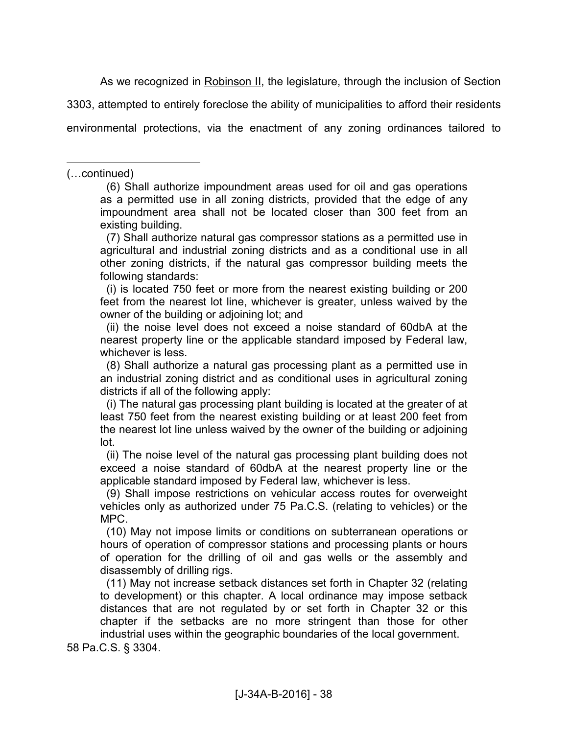As we recognized in Robinson II, the legislature, through the inclusion of Section

3303, attempted to entirely foreclose the ability of municipalities to afford their residents

environmental protections, via the enactment of any zoning ordinances tailored to

(...continued)

 $\overline{a}$ 

 (6) Shall authorize impoundment areas used for oil and gas operations as a permitted use in all zoning districts, provided that the edge of any impoundment area shall not be located closer than 300 feet from an existing building.

 (7) Shall authorize natural gas compressor stations as a permitted use in agricultural and industrial zoning districts and as a conditional use in all other zoning districts, if the natural gas compressor building meets the following standards:

 (i) is located 750 feet or more from the nearest existing building or 200 feet from the nearest lot line, whichever is greater, unless waived by the owner of the building or adjoining lot; and

 (ii) the noise level does not exceed a noise standard of 60dbA at the nearest property line or the applicable standard imposed by Federal law, whichever is less.

 (8) Shall authorize a natural gas processing plant as a permitted use in an industrial zoning district and as conditional uses in agricultural zoning districts if all of the following apply:

 (i) The natural gas processing plant building is located at the greater of at least 750 feet from the nearest existing building or at least 200 feet from the nearest lot line unless waived by the owner of the building or adjoining lot.

 (ii) The noise level of the natural gas processing plant building does not exceed a noise standard of 60dbA at the nearest property line or the applicable standard imposed by Federal law, whichever is less.

 (9) Shall impose restrictions on vehicular access routes for overweight vehicles only as authorized under 75 Pa.C.S. (relating to vehicles) or the MPC.

 (10) May not impose limits or conditions on subterranean operations or hours of operation of compressor stations and processing plants or hours of operation for the drilling of oil and gas wells or the assembly and disassembly of drilling rigs.

 (11) May not increase setback distances set forth in Chapter 32 (relating to development) or this chapter. A local ordinance may impose setback distances that are not regulated by or set forth in Chapter 32 or this chapter if the setbacks are no more stringent than those for other industrial uses within the geographic boundaries of the local government.

58 Pa.C.S. § 3304.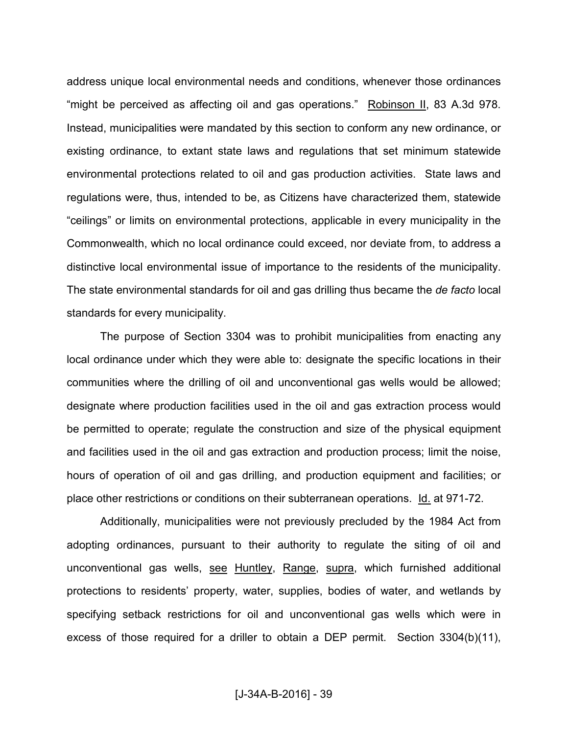address unique local environmental needs and conditions, whenever those ordinances "might be perceived as affecting oil and gas operations." Robinson II, 83 A.3d 978. Instead, municipalities were mandated by this section to conform any new ordinance, or existing ordinance, to extant state laws and regulations that set minimum statewide environmental protections related to oil and gas production activities. State laws and regulations were, thus, intended to be, as Citizens have characterized them, statewide "ceilings" or limits on environmental protections, applicable in every municipality in the Commonwealth, which no local ordinance could exceed, nor deviate from, to address a distinctive local environmental issue of importance to the residents of the municipality. The state environmental standards for oil and gas drilling thus became the *de facto* local standards for every municipality.

 The purpose of Section 3304 was to prohibit municipalities from enacting any local ordinance under which they were able to: designate the specific locations in their communities where the drilling of oil and unconventional gas wells would be allowed; designate where production facilities used in the oil and gas extraction process would be permitted to operate; regulate the construction and size of the physical equipment and facilities used in the oil and gas extraction and production process; limit the noise, hours of operation of oil and gas drilling, and production equipment and facilities; or place other restrictions or conditions on their subterranean operations. Id. at 971-72.

 Additionally, municipalities were not previously precluded by the 1984 Act from adopting ordinances, pursuant to their authority to regulate the siting of oil and unconventional gas wells, see Huntley, Range, supra, which furnished additional protections to residents' property, water, supplies, bodies of water, and wetlands by specifying setback restrictions for oil and unconventional gas wells which were in excess of those required for a driller to obtain a DEP permit. Section 3304(b)(11),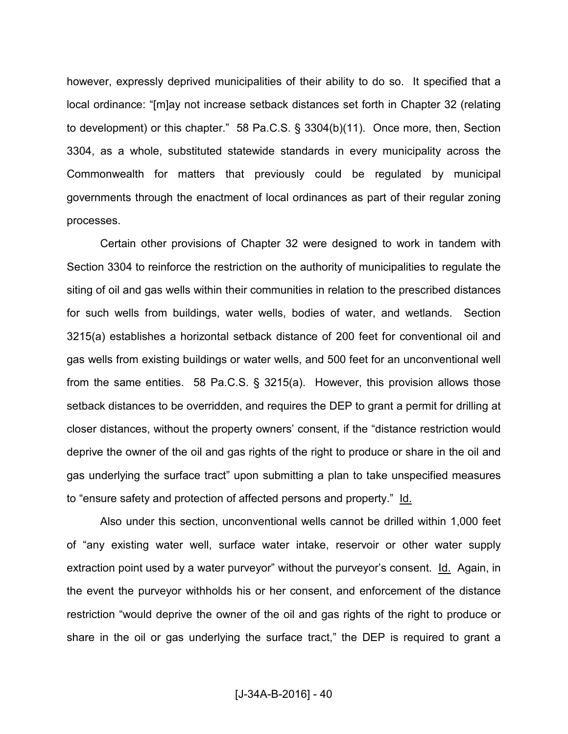however, expressly deprived municipalities of their ability to do so. It specified that a local ordinance: "[m]ay not increase setback distances set forth in Chapter 32 (relating to development) or this chapter." 58 Pa.C.S. § 3304(b)(11). Once more, then, Section 3304, as a whole, substituted statewide standards in every municipality across the Commonwealth for matters that previously could be regulated by municipal governments through the enactment of local ordinances as part of their regular zoning processes.

 Certain other provisions of Chapter 32 were designed to work in tandem with Section 3304 to reinforce the restriction on the authority of municipalities to regulate the siting of oil and gas wells within their communities in relation to the prescribed distances for such wells from buildings, water wells, bodies of water, and wetlands. Section 3215(a) establishes a horizontal setback distance of 200 feet for conventional oil and gas wells from existing buildings or water wells, and 500 feet for an unconventional well from the same entities. 58 Pa.C.S. § 3215(a). However, this provision allows those setback distances to be overridden, and requires the DEP to grant a permit for drilling at closer distances, without the property owners' consent, if the "distance restriction would deprive the owner of the oil and gas rights of the right to produce or share in the oil and gas underlying the surface tract" upon submitting a plan to take unspecified measures to "ensure safety and protection of affected persons and property." Id.

 Also under this section, unconventional wells cannot be drilled within 1,000 feet of "any existing water well, surface water intake, reservoir or other water supply extraction point used by a water purveyor" without the purveyor's consent. Id. Again, in the event the purveyor withholds his or her consent, and enforcement of the distance restriction "would deprive the owner of the oil and gas rights of the right to produce or share in the oil or gas underlying the surface tract," the DEP is required to grant a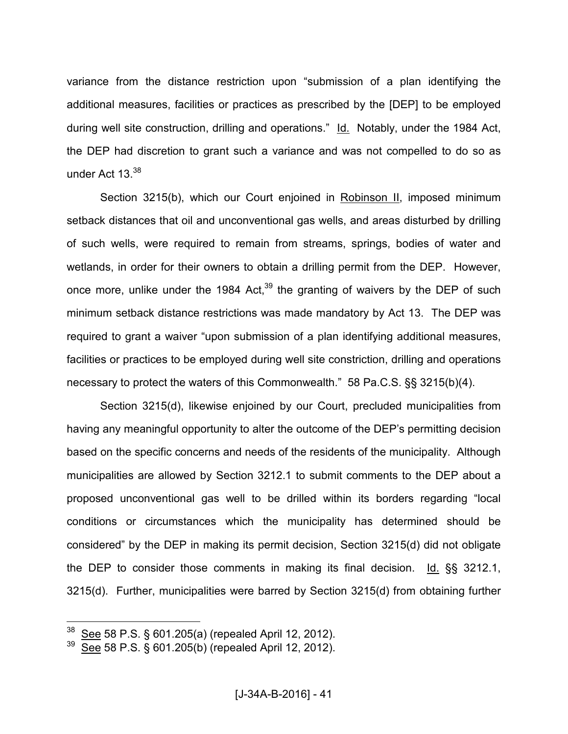variance from the distance restriction upon "submission of a plan identifying the additional measures, facilities or practices as prescribed by the [DEP] to be employed during well site construction, drilling and operations." Id. Notably, under the 1984 Act, the DEP had discretion to grant such a variance and was not compelled to do so as under Act 13.<sup>38</sup>

 Section 3215(b), which our Court enjoined in Robinson II, imposed minimum setback distances that oil and unconventional gas wells, and areas disturbed by drilling of such wells, were required to remain from streams, springs, bodies of water and wetlands, in order for their owners to obtain a drilling permit from the DEP. However, once more, unlike under the 1984 Act, $39$  the granting of waivers by the DEP of such minimum setback distance restrictions was made mandatory by Act 13. The DEP was required to grant a waiver "upon submission of a plan identifying additional measures, facilities or practices to be employed during well site constriction, drilling and operations necessary to protect the waters of this Commonwealth." 58 Pa.C.S. §§ 3215(b)(4).

 Section 3215(d), likewise enjoined by our Court, precluded municipalities from having any meaningful opportunity to alter the outcome of the DEP's permitting decision based on the specific concerns and needs of the residents of the municipality. Although municipalities are allowed by Section 3212.1 to submit comments to the DEP about a proposed unconventional gas well to be drilled within its borders regarding "local conditions or circumstances which the municipality has determined should be considered" by the DEP in making its permit decision, Section 3215(d) did not obligate the DEP to consider those comments in making its final decision. Id. §§ 3212.1, 3215(d). Further, municipalities were barred by Section 3215(d) from obtaining further

See 58 P.S. § 601.205(a) (repealed April 12, 2012).

<sup>39</sup> See 58 P.S. § 601.205(b) (repealed April 12, 2012).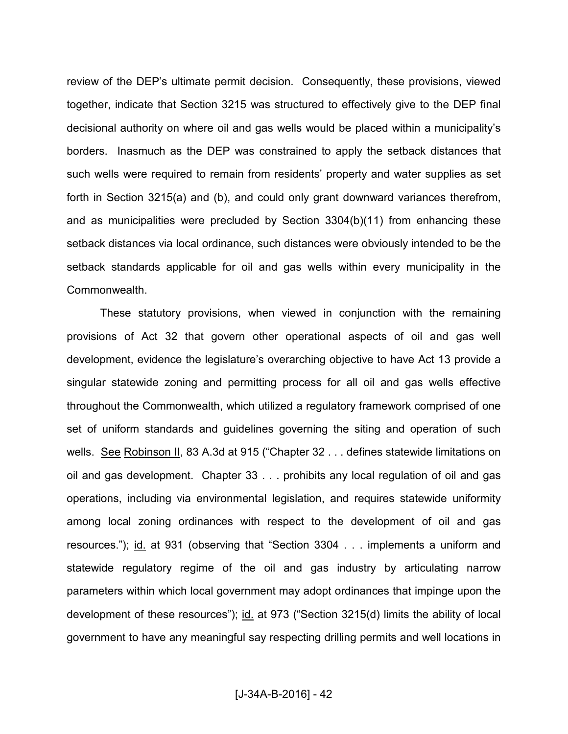review of the DEP's ultimate permit decision. Consequently, these provisions, viewed together, indicate that Section 3215 was structured to effectively give to the DEP final decisional authority on where oil and gas wells would be placed within a municipality's borders. Inasmuch as the DEP was constrained to apply the setback distances that such wells were required to remain from residents' property and water supplies as set forth in Section 3215(a) and (b), and could only grant downward variances therefrom, and as municipalities were precluded by Section 3304(b)(11) from enhancing these setback distances via local ordinance, such distances were obviously intended to be the setback standards applicable for oil and gas wells within every municipality in the Commonwealth.

 These statutory provisions, when viewed in conjunction with the remaining provisions of Act 32 that govern other operational aspects of oil and gas well development, evidence the legislature's overarching objective to have Act 13 provide a singular statewide zoning and permitting process for all oil and gas wells effective throughout the Commonwealth, which utilized a regulatory framework comprised of one set of uniform standards and guidelines governing the siting and operation of such wells. See Robinson II, 83 A.3d at 915 ("Chapter 32 . . . defines statewide limitations on oil and gas development. Chapter 33 . . . prohibits any local regulation of oil and gas operations, including via environmental legislation, and requires statewide uniformity among local zoning ordinances with respect to the development of oil and gas resources."); id. at 931 (observing that "Section 3304 . . . implements a uniform and statewide regulatory regime of the oil and gas industry by articulating narrow parameters within which local government may adopt ordinances that impinge upon the development of these resources"); id. at 973 ("Section 3215(d) limits the ability of local government to have any meaningful say respecting drilling permits and well locations in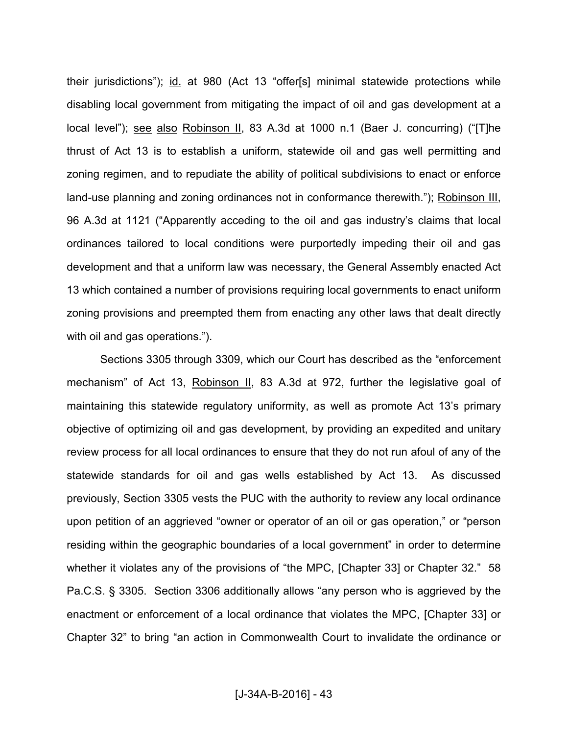their jurisdictions"); id. at 980 (Act 13 "offer[s] minimal statewide protections while disabling local government from mitigating the impact of oil and gas development at a local level"); see also Robinson II, 83 A.3d at 1000 n.1 (Baer J. concurring) ("[T]he thrust of Act 13 is to establish a uniform, statewide oil and gas well permitting and zoning regimen, and to repudiate the ability of political subdivisions to enact or enforce land-use planning and zoning ordinances not in conformance therewith."); Robinson III, 96 A.3d at 1121 ("Apparently acceding to the oil and gas industry's claims that local ordinances tailored to local conditions were purportedly impeding their oil and gas development and that a uniform law was necessary, the General Assembly enacted Act 13 which contained a number of provisions requiring local governments to enact uniform zoning provisions and preempted them from enacting any other laws that dealt directly with oil and gas operations.").

 Sections 3305 through 3309, which our Court has described as the "enforcement mechanism" of Act 13, Robinson II, 83 A.3d at 972, further the legislative goal of maintaining this statewide regulatory uniformity, as well as promote Act 13's primary objective of optimizing oil and gas development, by providing an expedited and unitary review process for all local ordinances to ensure that they do not run afoul of any of the statewide standards for oil and gas wells established by Act 13. As discussed previously, Section 3305 vests the PUC with the authority to review any local ordinance upon petition of an aggrieved "owner or operator of an oil or gas operation," or "person residing within the geographic boundaries of a local government" in order to determine whether it violates any of the provisions of "the MPC, [Chapter 33] or Chapter 32." 58 Pa.C.S. § 3305. Section 3306 additionally allows "any person who is aggrieved by the enactment or enforcement of a local ordinance that violates the MPC, [Chapter 33] or Chapter 32" to bring "an action in Commonwealth Court to invalidate the ordinance or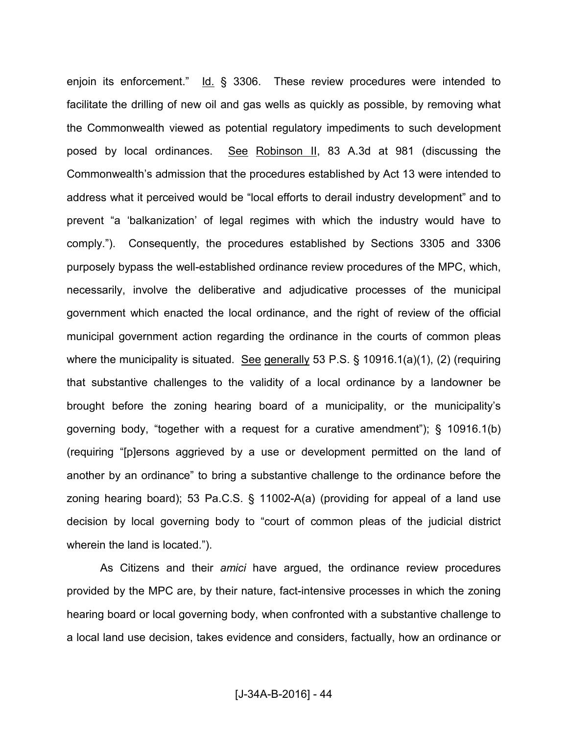enjoin its enforcement." Id. § 3306. These review procedures were intended to facilitate the drilling of new oil and gas wells as quickly as possible, by removing what the Commonwealth viewed as potential regulatory impediments to such development posed by local ordinances. See Robinson II, 83 A.3d at 981 (discussing the Commonwealth's admission that the procedures established by Act 13 were intended to address what it perceived would be "local efforts to derail industry development" and to prevent "a 'balkanization' of legal regimes with which the industry would have to comply."). Consequently, the procedures established by Sections 3305 and 3306 purposely bypass the well-established ordinance review procedures of the MPC, which, necessarily, involve the deliberative and adjudicative processes of the municipal government which enacted the local ordinance, and the right of review of the official municipal government action regarding the ordinance in the courts of common pleas where the municipality is situated. See generally 53 P.S. § 10916.1(a)(1), (2) (requiring that substantive challenges to the validity of a local ordinance by a landowner be brought before the zoning hearing board of a municipality, or the municipality's governing body, "together with a request for a curative amendment"); § 10916.1(b) (requiring "[p]ersons aggrieved by a use or development permitted on the land of another by an ordinance" to bring a substantive challenge to the ordinance before the zoning hearing board); 53 Pa.C.S. § 11002-A(a) (providing for appeal of a land use decision by local governing body to "court of common pleas of the judicial district wherein the land is located.").

 As Citizens and their *amici* have argued, the ordinance review procedures provided by the MPC are, by their nature, fact-intensive processes in which the zoning hearing board or local governing body, when confronted with a substantive challenge to a local land use decision, takes evidence and considers, factually, how an ordinance or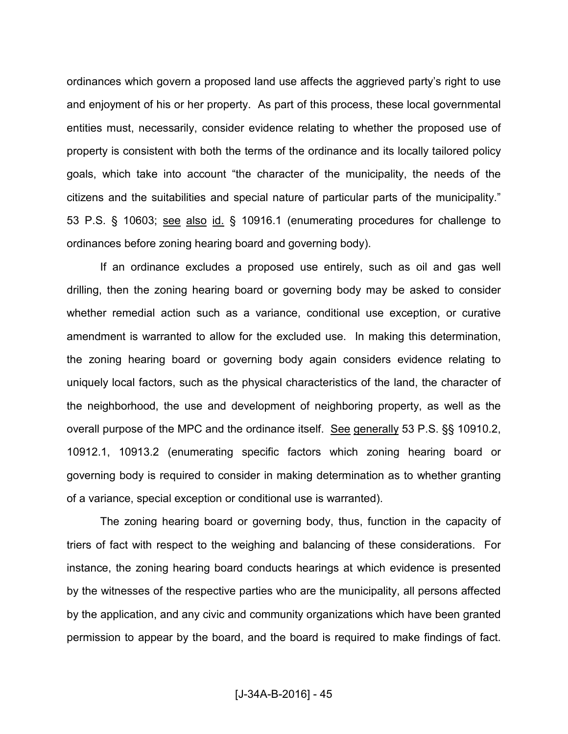ordinances which govern a proposed land use affects the aggrieved party's right to use and enjoyment of his or her property. As part of this process, these local governmental entities must, necessarily, consider evidence relating to whether the proposed use of property is consistent with both the terms of the ordinance and its locally tailored policy goals, which take into account "the character of the municipality, the needs of the citizens and the suitabilities and special nature of particular parts of the municipality." 53 P.S. § 10603; see also id. § 10916.1 (enumerating procedures for challenge to ordinances before zoning hearing board and governing body).

 If an ordinance excludes a proposed use entirely, such as oil and gas well drilling, then the zoning hearing board or governing body may be asked to consider whether remedial action such as a variance, conditional use exception, or curative amendment is warranted to allow for the excluded use. In making this determination, the zoning hearing board or governing body again considers evidence relating to uniquely local factors, such as the physical characteristics of the land, the character of the neighborhood, the use and development of neighboring property, as well as the overall purpose of the MPC and the ordinance itself. See generally 53 P.S. §§ 10910.2, 10912.1, 10913.2 (enumerating specific factors which zoning hearing board or governing body is required to consider in making determination as to whether granting of a variance, special exception or conditional use is warranted).

 The zoning hearing board or governing body, thus, function in the capacity of triers of fact with respect to the weighing and balancing of these considerations. For instance, the zoning hearing board conducts hearings at which evidence is presented by the witnesses of the respective parties who are the municipality, all persons affected by the application, and any civic and community organizations which have been granted permission to appear by the board, and the board is required to make findings of fact.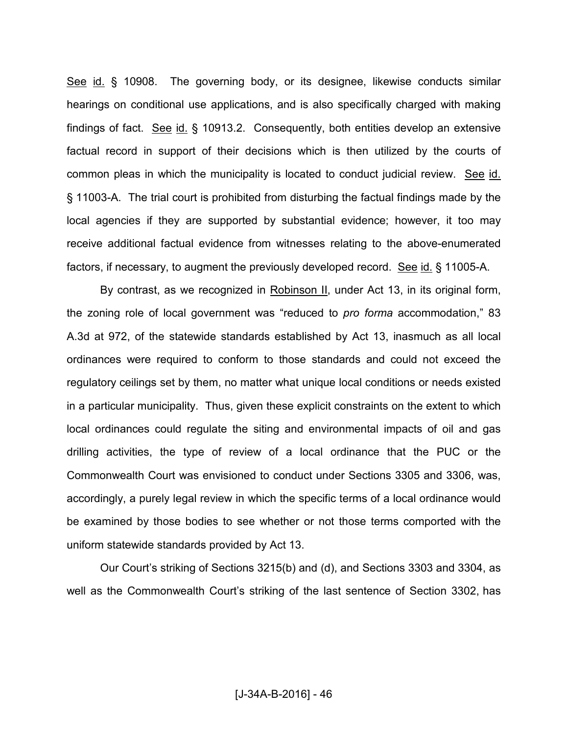See id. § 10908. The governing body, or its designee, likewise conducts similar hearings on conditional use applications, and is also specifically charged with making findings of fact. See id. § 10913.2. Consequently, both entities develop an extensive factual record in support of their decisions which is then utilized by the courts of common pleas in which the municipality is located to conduct judicial review. See id. § 11003-A. The trial court is prohibited from disturbing the factual findings made by the local agencies if they are supported by substantial evidence; however, it too may receive additional factual evidence from witnesses relating to the above-enumerated factors, if necessary, to augment the previously developed record. See id. § 11005-A.

By contrast, as we recognized in Robinson II, under Act 13, in its original form, the zoning role of local government was "reduced to *pro forma* accommodation," 83 A.3d at 972, of the statewide standards established by Act 13, inasmuch as all local ordinances were required to conform to those standards and could not exceed the regulatory ceilings set by them, no matter what unique local conditions or needs existed in a particular municipality. Thus, given these explicit constraints on the extent to which local ordinances could regulate the siting and environmental impacts of oil and gas drilling activities, the type of review of a local ordinance that the PUC or the Commonwealth Court was envisioned to conduct under Sections 3305 and 3306, was, accordingly, a purely legal review in which the specific terms of a local ordinance would be examined by those bodies to see whether or not those terms comported with the uniform statewide standards provided by Act 13.

 Our Court's striking of Sections 3215(b) and (d), and Sections 3303 and 3304, as well as the Commonwealth Court's striking of the last sentence of Section 3302, has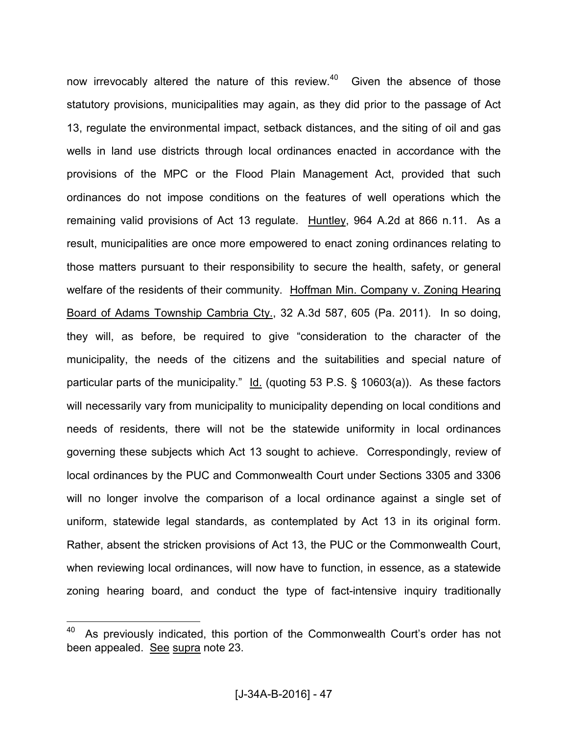now irrevocably altered the nature of this review. $40$  Given the absence of those statutory provisions, municipalities may again, as they did prior to the passage of Act 13, regulate the environmental impact, setback distances, and the siting of oil and gas wells in land use districts through local ordinances enacted in accordance with the provisions of the MPC or the Flood Plain Management Act, provided that such ordinances do not impose conditions on the features of well operations which the remaining valid provisions of Act 13 regulate. Huntley, 964 A.2d at 866 n.11. As a result, municipalities are once more empowered to enact zoning ordinances relating to those matters pursuant to their responsibility to secure the health, safety, or general welfare of the residents of their community. Hoffman Min. Company v. Zoning Hearing Board of Adams Township Cambria Cty., 32 A.3d 587, 605 (Pa. 2011). In so doing, they will, as before, be required to give "consideration to the character of the municipality, the needs of the citizens and the suitabilities and special nature of particular parts of the municipality." Id. (quoting 53 P.S. § 10603(a)). As these factors will necessarily vary from municipality to municipality depending on local conditions and needs of residents, there will not be the statewide uniformity in local ordinances governing these subjects which Act 13 sought to achieve. Correspondingly, review of local ordinances by the PUC and Commonwealth Court under Sections 3305 and 3306 will no longer involve the comparison of a local ordinance against a single set of uniform, statewide legal standards, as contemplated by Act 13 in its original form. Rather, absent the stricken provisions of Act 13, the PUC or the Commonwealth Court, when reviewing local ordinances, will now have to function, in essence, as a statewide zoning hearing board, and conduct the type of fact-intensive inquiry traditionally

 $40$  As previously indicated, this portion of the Commonwealth Court's order has not been appealed. See supra note 23.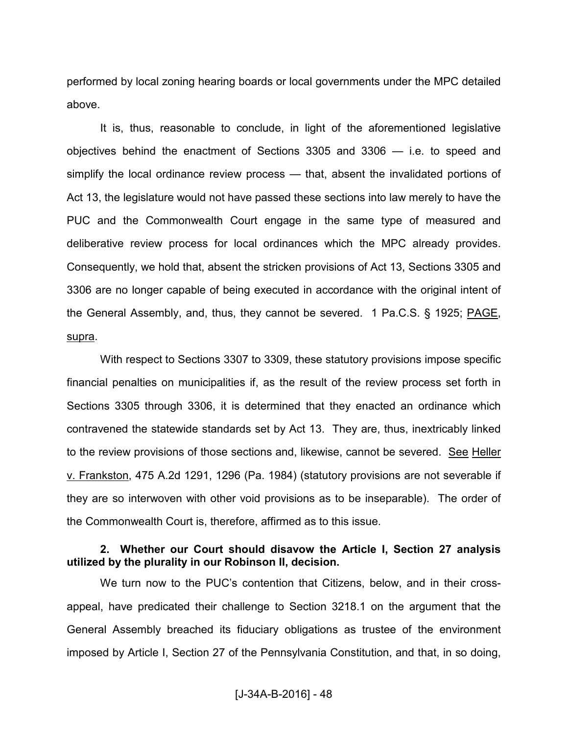performed by local zoning hearing boards or local governments under the MPC detailed above.

 It is, thus, reasonable to conclude, in light of the aforementioned legislative objectives behind the enactment of Sections 3305 and 3306 — i.e. to speed and simplify the local ordinance review process — that, absent the invalidated portions of Act 13, the legislature would not have passed these sections into law merely to have the PUC and the Commonwealth Court engage in the same type of measured and deliberative review process for local ordinances which the MPC already provides. Consequently, we hold that, absent the stricken provisions of Act 13, Sections 3305 and 3306 are no longer capable of being executed in accordance with the original intent of the General Assembly, and, thus, they cannot be severed. 1 Pa.C.S. § 1925; PAGE, supra.

 With respect to Sections 3307 to 3309, these statutory provisions impose specific financial penalties on municipalities if, as the result of the review process set forth in Sections 3305 through 3306, it is determined that they enacted an ordinance which contravened the statewide standards set by Act 13. They are, thus, inextricably linked to the review provisions of those sections and, likewise, cannot be severed. See Heller v. Frankston, 475 A.2d 1291, 1296 (Pa. 1984) (statutory provisions are not severable if they are so interwoven with other void provisions as to be inseparable). The order of the Commonwealth Court is, therefore, affirmed as to this issue.

#### **2. Whether our Court should disavow the Article I, Section 27 analysis utilized by the plurality in our Robinson II, decision.**

We turn now to the PUC's contention that Citizens, below, and in their crossappeal, have predicated their challenge to Section 3218.1 on the argument that the General Assembly breached its fiduciary obligations as trustee of the environment imposed by Article I, Section 27 of the Pennsylvania Constitution, and that, in so doing,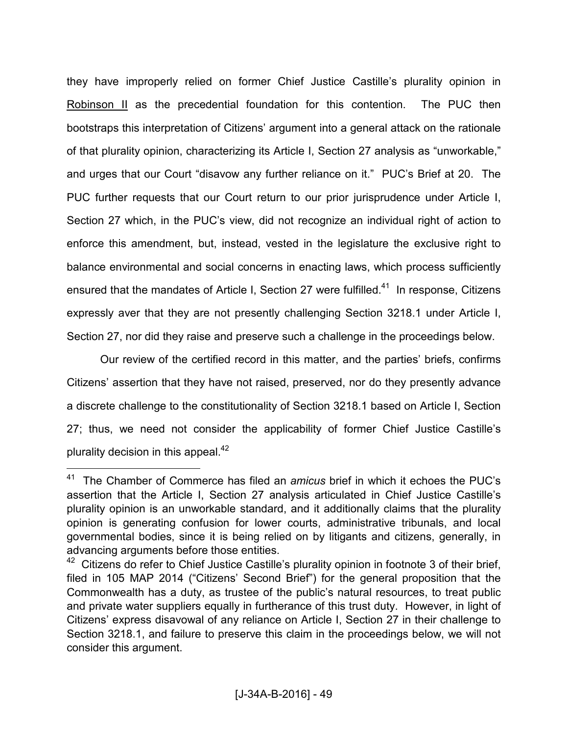they have improperly relied on former Chief Justice Castille's plurality opinion in Robinson II as the precedential foundation for this contention. The PUC then bootstraps this interpretation of Citizens' argument into a general attack on the rationale of that plurality opinion, characterizing its Article I, Section 27 analysis as "unworkable," and urges that our Court "disavow any further reliance on it." PUC's Brief at 20. The PUC further requests that our Court return to our prior jurisprudence under Article I, Section 27 which, in the PUC's view, did not recognize an individual right of action to enforce this amendment, but, instead, vested in the legislature the exclusive right to balance environmental and social concerns in enacting laws, which process sufficiently ensured that the mandates of Article I, Section 27 were fulfilled.<sup>41</sup> In response, Citizens expressly aver that they are not presently challenging Section 3218.1 under Article I, Section 27, nor did they raise and preserve such a challenge in the proceedings below.

 Our review of the certified record in this matter, and the parties' briefs, confirms Citizens' assertion that they have not raised, preserved, nor do they presently advance a discrete challenge to the constitutionality of Section 3218.1 based on Article I, Section 27; thus, we need not consider the applicability of former Chief Justice Castille's plurality decision in this appeal. $42$ 

<sup>41</sup> The Chamber of Commerce has filed an *amicus* brief in which it echoes the PUC's assertion that the Article I, Section 27 analysis articulated in Chief Justice Castille's plurality opinion is an unworkable standard, and it additionally claims that the plurality opinion is generating confusion for lower courts, administrative tribunals, and local governmental bodies, since it is being relied on by litigants and citizens, generally, in advancing arguments before those entities.

<sup>&</sup>lt;sup>42</sup> Citizens do refer to Chief Justice Castille's plurality opinion in footnote 3 of their brief, filed in 105 MAP 2014 ("Citizens' Second Brief") for the general proposition that the Commonwealth has a duty, as trustee of the public's natural resources, to treat public and private water suppliers equally in furtherance of this trust duty. However, in light of Citizens' express disavowal of any reliance on Article I, Section 27 in their challenge to Section 3218.1, and failure to preserve this claim in the proceedings below, we will not consider this argument.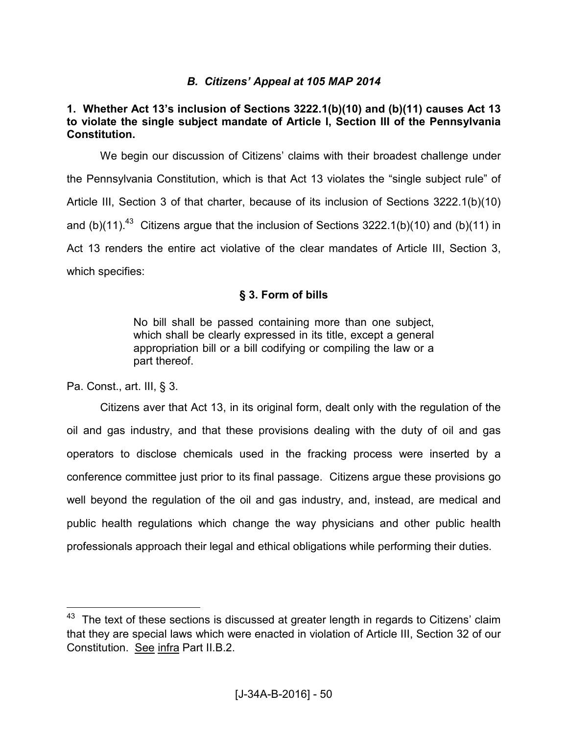# *B. Citizens' Appeal at 105 MAP 2014*

# **1. Whether Act 13's inclusion of Sections 3222.1(b)(10) and (b)(11) causes Act 13 to violate the single subject mandate of Article I, Section III of the Pennsylvania Constitution.**

 We begin our discussion of Citizens' claims with their broadest challenge under the Pennsylvania Constitution, which is that Act 13 violates the "single subject rule" of Article III, Section 3 of that charter, because of its inclusion of Sections 3222.1(b)(10) and (b)(11).<sup>43</sup> Citizens argue that the inclusion of Sections 3222.1(b)(10) and (b)(11) in Act 13 renders the entire act violative of the clear mandates of Article III, Section 3, which specifies:

# **§ 3. Form of bills**

No bill shall be passed containing more than one subject, which shall be clearly expressed in its title, except a general appropriation bill or a bill codifying or compiling the law or a part thereof.

Pa. Const., art. III, § 3.

 $\overline{a}$ 

 Citizens aver that Act 13, in its original form, dealt only with the regulation of the oil and gas industry, and that these provisions dealing with the duty of oil and gas operators to disclose chemicals used in the fracking process were inserted by a conference committee just prior to its final passage. Citizens argue these provisions go well beyond the regulation of the oil and gas industry, and, instead, are medical and public health regulations which change the way physicians and other public health professionals approach their legal and ethical obligations while performing their duties.

 $43$  The text of these sections is discussed at greater length in regards to Citizens' claim that they are special laws which were enacted in violation of Article III, Section 32 of our Constitution. See infra Part II.B.2.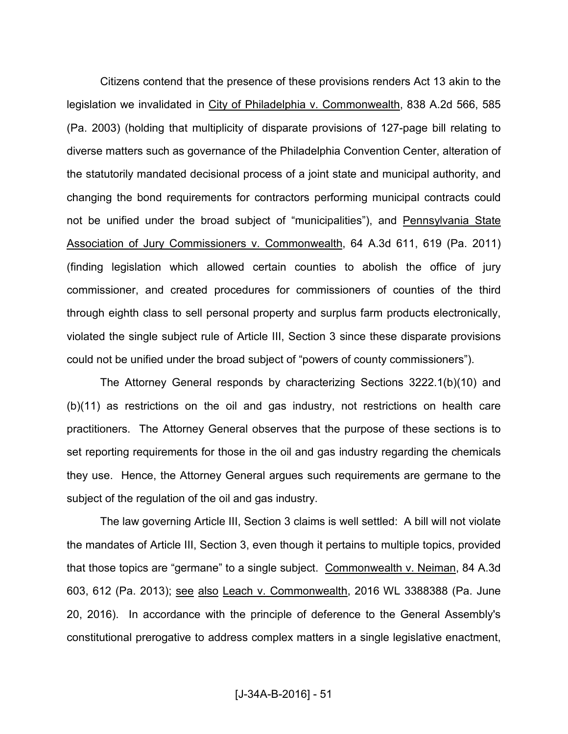Citizens contend that the presence of these provisions renders Act 13 akin to the legislation we invalidated in City of Philadelphia v. Commonwealth, 838 A.2d 566, 585 (Pa. 2003) (holding that multiplicity of disparate provisions of 127-page bill relating to diverse matters such as governance of the Philadelphia Convention Center, alteration of the statutorily mandated decisional process of a joint state and municipal authority, and changing the bond requirements for contractors performing municipal contracts could not be unified under the broad subject of "municipalities"), and Pennsylvania State Association of Jury Commissioners v. Commonwealth, 64 A.3d 611, 619 (Pa. 2011) (finding legislation which allowed certain counties to abolish the office of jury commissioner, and created procedures for commissioners of counties of the third through eighth class to sell personal property and surplus farm products electronically, violated the single subject rule of Article III, Section 3 since these disparate provisions could not be unified under the broad subject of "powers of county commissioners").

 The Attorney General responds by characterizing Sections 3222.1(b)(10) and (b)(11) as restrictions on the oil and gas industry, not restrictions on health care practitioners. The Attorney General observes that the purpose of these sections is to set reporting requirements for those in the oil and gas industry regarding the chemicals they use. Hence, the Attorney General argues such requirements are germane to the subject of the regulation of the oil and gas industry.

 The law governing Article III, Section 3 claims is well settled: A bill will not violate the mandates of Article III, Section 3, even though it pertains to multiple topics, provided that those topics are "germane" to a single subject. Commonwealth v. Neiman, 84 A.3d 603, 612 (Pa. 2013); see also Leach v. Commonwealth, 2016 WL 3388388 (Pa. June 20, 2016). In accordance with the principle of deference to the General Assembly's constitutional prerogative to address complex matters in a single legislative enactment,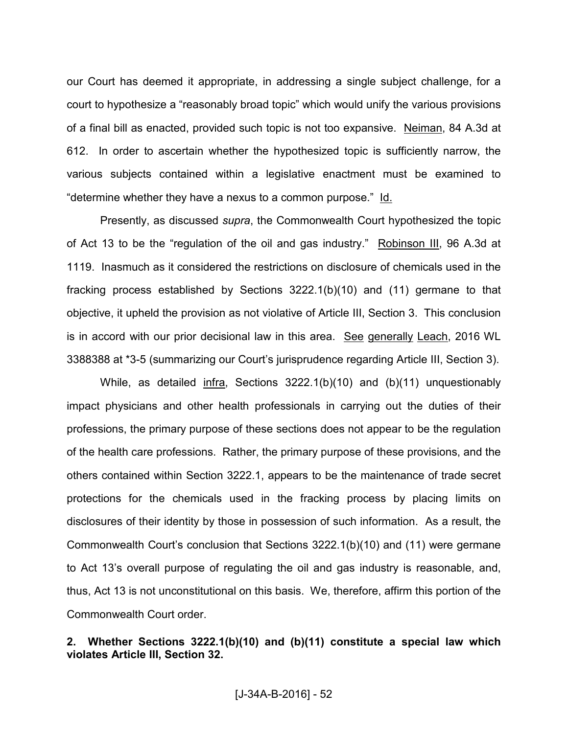our Court has deemed it appropriate, in addressing a single subject challenge, for a court to hypothesize a "reasonably broad topic" which would unify the various provisions of a final bill as enacted, provided such topic is not too expansive. Neiman, 84 A.3d at 612. In order to ascertain whether the hypothesized topic is sufficiently narrow, the various subjects contained within a legislative enactment must be examined to "determine whether they have a nexus to a common purpose." Id.

 Presently, as discussed *supra*, the Commonwealth Court hypothesized the topic of Act 13 to be the "regulation of the oil and gas industry." Robinson III, 96 A.3d at 1119. Inasmuch as it considered the restrictions on disclosure of chemicals used in the fracking process established by Sections 3222.1(b)(10) and (11) germane to that objective, it upheld the provision as not violative of Article III, Section 3. This conclusion is in accord with our prior decisional law in this area. See generally Leach, 2016 WL 3388388 at \*3-5 (summarizing our Court's jurisprudence regarding Article III, Section 3).

 While, as detailed infra, Sections 3222.1(b)(10) and (b)(11) unquestionably impact physicians and other health professionals in carrying out the duties of their professions, the primary purpose of these sections does not appear to be the regulation of the health care professions. Rather, the primary purpose of these provisions, and the others contained within Section 3222.1, appears to be the maintenance of trade secret protections for the chemicals used in the fracking process by placing limits on disclosures of their identity by those in possession of such information. As a result, the Commonwealth Court's conclusion that Sections 3222.1(b)(10) and (11) were germane to Act 13's overall purpose of regulating the oil and gas industry is reasonable, and, thus, Act 13 is not unconstitutional on this basis. We, therefore, affirm this portion of the Commonwealth Court order.

## **2. Whether Sections 3222.1(b)(10) and (b)(11) constitute a special law which violates Article III, Section 32.**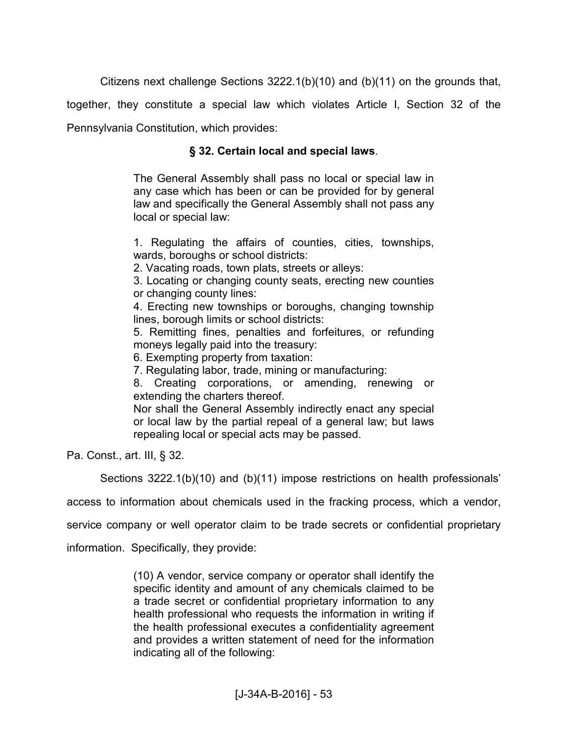Citizens next challenge Sections 3222.1(b)(10) and (b)(11) on the grounds that,

together, they constitute a special law which violates Article I, Section 32 of the

Pennsylvania Constitution, which provides:

### **§ 32. Certain local and special laws**.

The General Assembly shall pass no local or special law in any case which has been or can be provided for by general law and specifically the General Assembly shall not pass any local or special law:

1. Regulating the affairs of counties, cities, townships, wards, boroughs or school districts:

2. Vacating roads, town plats, streets or alleys:

3. Locating or changing county seats, erecting new counties or changing county lines:

4. Erecting new townships or boroughs, changing township lines, borough limits or school districts:

5. Remitting fines, penalties and forfeitures, or refunding moneys legally paid into the treasury:

6. Exempting property from taxation:

7. Regulating labor, trade, mining or manufacturing:

8. Creating corporations, or amending, renewing or extending the charters thereof.

Nor shall the General Assembly indirectly enact any special or local law by the partial repeal of a general law; but laws repealing local or special acts may be passed.

Pa. Const., art. III, § 32.

Sections 3222.1(b)(10) and (b)(11) impose restrictions on health professionals'

access to information about chemicals used in the fracking process, which a vendor,

service company or well operator claim to be trade secrets or confidential proprietary

information. Specifically, they provide:

(10) A vendor, service company or operator shall identify the specific identity and amount of any chemicals claimed to be a trade secret or confidential proprietary information to any health professional who requests the information in writing if the health professional executes a confidentiality agreement and provides a written statement of need for the information indicating all of the following: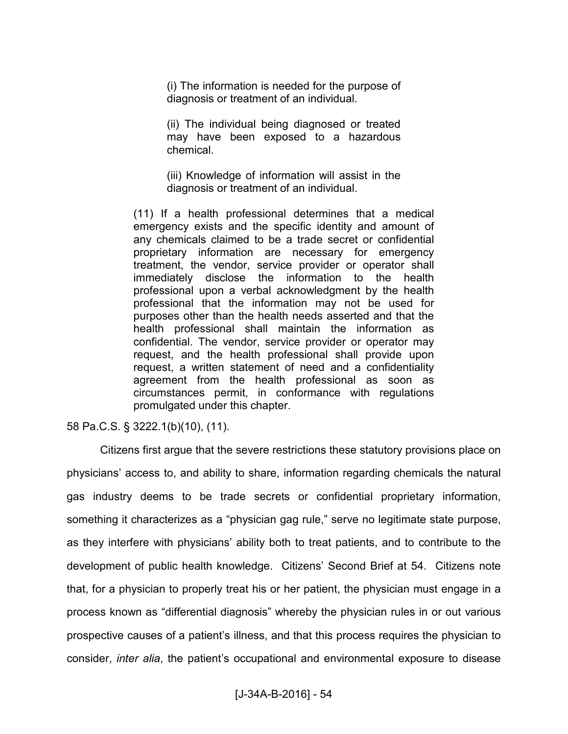(i) The information is needed for the purpose of diagnosis or treatment of an individual.

(ii) The individual being diagnosed or treated may have been exposed to a hazardous chemical.

(iii) Knowledge of information will assist in the diagnosis or treatment of an individual.

(11) If a health professional determines that a medical emergency exists and the specific identity and amount of any chemicals claimed to be a trade secret or confidential proprietary information are necessary for emergency treatment, the vendor, service provider or operator shall immediately disclose the information to the health professional upon a verbal acknowledgment by the health professional that the information may not be used for purposes other than the health needs asserted and that the health professional shall maintain the information as confidential. The vendor, service provider or operator may request, and the health professional shall provide upon request, a written statement of need and a confidentiality agreement from the health professional as soon as circumstances permit, in conformance with regulations promulgated under this chapter.

58 Pa.C.S. § 3222.1(b)(10), (11).

 Citizens first argue that the severe restrictions these statutory provisions place on physicians' access to, and ability to share, information regarding chemicals the natural gas industry deems to be trade secrets or confidential proprietary information, something it characterizes as a "physician gag rule," serve no legitimate state purpose, as they interfere with physicians' ability both to treat patients, and to contribute to the development of public health knowledge. Citizens' Second Brief at 54. Citizens note that, for a physician to properly treat his or her patient, the physician must engage in a process known as "differential diagnosis" whereby the physician rules in or out various prospective causes of a patient's illness, and that this process requires the physician to consider, *inter alia*, the patient's occupational and environmental exposure to disease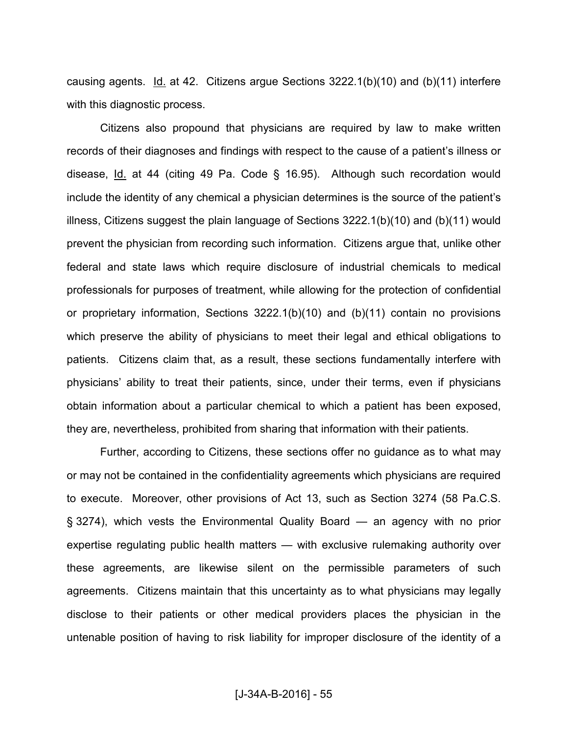causing agents. Id. at 42. Citizens argue Sections 3222.1(b)(10) and (b)(11) interfere with this diagnostic process.

 Citizens also propound that physicians are required by law to make written records of their diagnoses and findings with respect to the cause of a patient's illness or disease, Id. at 44 (citing 49 Pa. Code § 16.95). Although such recordation would include the identity of any chemical a physician determines is the source of the patient's illness, Citizens suggest the plain language of Sections 3222.1(b)(10) and (b)(11) would prevent the physician from recording such information. Citizens argue that, unlike other federal and state laws which require disclosure of industrial chemicals to medical professionals for purposes of treatment, while allowing for the protection of confidential or proprietary information, Sections 3222.1(b)(10) and (b)(11) contain no provisions which preserve the ability of physicians to meet their legal and ethical obligations to patients. Citizens claim that, as a result, these sections fundamentally interfere with physicians' ability to treat their patients, since, under their terms, even if physicians obtain information about a particular chemical to which a patient has been exposed, they are, nevertheless, prohibited from sharing that information with their patients.

 Further, according to Citizens, these sections offer no guidance as to what may or may not be contained in the confidentiality agreements which physicians are required to execute. Moreover, other provisions of Act 13, such as Section 3274 (58 Pa.C.S. § 3274), which vests the Environmental Quality Board — an agency with no prior expertise regulating public health matters — with exclusive rulemaking authority over these agreements, are likewise silent on the permissible parameters of such agreements. Citizens maintain that this uncertainty as to what physicians may legally disclose to their patients or other medical providers places the physician in the untenable position of having to risk liability for improper disclosure of the identity of a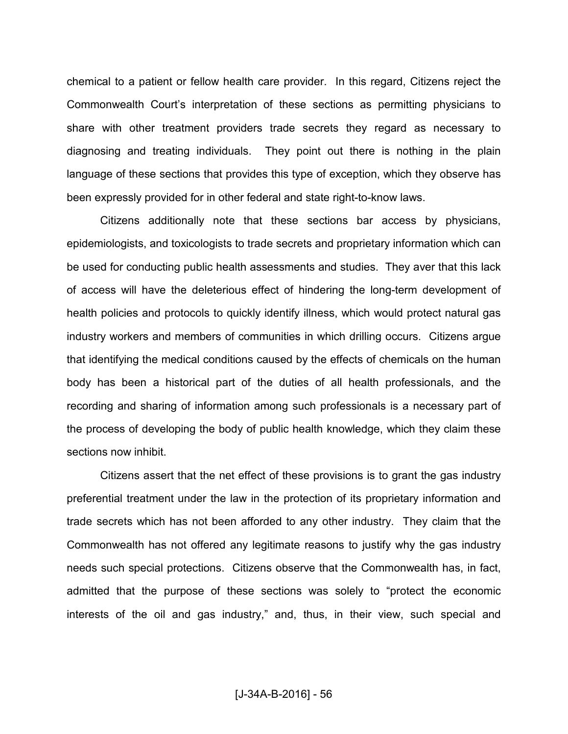chemical to a patient or fellow health care provider. In this regard, Citizens reject the Commonwealth Court's interpretation of these sections as permitting physicians to share with other treatment providers trade secrets they regard as necessary to diagnosing and treating individuals. They point out there is nothing in the plain language of these sections that provides this type of exception, which they observe has been expressly provided for in other federal and state right-to-know laws.

 Citizens additionally note that these sections bar access by physicians, epidemiologists, and toxicologists to trade secrets and proprietary information which can be used for conducting public health assessments and studies. They aver that this lack of access will have the deleterious effect of hindering the long-term development of health policies and protocols to quickly identify illness, which would protect natural gas industry workers and members of communities in which drilling occurs. Citizens argue that identifying the medical conditions caused by the effects of chemicals on the human body has been a historical part of the duties of all health professionals, and the recording and sharing of information among such professionals is a necessary part of the process of developing the body of public health knowledge, which they claim these sections now inhibit.

 Citizens assert that the net effect of these provisions is to grant the gas industry preferential treatment under the law in the protection of its proprietary information and trade secrets which has not been afforded to any other industry. They claim that the Commonwealth has not offered any legitimate reasons to justify why the gas industry needs such special protections. Citizens observe that the Commonwealth has, in fact, admitted that the purpose of these sections was solely to "protect the economic interests of the oil and gas industry," and, thus, in their view, such special and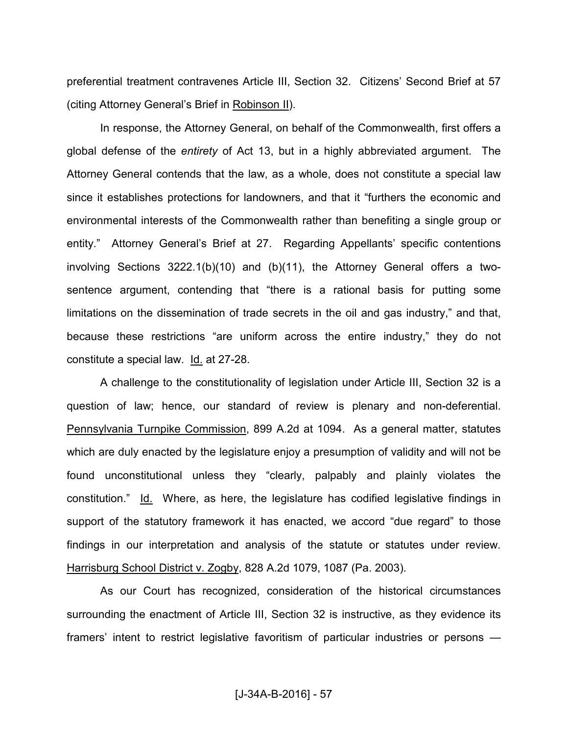preferential treatment contravenes Article III, Section 32. Citizens' Second Brief at 57 (citing Attorney General's Brief in Robinson II).

 In response, the Attorney General, on behalf of the Commonwealth, first offers a global defense of the *entirety* of Act 13, but in a highly abbreviated argument. The Attorney General contends that the law, as a whole, does not constitute a special law since it establishes protections for landowners, and that it "furthers the economic and environmental interests of the Commonwealth rather than benefiting a single group or entity." Attorney General's Brief at 27. Regarding Appellants' specific contentions involving Sections 3222.1(b)(10) and (b)(11), the Attorney General offers a twosentence argument, contending that "there is a rational basis for putting some limitations on the dissemination of trade secrets in the oil and gas industry," and that, because these restrictions "are uniform across the entire industry," they do not constitute a special law. Id. at 27-28.

 A challenge to the constitutionality of legislation under Article III, Section 32 is a question of law; hence, our standard of review is plenary and non-deferential. Pennsylvania Turnpike Commission, 899 A.2d at 1094. As a general matter, statutes which are duly enacted by the legislature enjoy a presumption of validity and will not be found unconstitutional unless they "clearly, palpably and plainly violates the constitution." Id. Where, as here, the legislature has codified legislative findings in support of the statutory framework it has enacted, we accord "due regard" to those findings in our interpretation and analysis of the statute or statutes under review. Harrisburg School District v. Zogby, 828 A.2d 1079, 1087 (Pa. 2003).

 As our Court has recognized, consideration of the historical circumstances surrounding the enactment of Article III, Section 32 is instructive, as they evidence its framers' intent to restrict legislative favoritism of particular industries or persons —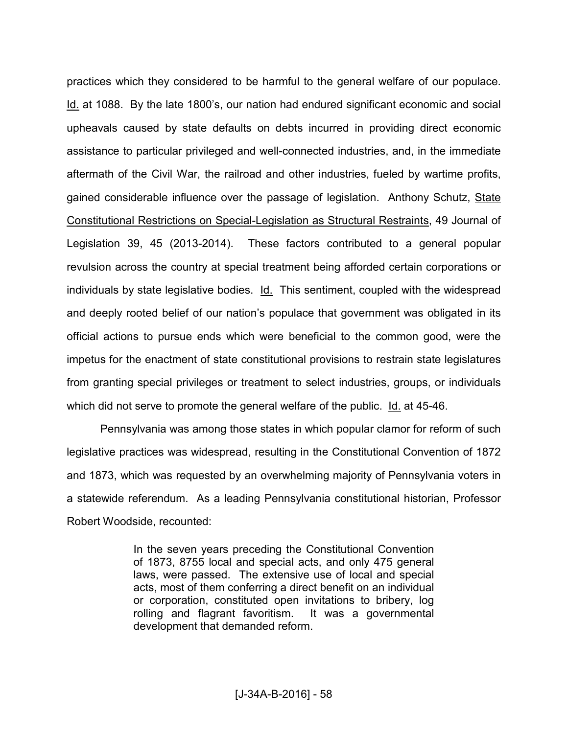practices which they considered to be harmful to the general welfare of our populace. Id. at 1088. By the late 1800's, our nation had endured significant economic and social upheavals caused by state defaults on debts incurred in providing direct economic assistance to particular privileged and well-connected industries, and, in the immediate aftermath of the Civil War, the railroad and other industries, fueled by wartime profits, gained considerable influence over the passage of legislation. Anthony Schutz, State Constitutional Restrictions on Special-Legislation as Structural Restraints, 49 Journal of Legislation 39, 45 (2013-2014). These factors contributed to a general popular revulsion across the country at special treatment being afforded certain corporations or individuals by state legislative bodies. Id. This sentiment, coupled with the widespread and deeply rooted belief of our nation's populace that government was obligated in its official actions to pursue ends which were beneficial to the common good, were the impetus for the enactment of state constitutional provisions to restrain state legislatures from granting special privileges or treatment to select industries, groups, or individuals which did not serve to promote the general welfare of the public. Id. at 45-46.

 Pennsylvania was among those states in which popular clamor for reform of such legislative practices was widespread, resulting in the Constitutional Convention of 1872 and 1873, which was requested by an overwhelming majority of Pennsylvania voters in a statewide referendum. As a leading Pennsylvania constitutional historian, Professor Robert Woodside, recounted:

> In the seven years preceding the Constitutional Convention of 1873, 8755 local and special acts, and only 475 general laws, were passed. The extensive use of local and special acts, most of them conferring a direct benefit on an individual or corporation, constituted open invitations to bribery, log rolling and flagrant favoritism. It was a governmental development that demanded reform.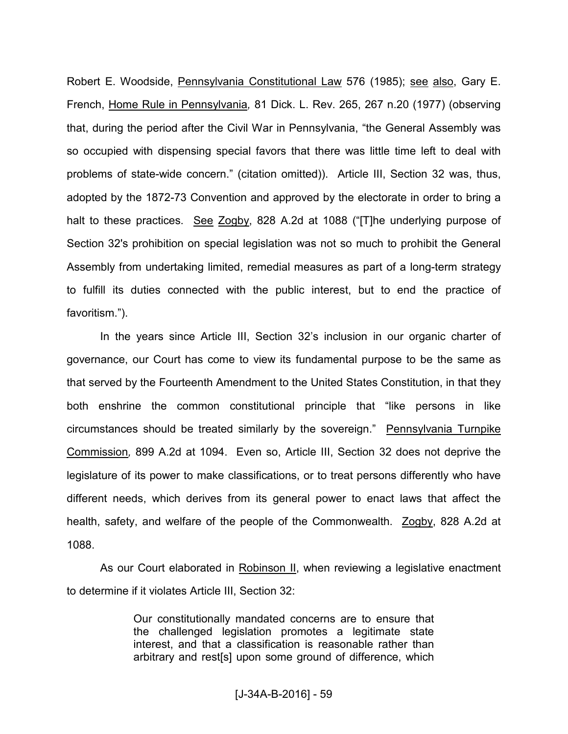Robert E. Woodside, Pennsylvania Constitutional Law 576 (1985); see also, Gary E. French, Home Rule in Pennsylvania*,* 81 Dick. L. Rev. 265, 267 n.20 (1977) (observing that, during the period after the Civil War in Pennsylvania, "the General Assembly was so occupied with dispensing special favors that there was little time left to deal with problems of state-wide concern." (citation omitted)). Article III, Section 32 was, thus, adopted by the 1872-73 Convention and approved by the electorate in order to bring a halt to these practices. See Zogby, 828 A.2d at 1088 ("[T]he underlying purpose of Section 32's prohibition on special legislation was not so much to prohibit the General Assembly from undertaking limited, remedial measures as part of a long-term strategy to fulfill its duties connected with the public interest, but to end the practice of favoritism.").

 In the years since Article III, Section 32's inclusion in our organic charter of governance, our Court has come to view its fundamental purpose to be the same as that served by the Fourteenth Amendment to the United States Constitution, in that they both enshrine the common constitutional principle that "like persons in like circumstances should be treated similarly by the sovereign." Pennsylvania Turnpike Commission*,* 899 A.2d at 1094. Even so, Article III, Section 32 does not deprive the legislature of its power to make classifications, or to treat persons differently who have different needs, which derives from its general power to enact laws that affect the health, safety, and welfare of the people of the Commonwealth. **Zogby**, 828 A.2d at 1088.

As our Court elaborated in Robinson II, when reviewing a legislative enactment to determine if it violates Article III, Section 32:

> Our constitutionally mandated concerns are to ensure that the challenged legislation promotes a legitimate state interest, and that a classification is reasonable rather than arbitrary and rest[s] upon some ground of difference, which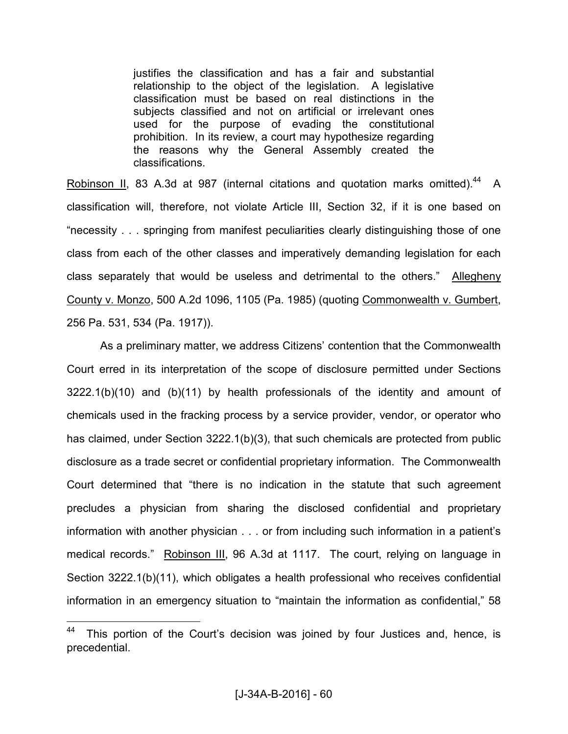justifies the classification and has a fair and substantial relationship to the object of the legislation. A legislative classification must be based on real distinctions in the subjects classified and not on artificial or irrelevant ones used for the purpose of evading the constitutional prohibition. In its review, a court may hypothesize regarding the reasons why the General Assembly created the classifications.

Robinson II, 83 A.3d at 987 (internal citations and quotation marks omitted).<sup>44</sup> A classification will, therefore, not violate Article III, Section 32, if it is one based on "necessity . . . springing from manifest peculiarities clearly distinguishing those of one class from each of the other classes and imperatively demanding legislation for each class separately that would be useless and detrimental to the others." Allegheny County v. Monzo, 500 A.2d 1096, 1105 (Pa. 1985) (quoting Commonwealth v. Gumbert, 256 Pa. 531, 534 (Pa. 1917)).

 As a preliminary matter, we address Citizens' contention that the Commonwealth Court erred in its interpretation of the scope of disclosure permitted under Sections 3222.1(b)(10) and (b)(11) by health professionals of the identity and amount of chemicals used in the fracking process by a service provider, vendor, or operator who has claimed, under Section 3222.1(b)(3), that such chemicals are protected from public disclosure as a trade secret or confidential proprietary information. The Commonwealth Court determined that "there is no indication in the statute that such agreement precludes a physician from sharing the disclosed confidential and proprietary information with another physician . . . or from including such information in a patient's medical records." Robinson III, 96 A.3d at 1117. The court, relying on language in Section 3222.1(b)(11), which obligates a health professional who receives confidential information in an emergency situation to "maintain the information as confidential," 58

<sup>&</sup>lt;sup>44</sup> This portion of the Court's decision was joined by four Justices and, hence, is precedential.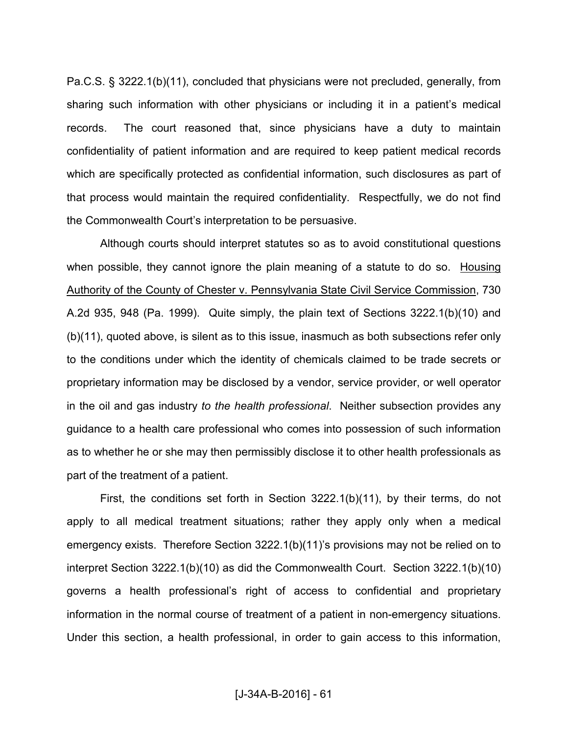Pa.C.S. § 3222.1(b)(11), concluded that physicians were not precluded, generally, from sharing such information with other physicians or including it in a patient's medical records. The court reasoned that, since physicians have a duty to maintain confidentiality of patient information and are required to keep patient medical records which are specifically protected as confidential information, such disclosures as part of that process would maintain the required confidentiality. Respectfully, we do not find the Commonwealth Court's interpretation to be persuasive.

 Although courts should interpret statutes so as to avoid constitutional questions when possible, they cannot ignore the plain meaning of a statute to do so. Housing Authority of the County of Chester v. Pennsylvania State Civil Service Commission, 730 A.2d 935, 948 (Pa. 1999). Quite simply, the plain text of Sections 3222.1(b)(10) and (b)(11), quoted above, is silent as to this issue, inasmuch as both subsections refer only to the conditions under which the identity of chemicals claimed to be trade secrets or proprietary information may be disclosed by a vendor, service provider, or well operator in the oil and gas industry *to the health professional*. Neither subsection provides any guidance to a health care professional who comes into possession of such information as to whether he or she may then permissibly disclose it to other health professionals as part of the treatment of a patient.

 First, the conditions set forth in Section 3222.1(b)(11), by their terms, do not apply to all medical treatment situations; rather they apply only when a medical emergency exists. Therefore Section 3222.1(b)(11)'s provisions may not be relied on to interpret Section 3222.1(b)(10) as did the Commonwealth Court. Section 3222.1(b)(10) governs a health professional's right of access to confidential and proprietary information in the normal course of treatment of a patient in non-emergency situations. Under this section, a health professional, in order to gain access to this information,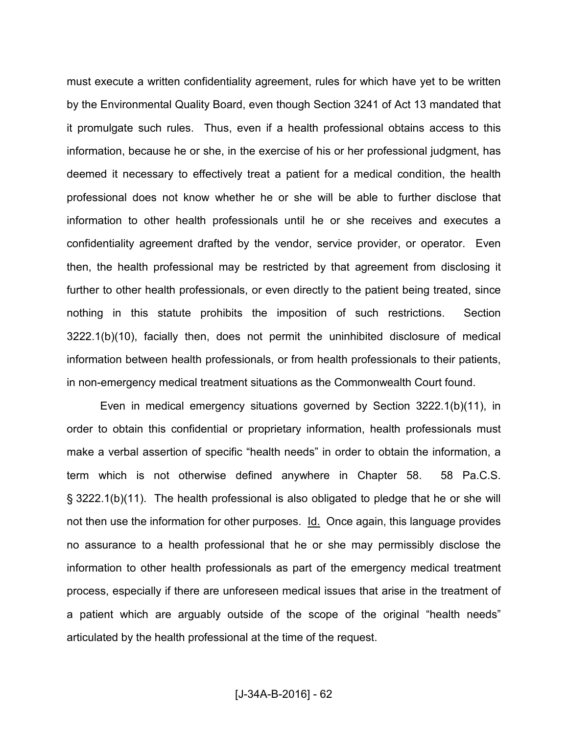must execute a written confidentiality agreement, rules for which have yet to be written by the Environmental Quality Board, even though Section 3241 of Act 13 mandated that it promulgate such rules. Thus, even if a health professional obtains access to this information, because he or she, in the exercise of his or her professional judgment, has deemed it necessary to effectively treat a patient for a medical condition, the health professional does not know whether he or she will be able to further disclose that information to other health professionals until he or she receives and executes a confidentiality agreement drafted by the vendor, service provider, or operator. Even then, the health professional may be restricted by that agreement from disclosing it further to other health professionals, or even directly to the patient being treated, since nothing in this statute prohibits the imposition of such restrictions. Section 3222.1(b)(10), facially then, does not permit the uninhibited disclosure of medical information between health professionals, or from health professionals to their patients, in non-emergency medical treatment situations as the Commonwealth Court found.

 Even in medical emergency situations governed by Section 3222.1(b)(11), in order to obtain this confidential or proprietary information, health professionals must make a verbal assertion of specific "health needs" in order to obtain the information, a term which is not otherwise defined anywhere in Chapter 58. 58 Pa.C.S. § 3222.1(b)(11). The health professional is also obligated to pledge that he or she will not then use the information for other purposes. Id. Once again, this language provides no assurance to a health professional that he or she may permissibly disclose the information to other health professionals as part of the emergency medical treatment process, especially if there are unforeseen medical issues that arise in the treatment of a patient which are arguably outside of the scope of the original "health needs" articulated by the health professional at the time of the request.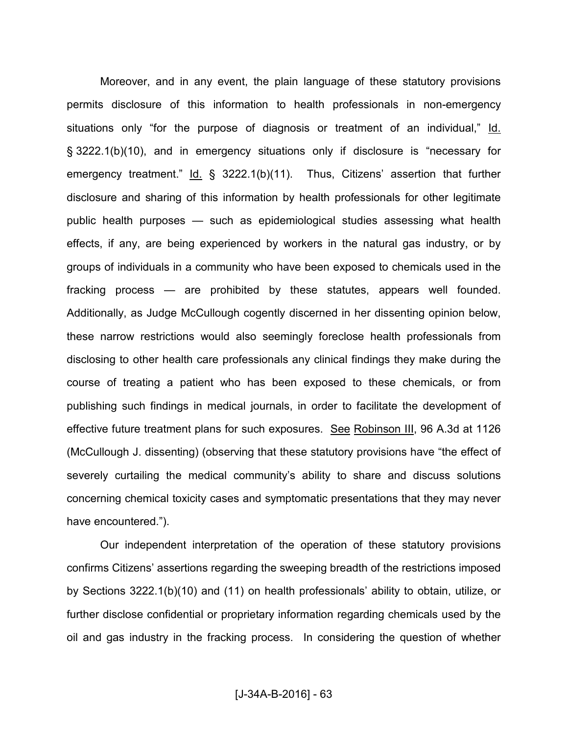Moreover, and in any event, the plain language of these statutory provisions permits disclosure of this information to health professionals in non-emergency situations only "for the purpose of diagnosis or treatment of an individual," Id. § 3222.1(b)(10), and in emergency situations only if disclosure is "necessary for emergency treatment." Id. § 3222.1(b)(11). Thus, Citizens' assertion that further disclosure and sharing of this information by health professionals for other legitimate public health purposes — such as epidemiological studies assessing what health effects, if any, are being experienced by workers in the natural gas industry, or by groups of individuals in a community who have been exposed to chemicals used in the fracking process — are prohibited by these statutes, appears well founded. Additionally, as Judge McCullough cogently discerned in her dissenting opinion below, these narrow restrictions would also seemingly foreclose health professionals from disclosing to other health care professionals any clinical findings they make during the course of treating a patient who has been exposed to these chemicals, or from publishing such findings in medical journals, in order to facilitate the development of effective future treatment plans for such exposures. See Robinson III, 96 A.3d at 1126 (McCullough J. dissenting) (observing that these statutory provisions have "the effect of severely curtailing the medical community's ability to share and discuss solutions concerning chemical toxicity cases and symptomatic presentations that they may never have encountered.").

 Our independent interpretation of the operation of these statutory provisions confirms Citizens' assertions regarding the sweeping breadth of the restrictions imposed by Sections 3222.1(b)(10) and (11) on health professionals' ability to obtain, utilize, or further disclose confidential or proprietary information regarding chemicals used by the oil and gas industry in the fracking process. In considering the question of whether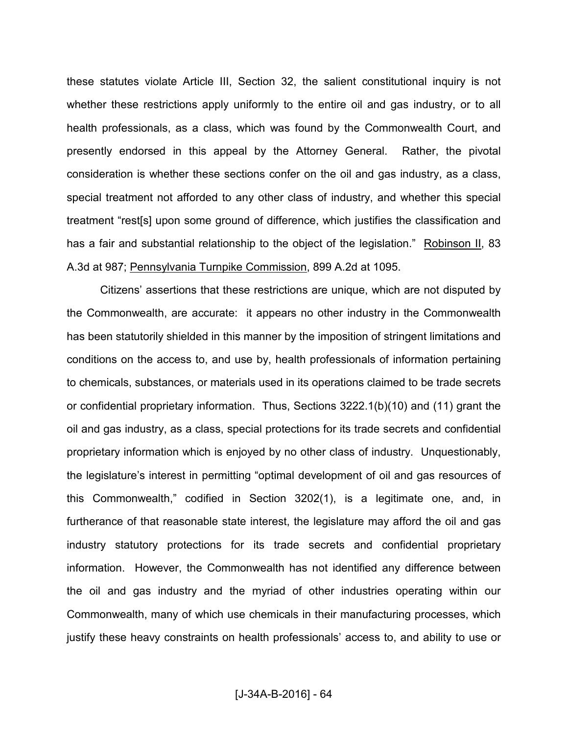these statutes violate Article III, Section 32, the salient constitutional inquiry is not whether these restrictions apply uniformly to the entire oil and gas industry, or to all health professionals, as a class, which was found by the Commonwealth Court, and presently endorsed in this appeal by the Attorney General. Rather, the pivotal consideration is whether these sections confer on the oil and gas industry, as a class, special treatment not afforded to any other class of industry, and whether this special treatment "rest[s] upon some ground of difference, which justifies the classification and has a fair and substantial relationship to the object of the legislation." Robinson II, 83 A.3d at 987; Pennsylvania Turnpike Commission, 899 A.2d at 1095.

 Citizens' assertions that these restrictions are unique, which are not disputed by the Commonwealth, are accurate: it appears no other industry in the Commonwealth has been statutorily shielded in this manner by the imposition of stringent limitations and conditions on the access to, and use by, health professionals of information pertaining to chemicals, substances, or materials used in its operations claimed to be trade secrets or confidential proprietary information. Thus, Sections 3222.1(b)(10) and (11) grant the oil and gas industry, as a class, special protections for its trade secrets and confidential proprietary information which is enjoyed by no other class of industry. Unquestionably, the legislature's interest in permitting "optimal development of oil and gas resources of this Commonwealth," codified in Section 3202(1), is a legitimate one, and, in furtherance of that reasonable state interest, the legislature may afford the oil and gas industry statutory protections for its trade secrets and confidential proprietary information. However, the Commonwealth has not identified any difference between the oil and gas industry and the myriad of other industries operating within our Commonwealth, many of which use chemicals in their manufacturing processes, which justify these heavy constraints on health professionals' access to, and ability to use or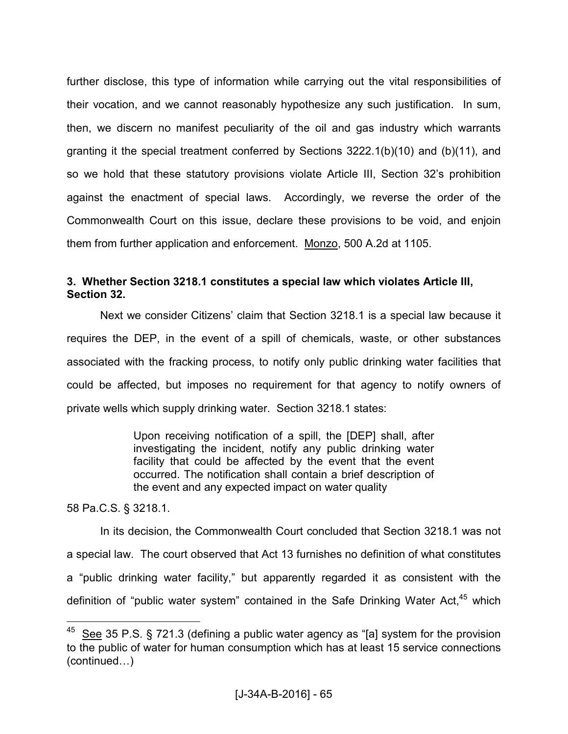further disclose, this type of information while carrying out the vital responsibilities of their vocation, and we cannot reasonably hypothesize any such justification. In sum, then, we discern no manifest peculiarity of the oil and gas industry which warrants granting it the special treatment conferred by Sections 3222.1(b)(10) and (b)(11), and so we hold that these statutory provisions violate Article III, Section 32's prohibition against the enactment of special laws. Accordingly, we reverse the order of the Commonwealth Court on this issue, declare these provisions to be void, and enjoin them from further application and enforcement. Monzo, 500 A.2d at 1105.

# **3. Whether Section 3218.1 constitutes a special law which violates Article III, Section 32.**

 Next we consider Citizens' claim that Section 3218.1 is a special law because it requires the DEP, in the event of a spill of chemicals, waste, or other substances associated with the fracking process, to notify only public drinking water facilities that could be affected, but imposes no requirement for that agency to notify owners of private wells which supply drinking water. Section 3218.1 states:

> Upon receiving notification of a spill, the [DEP] shall, after investigating the incident, notify any public drinking water facility that could be affected by the event that the event occurred. The notification shall contain a brief description of the event and any expected impact on water quality

58 Pa.C.S. § 3218.1.

 $\overline{a}$ 

 In its decision, the Commonwealth Court concluded that Section 3218.1 was not a special law. The court observed that Act 13 furnishes no definition of what constitutes a "public drinking water facility," but apparently regarded it as consistent with the definition of "public water system" contained in the Safe Drinking Water Act, $45$  which

 $45$  See 35 P.S. § 721.3 (defining a public water agency as "[a] system for the provision to the public of water for human consumption which has at least 15 service connections  $(continued...)$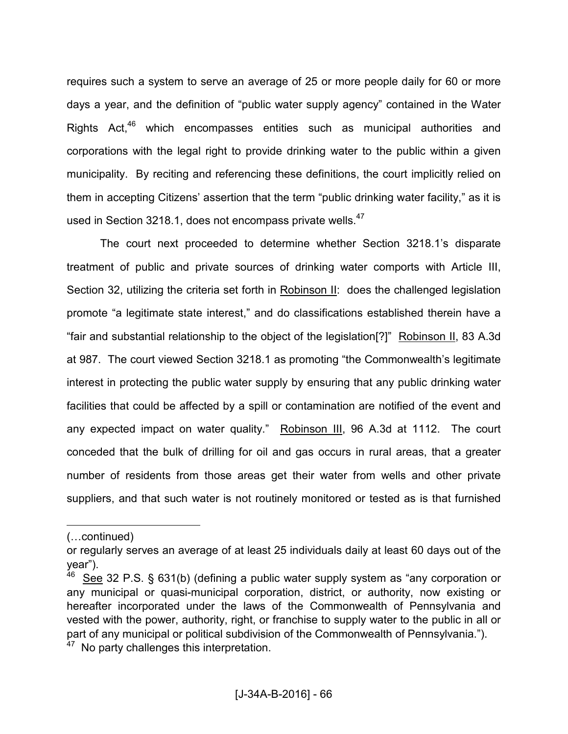requires such a system to serve an average of 25 or more people daily for 60 or more days a year, and the definition of "public water supply agency" contained in the Water Rights Act,<sup>46</sup> which encompasses entities such as municipal authorities and corporations with the legal right to provide drinking water to the public within a given municipality. By reciting and referencing these definitions, the court implicitly relied on them in accepting Citizens' assertion that the term "public drinking water facility," as it is used in Section 3218.1, does not encompass private wells.<sup>47</sup>

 The court next proceeded to determine whether Section 3218.1's disparate treatment of public and private sources of drinking water comports with Article III, Section 32, utilizing the criteria set forth in Robinson II: does the challenged legislation promote "a legitimate state interest," and do classifications established therein have a "fair and substantial relationship to the object of the legislation[?]" Robinson II, 83 A.3d at 987. The court viewed Section 3218.1 as promoting "the Commonwealth's legitimate interest in protecting the public water supply by ensuring that any public drinking water facilities that could be affected by a spill or contamination are notified of the event and any expected impact on water quality." Robinson III, 96 A.3d at 1112. The court conceded that the bulk of drilling for oil and gas occurs in rural areas, that a greater number of residents from those areas get their water from wells and other private suppliers, and that such water is not routinely monitored or tested as is that furnished

<sup>(...</sup>continued)

or regularly serves an average of at least 25 individuals daily at least 60 days out of the year").

See 32 P.S. § 631(b) (defining a public water supply system as "any corporation or any municipal or quasi-municipal corporation, district, or authority, now existing or hereafter incorporated under the laws of the Commonwealth of Pennsylvania and vested with the power, authority, right, or franchise to supply water to the public in all or part of any municipal or political subdivision of the Commonwealth of Pennsylvania.").

<sup>&</sup>lt;sup>47</sup> No party challenges this interpretation.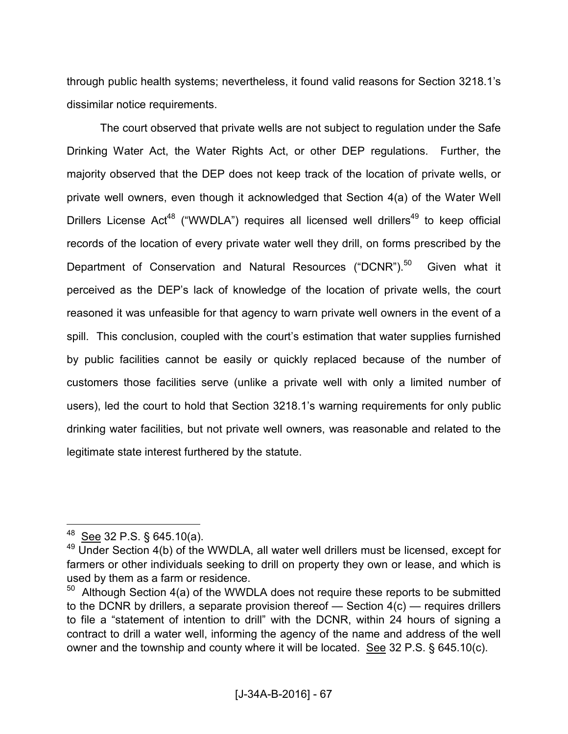through public health systems; nevertheless, it found valid reasons for Section 3218.1's dissimilar notice requirements.

 The court observed that private wells are not subject to regulation under the Safe Drinking Water Act, the Water Rights Act, or other DEP regulations. Further, the majority observed that the DEP does not keep track of the location of private wells, or private well owners, even though it acknowledged that Section 4(a) of the Water Well Drillers License Act<sup>48</sup> ("WWDLA") requires all licensed well drillers<sup>49</sup> to keep official records of the location of every private water well they drill, on forms prescribed by the Department of Conservation and Natural Resources ("DCNR").<sup>50</sup> Given what it perceived as the DEP's lack of knowledge of the location of private wells, the court reasoned it was unfeasible for that agency to warn private well owners in the event of a spill. This conclusion, coupled with the court's estimation that water supplies furnished by public facilities cannot be easily or quickly replaced because of the number of customers those facilities serve (unlike a private well with only a limited number of users), led the court to hold that Section 3218.1's warning requirements for only public drinking water facilities, but not private well owners, was reasonable and related to the legitimate state interest furthered by the statute.

 $48$  See 32 P.S. § 645.10(a).

<sup>&</sup>lt;sup>49</sup> Under Section 4(b) of the WWDLA, all water well drillers must be licensed, except for farmers or other individuals seeking to drill on property they own or lease, and which is used by them as a farm or residence.

 $50$  Although Section 4(a) of the WWDLA does not require these reports to be submitted to the DCNR by drillers, a separate provision thereof  $-$  Section  $4(c)$   $-$  requires drillers to file a "statement of intention to drill" with the DCNR, within 24 hours of signing a contract to drill a water well, informing the agency of the name and address of the well owner and the township and county where it will be located. See 32 P.S. § 645.10(c).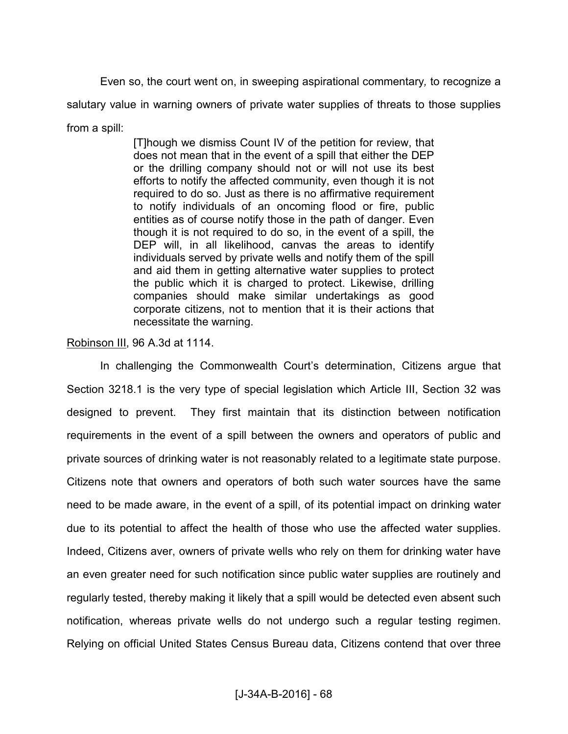Even so, the court went on, in sweeping aspirational commentary*,* to recognize a salutary value in warning owners of private water supplies of threats to those supplies from a spill:

> [T]hough we dismiss Count IV of the petition for review, that does not mean that in the event of a spill that either the DEP or the drilling company should not or will not use its best efforts to notify the affected community, even though it is not required to do so. Just as there is no affirmative requirement to notify individuals of an oncoming flood or fire, public entities as of course notify those in the path of danger. Even though it is not required to do so, in the event of a spill, the DEP will, in all likelihood, canvas the areas to identify individuals served by private wells and notify them of the spill and aid them in getting alternative water supplies to protect the public which it is charged to protect. Likewise, drilling companies should make similar undertakings as good corporate citizens, not to mention that it is their actions that necessitate the warning.

Robinson III, 96 A.3d at 1114.

 In challenging the Commonwealth Court's determination, Citizens argue that Section 3218.1 is the very type of special legislation which Article III, Section 32 was designed to prevent. They first maintain that its distinction between notification requirements in the event of a spill between the owners and operators of public and private sources of drinking water is not reasonably related to a legitimate state purpose. Citizens note that owners and operators of both such water sources have the same need to be made aware, in the event of a spill, of its potential impact on drinking water due to its potential to affect the health of those who use the affected water supplies. Indeed, Citizens aver, owners of private wells who rely on them for drinking water have an even greater need for such notification since public water supplies are routinely and regularly tested, thereby making it likely that a spill would be detected even absent such notification, whereas private wells do not undergo such a regular testing regimen. Relying on official United States Census Bureau data, Citizens contend that over three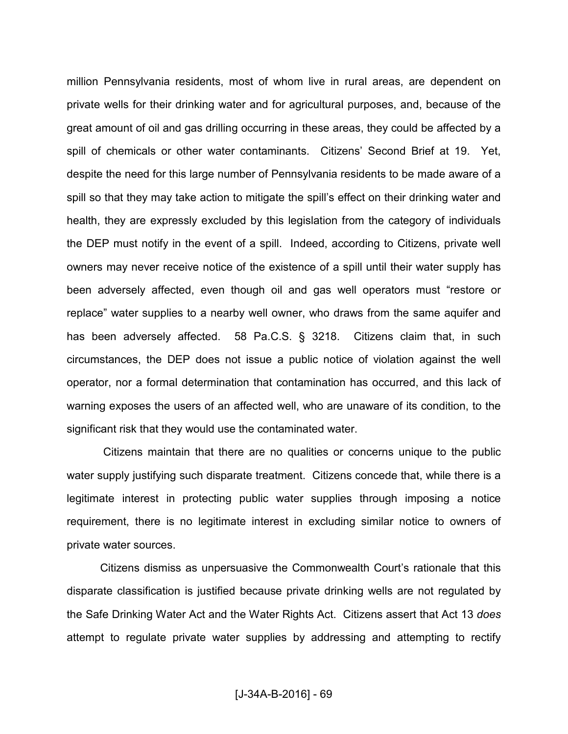million Pennsylvania residents, most of whom live in rural areas, are dependent on private wells for their drinking water and for agricultural purposes, and, because of the great amount of oil and gas drilling occurring in these areas, they could be affected by a spill of chemicals or other water contaminants. Citizens' Second Brief at 19. Yet, despite the need for this large number of Pennsylvania residents to be made aware of a spill so that they may take action to mitigate the spill's effect on their drinking water and health, they are expressly excluded by this legislation from the category of individuals the DEP must notify in the event of a spill. Indeed, according to Citizens, private well owners may never receive notice of the existence of a spill until their water supply has been adversely affected, even though oil and gas well operators must "restore or replace" water supplies to a nearby well owner, who draws from the same aquifer and has been adversely affected. 58 Pa.C.S. § 3218. Citizens claim that, in such circumstances, the DEP does not issue a public notice of violation against the well operator, nor a formal determination that contamination has occurred, and this lack of warning exposes the users of an affected well, who are unaware of its condition, to the significant risk that they would use the contaminated water.

 Citizens maintain that there are no qualities or concerns unique to the public water supply justifying such disparate treatment. Citizens concede that, while there is a legitimate interest in protecting public water supplies through imposing a notice requirement, there is no legitimate interest in excluding similar notice to owners of private water sources.

 Citizens dismiss as unpersuasive the Commonwealth Court's rationale that this disparate classification is justified because private drinking wells are not regulated by the Safe Drinking Water Act and the Water Rights Act. Citizens assert that Act 13 *does*  attempt to regulate private water supplies by addressing and attempting to rectify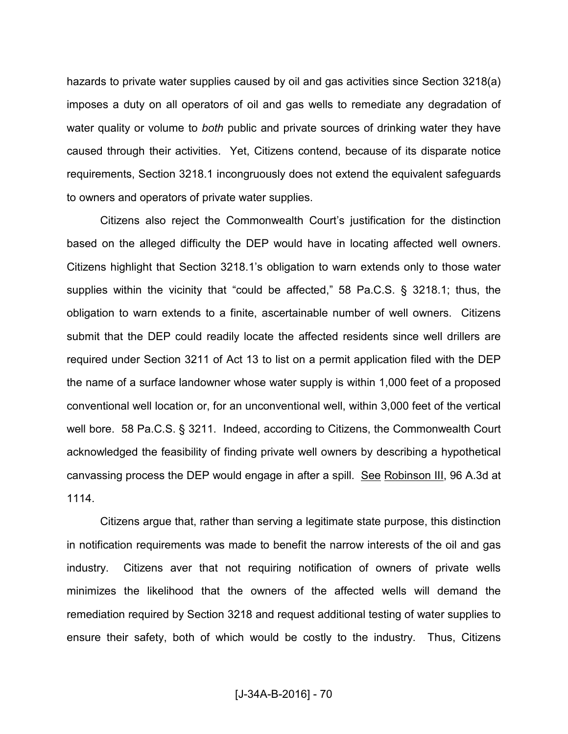hazards to private water supplies caused by oil and gas activities since Section 3218(a) imposes a duty on all operators of oil and gas wells to remediate any degradation of water quality or volume to *both* public and private sources of drinking water they have caused through their activities. Yet, Citizens contend, because of its disparate notice requirements, Section 3218.1 incongruously does not extend the equivalent safeguards to owners and operators of private water supplies.

 Citizens also reject the Commonwealth Court's justification for the distinction based on the alleged difficulty the DEP would have in locating affected well owners. Citizens highlight that Section 3218.1's obligation to warn extends only to those water supplies within the vicinity that "could be affected," 58 Pa.C.S. § 3218.1; thus, the obligation to warn extends to a finite, ascertainable number of well owners. Citizens submit that the DEP could readily locate the affected residents since well drillers are required under Section 3211 of Act 13 to list on a permit application filed with the DEP the name of a surface landowner whose water supply is within 1,000 feet of a proposed conventional well location or, for an unconventional well, within 3,000 feet of the vertical well bore. 58 Pa.C.S. § 3211. Indeed, according to Citizens, the Commonwealth Court acknowledged the feasibility of finding private well owners by describing a hypothetical canvassing process the DEP would engage in after a spill. See Robinson III, 96 A.3d at 1114.

 Citizens argue that, rather than serving a legitimate state purpose, this distinction in notification requirements was made to benefit the narrow interests of the oil and gas industry. Citizens aver that not requiring notification of owners of private wells minimizes the likelihood that the owners of the affected wells will demand the remediation required by Section 3218 and request additional testing of water supplies to ensure their safety, both of which would be costly to the industry. Thus, Citizens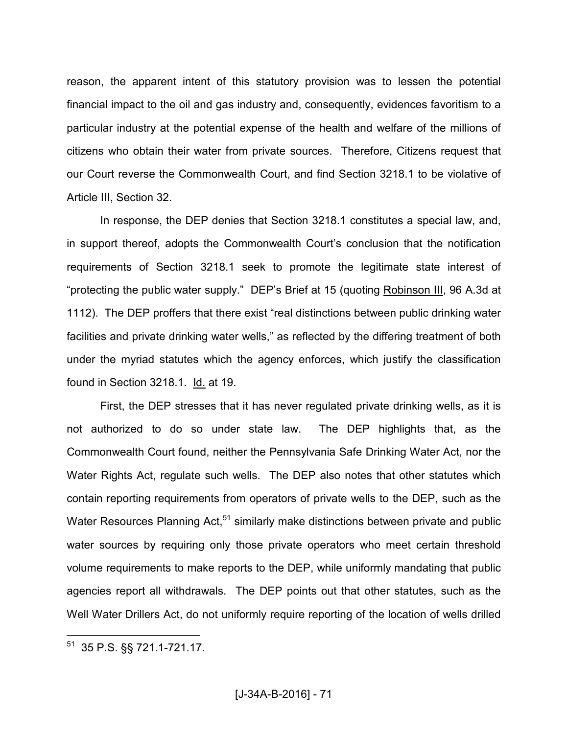reason, the apparent intent of this statutory provision was to lessen the potential financial impact to the oil and gas industry and, consequently, evidences favoritism to a particular industry at the potential expense of the health and welfare of the millions of citizens who obtain their water from private sources. Therefore, Citizens request that our Court reverse the Commonwealth Court, and find Section 3218.1 to be violative of Article III, Section 32.

 In response, the DEP denies that Section 3218.1 constitutes a special law, and, in support thereof, adopts the Commonwealth Court's conclusion that the notification requirements of Section 3218.1 seek to promote the legitimate state interest of "protecting the public water supply." DEP's Brief at 15 (quoting Robinson III, 96 A.3d at 1112). The DEP proffers that there exist "real distinctions between public drinking water facilities and private drinking water wells," as reflected by the differing treatment of both under the myriad statutes which the agency enforces, which justify the classification found in Section 3218.1. Id. at 19.

 First, the DEP stresses that it has never regulated private drinking wells, as it is not authorized to do so under state law. The DEP highlights that, as the Commonwealth Court found, neither the Pennsylvania Safe Drinking Water Act, nor the Water Rights Act, regulate such wells. The DEP also notes that other statutes which contain reporting requirements from operators of private wells to the DEP, such as the Water Resources Planning  $Act<sub>0</sub><sup>51</sup>$  similarly make distinctions between private and public water sources by requiring only those private operators who meet certain threshold volume requirements to make reports to the DEP, while uniformly mandating that public agencies report all withdrawals. The DEP points out that other statutes, such as the Well Water Drillers Act, do not uniformly require reporting of the location of wells drilled

<sup>51</sup> 35 P.S. §§ 721.1-721.17.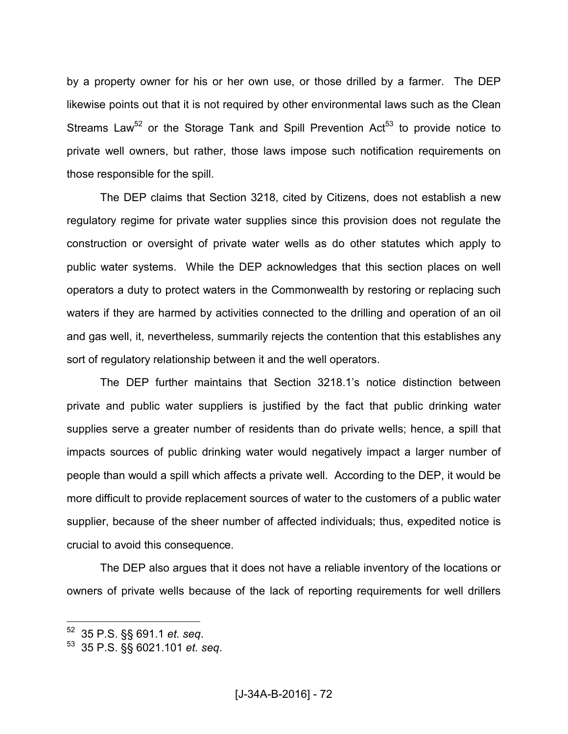by a property owner for his or her own use, or those drilled by a farmer. The DEP likewise points out that it is not required by other environmental laws such as the Clean Streams Law<sup>52</sup> or the Storage Tank and Spill Prevention Act<sup>53</sup> to provide notice to private well owners, but rather, those laws impose such notification requirements on those responsible for the spill.

 The DEP claims that Section 3218, cited by Citizens, does not establish a new regulatory regime for private water supplies since this provision does not regulate the construction or oversight of private water wells as do other statutes which apply to public water systems. While the DEP acknowledges that this section places on well operators a duty to protect waters in the Commonwealth by restoring or replacing such waters if they are harmed by activities connected to the drilling and operation of an oil and gas well, it, nevertheless, summarily rejects the contention that this establishes any sort of regulatory relationship between it and the well operators.

 The DEP further maintains that Section 3218.1's notice distinction between private and public water suppliers is justified by the fact that public drinking water supplies serve a greater number of residents than do private wells; hence, a spill that impacts sources of public drinking water would negatively impact a larger number of people than would a spill which affects a private well. According to the DEP, it would be more difficult to provide replacement sources of water to the customers of a public water supplier, because of the sheer number of affected individuals; thus, expedited notice is crucial to avoid this consequence.

 The DEP also argues that it does not have a reliable inventory of the locations or owners of private wells because of the lack of reporting requirements for well drillers

<sup>52</sup> 35 P.S. §§ 691.1 *et. seq*.

<sup>53</sup> 35 P.S. §§ 6021.101 *et. seq*.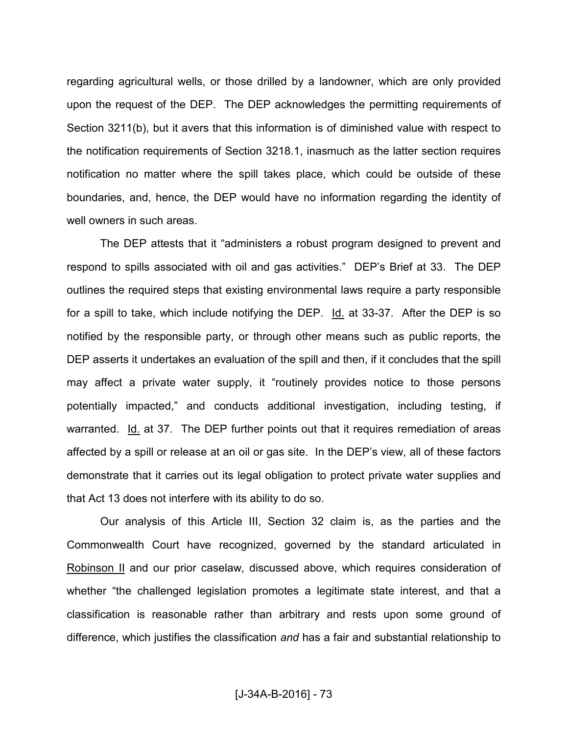regarding agricultural wells, or those drilled by a landowner, which are only provided upon the request of the DEP. The DEP acknowledges the permitting requirements of Section 3211(b), but it avers that this information is of diminished value with respect to the notification requirements of Section 3218.1, inasmuch as the latter section requires notification no matter where the spill takes place, which could be outside of these boundaries, and, hence, the DEP would have no information regarding the identity of well owners in such areas.

 The DEP attests that it "administers a robust program designed to prevent and respond to spills associated with oil and gas activities." DEP's Brief at 33. The DEP outlines the required steps that existing environmental laws require a party responsible for a spill to take, which include notifying the DEP. Id. at 33-37. After the DEP is so notified by the responsible party, or through other means such as public reports, the DEP asserts it undertakes an evaluation of the spill and then, if it concludes that the spill may affect a private water supply, it "routinely provides notice to those persons potentially impacted," and conducts additional investigation, including testing, if warranted. Id. at 37. The DEP further points out that it requires remediation of areas affected by a spill or release at an oil or gas site. In the DEP's view, all of these factors demonstrate that it carries out its legal obligation to protect private water supplies and that Act 13 does not interfere with its ability to do so.

 Our analysis of this Article III, Section 32 claim is, as the parties and the Commonwealth Court have recognized, governed by the standard articulated in Robinson II and our prior caselaw, discussed above, which requires consideration of whether "the challenged legislation promotes a legitimate state interest, and that a classification is reasonable rather than arbitrary and rests upon some ground of difference, which justifies the classification *and* has a fair and substantial relationship to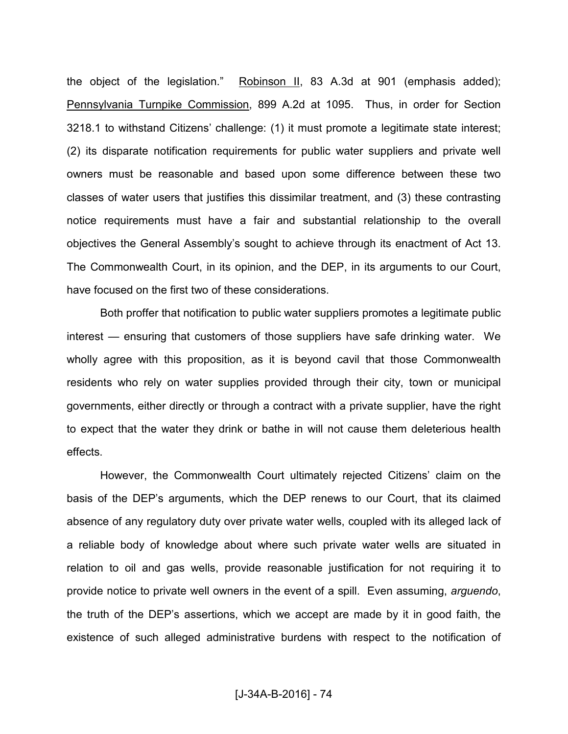the object of the legislation." Robinson II, 83 A.3d at 901 (emphasis added); Pennsylvania Turnpike Commission, 899 A.2d at 1095. Thus, in order for Section 3218.1 to withstand Citizens' challenge: (1) it must promote a legitimate state interest; (2) its disparate notification requirements for public water suppliers and private well owners must be reasonable and based upon some difference between these two classes of water users that justifies this dissimilar treatment, and (3) these contrasting notice requirements must have a fair and substantial relationship to the overall objectives the General Assembly's sought to achieve through its enactment of Act 13. The Commonwealth Court, in its opinion, and the DEP, in its arguments to our Court, have focused on the first two of these considerations.

 Both proffer that notification to public water suppliers promotes a legitimate public interest — ensuring that customers of those suppliers have safe drinking water. We wholly agree with this proposition, as it is beyond cavil that those Commonwealth residents who rely on water supplies provided through their city, town or municipal governments, either directly or through a contract with a private supplier, have the right to expect that the water they drink or bathe in will not cause them deleterious health effects.

 However, the Commonwealth Court ultimately rejected Citizens' claim on the basis of the DEP's arguments, which the DEP renews to our Court, that its claimed absence of any regulatory duty over private water wells, coupled with its alleged lack of a reliable body of knowledge about where such private water wells are situated in relation to oil and gas wells, provide reasonable justification for not requiring it to provide notice to private well owners in the event of a spill. Even assuming, *arguendo*, the truth of the DEP's assertions, which we accept are made by it in good faith, the existence of such alleged administrative burdens with respect to the notification of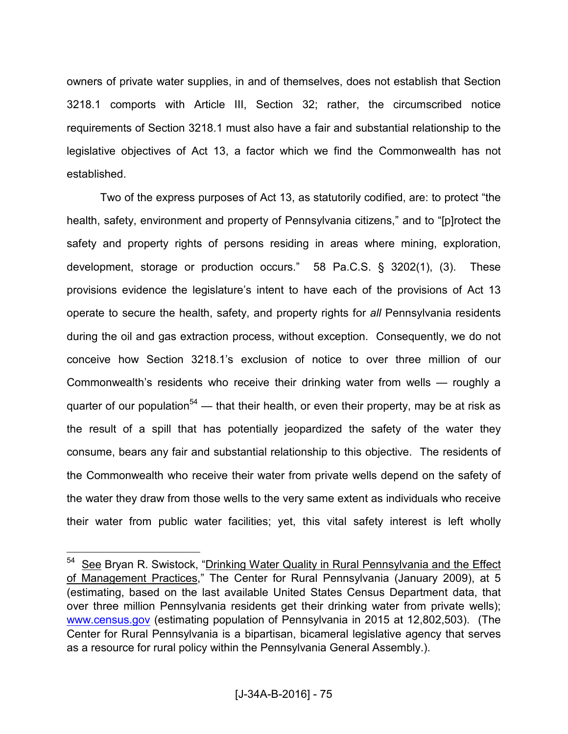owners of private water supplies, in and of themselves, does not establish that Section 3218.1 comports with Article III, Section 32; rather, the circumscribed notice requirements of Section 3218.1 must also have a fair and substantial relationship to the legislative objectives of Act 13, a factor which we find the Commonwealth has not established.

 Two of the express purposes of Act 13, as statutorily codified, are: to protect "the health, safety, environment and property of Pennsylvania citizens," and to "[p]rotect the safety and property rights of persons residing in areas where mining, exploration, development, storage or production occurs." 58 Pa.C.S. § 3202(1), (3). These provisions evidence the legislature's intent to have each of the provisions of Act 13 operate to secure the health, safety, and property rights for *all* Pennsylvania residents during the oil and gas extraction process, without exception. Consequently, we do not conceive how Section 3218.1's exclusion of notice to over three million of our Commonwealth's residents who receive their drinking water from wells — roughly a quarter of our population<sup>54</sup> — that their health, or even their property, may be at risk as the result of a spill that has potentially jeopardized the safety of the water they consume, bears any fair and substantial relationship to this objective. The residents of the Commonwealth who receive their water from private wells depend on the safety of the water they draw from those wells to the very same extent as individuals who receive their water from public water facilities; yet, this vital safety interest is left wholly

<sup>&</sup>lt;sup>54</sup> See Bryan R. Swistock, "Drinking Water Quality in Rural Pennsylvania and the Effect of Management Practices," The Center for Rural Pennsylvania (January 2009), at 5 (estimating, based on the last available United States Census Department data, that over three million Pennsylvania residents get their drinking water from private wells); [www.census.gov](http://www.census.gov/) (estimating population of Pennsylvania in 2015 at 12,802,503). (The Center for Rural Pennsylvania is a bipartisan, bicameral legislative agency that serves as a resource for rural policy within the Pennsylvania General Assembly.).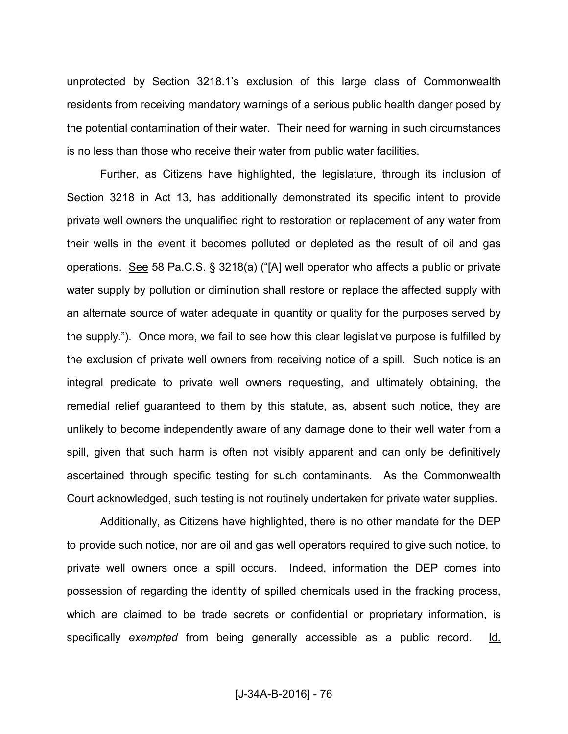unprotected by Section 3218.1's exclusion of this large class of Commonwealth residents from receiving mandatory warnings of a serious public health danger posed by the potential contamination of their water. Their need for warning in such circumstances is no less than those who receive their water from public water facilities.

 Further, as Citizens have highlighted, the legislature, through its inclusion of Section 3218 in Act 13, has additionally demonstrated its specific intent to provide private well owners the unqualified right to restoration or replacement of any water from their wells in the event it becomes polluted or depleted as the result of oil and gas operations. See 58 Pa.C.S. § 3218(a) ("[A] well operator who affects a public or private water supply by pollution or diminution shall restore or replace the affected supply with an alternate source of water adequate in quantity or quality for the purposes served by the supply."). Once more, we fail to see how this clear legislative purpose is fulfilled by the exclusion of private well owners from receiving notice of a spill. Such notice is an integral predicate to private well owners requesting, and ultimately obtaining, the remedial relief guaranteed to them by this statute, as, absent such notice, they are unlikely to become independently aware of any damage done to their well water from a spill, given that such harm is often not visibly apparent and can only be definitively ascertained through specific testing for such contaminants. As the Commonwealth Court acknowledged, such testing is not routinely undertaken for private water supplies.

 Additionally, as Citizens have highlighted, there is no other mandate for the DEP to provide such notice, nor are oil and gas well operators required to give such notice, to private well owners once a spill occurs. Indeed, information the DEP comes into possession of regarding the identity of spilled chemicals used in the fracking process, which are claimed to be trade secrets or confidential or proprietary information, is specifically *exempted* from being generally accessible as a public record. Id.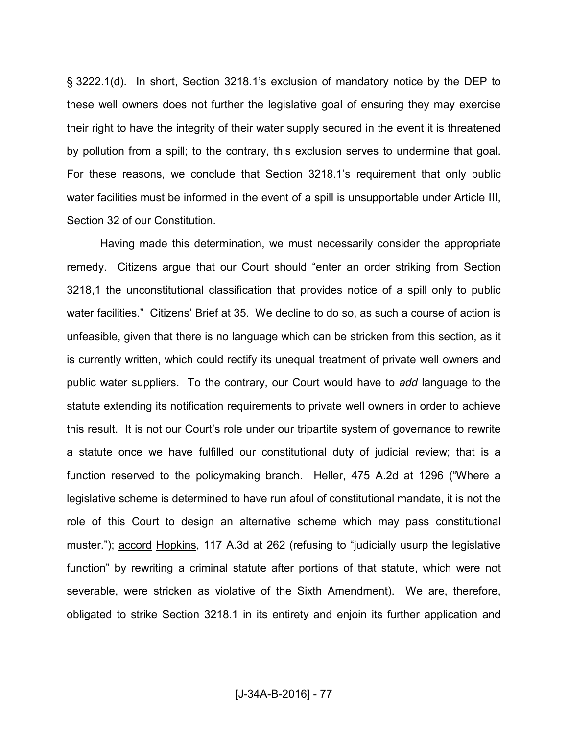§ 3222.1(d). In short, Section 3218.1's exclusion of mandatory notice by the DEP to these well owners does not further the legislative goal of ensuring they may exercise their right to have the integrity of their water supply secured in the event it is threatened by pollution from a spill; to the contrary, this exclusion serves to undermine that goal. For these reasons, we conclude that Section 3218.1's requirement that only public water facilities must be informed in the event of a spill is unsupportable under Article III, Section 32 of our Constitution.

 Having made this determination, we must necessarily consider the appropriate remedy. Citizens argue that our Court should "enter an order striking from Section 3218,1 the unconstitutional classification that provides notice of a spill only to public water facilities." Citizens' Brief at 35. We decline to do so, as such a course of action is unfeasible, given that there is no language which can be stricken from this section, as it is currently written, which could rectify its unequal treatment of private well owners and public water suppliers. To the contrary, our Court would have to *add* language to the statute extending its notification requirements to private well owners in order to achieve this result. It is not our Court's role under our tripartite system of governance to rewrite a statute once we have fulfilled our constitutional duty of judicial review; that is a function reserved to the policymaking branch. Heller, 475 A.2d at 1296 ("Where a legislative scheme is determined to have run afoul of constitutional mandate, it is not the role of this Court to design an alternative scheme which may pass constitutional muster."); accord Hopkins, 117 A.3d at 262 (refusing to "judicially usurp the legislative function" by rewriting a criminal statute after portions of that statute, which were not severable, were stricken as violative of the Sixth Amendment). We are, therefore, obligated to strike Section 3218.1 in its entirety and enjoin its further application and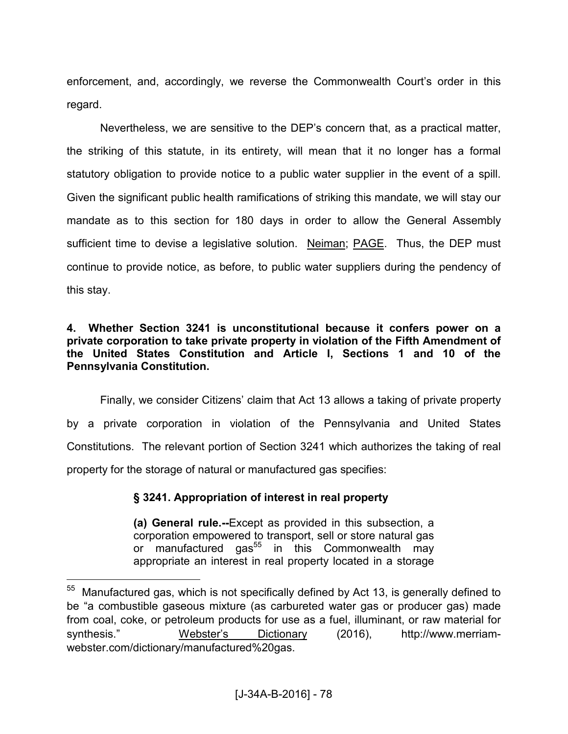enforcement, and, accordingly, we reverse the Commonwealth Court's order in this regard.

 Nevertheless, we are sensitive to the DEP's concern that, as a practical matter, the striking of this statute, in its entirety, will mean that it no longer has a formal statutory obligation to provide notice to a public water supplier in the event of a spill. Given the significant public health ramifications of striking this mandate, we will stay our mandate as to this section for 180 days in order to allow the General Assembly sufficient time to devise a legislative solution. Neiman; PAGE. Thus, the DEP must continue to provide notice, as before, to public water suppliers during the pendency of this stay.

## **4. Whether Section 3241 is unconstitutional because it confers power on a private corporation to take private property in violation of the Fifth Amendment of the United States Constitution and Article I, Sections 1 and 10 of the Pennsylvania Constitution.**

Finally, we consider Citizens' claim that Act 13 allows a taking of private property by a private corporation in violation of the Pennsylvania and United States Constitutions. The relevant portion of Section 3241 which authorizes the taking of real property for the storage of natural or manufactured gas specifies:

## **§ 3241. Appropriation of interest in real property**

 $\overline{a}$ 

**(a) General rule.--**Except as provided in this subsection, a corporation empowered to transport, sell or store natural gas or manufactured gas<sup>55</sup> in this Commonwealth may appropriate an interest in real property located in a storage

 $55$  Manufactured gas, which is not specifically defined by Act 13, is generally defined to be "a combustible gaseous mixture (as carbureted water gas or producer gas) made from coal, coke, or petroleum products for use as a fuel, illuminant, or raw material for synthesis." Webster's Dictionary (2016), http://www.merriamwebster.com/dictionary/manufactured%20gas.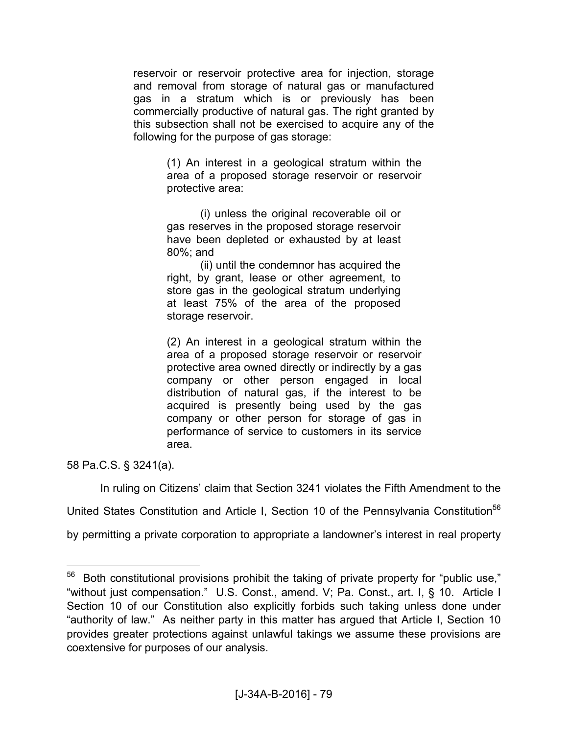reservoir or reservoir protective area for injection, storage and removal from storage of natural gas or manufactured gas in a stratum which is or previously has been commercially productive of natural gas. The right granted by this subsection shall not be exercised to acquire any of the following for the purpose of gas storage:

> (1) An interest in a geological stratum within the area of a proposed storage reservoir or reservoir protective area:

 (i) unless the original recoverable oil or gas reserves in the proposed storage reservoir have been depleted or exhausted by at least 80%; and

 (ii) until the condemnor has acquired the right, by grant, lease or other agreement, to store gas in the geological stratum underlying at least 75% of the area of the proposed storage reservoir.

(2) An interest in a geological stratum within the area of a proposed storage reservoir or reservoir protective area owned directly or indirectly by a gas company or other person engaged in local distribution of natural gas, if the interest to be acquired is presently being used by the gas company or other person for storage of gas in performance of service to customers in its service area.

58 Pa.C.S. § 3241(a).

 $\overline{a}$ 

In ruling on Citizens' claim that Section 3241 violates the Fifth Amendment to the

United States Constitution and Article I, Section 10 of the Pennsylvania Constitution<sup>56</sup>

by permitting a private corporation to appropriate a landowner's interest in real property

 $56$  Both constitutional provisions prohibit the taking of private property for "public use," "without just compensation." U.S. Const., amend. V; Pa. Const., art. I, § 10. Article I Section 10 of our Constitution also explicitly forbids such taking unless done under "authority of law." As neither party in this matter has argued that Article I, Section 10 provides greater protections against unlawful takings we assume these provisions are coextensive for purposes of our analysis.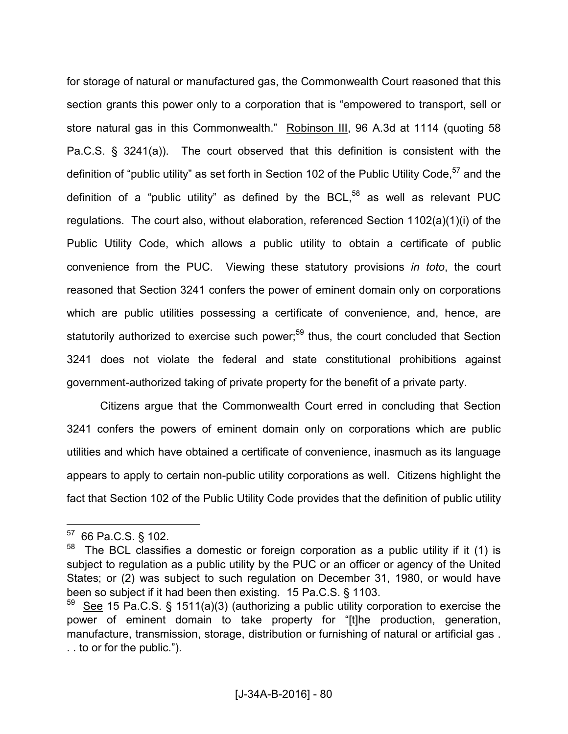for storage of natural or manufactured gas, the Commonwealth Court reasoned that this section grants this power only to a corporation that is "empowered to transport, sell or store natural gas in this Commonwealth." Robinson III, 96 A.3d at 1114 (quoting 58 Pa.C.S. § 3241(a)). The court observed that this definition is consistent with the definition of "public utility" as set forth in Section 102 of the Public Utility Code,<sup>57</sup> and the definition of a "public utility" as defined by the  $BCL$ ,<sup>58</sup> as well as relevant PUC regulations. The court also, without elaboration, referenced Section 1102(a)(1)(i) of the Public Utility Code, which allows a public utility to obtain a certificate of public convenience from the PUC. Viewing these statutory provisions *in toto*, the court reasoned that Section 3241 confers the power of eminent domain only on corporations which are public utilities possessing a certificate of convenience, and, hence, are statutorily authorized to exercise such power;<sup>59</sup> thus, the court concluded that Section 3241 does not violate the federal and state constitutional prohibitions against government-authorized taking of private property for the benefit of a private party.

Citizens argue that the Commonwealth Court erred in concluding that Section 3241 confers the powers of eminent domain only on corporations which are public utilities and which have obtained a certificate of convenience, inasmuch as its language appears to apply to certain non-public utility corporations as well. Citizens highlight the fact that Section 102 of the Public Utility Code provides that the definition of public utility

<sup>57</sup> 66 Pa.C.S. § 102.

 $58$  The BCL classifies a domestic or foreign corporation as a public utility if it (1) is subject to regulation as a public utility by the PUC or an officer or agency of the United States; or (2) was subject to such regulation on December 31, 1980, or would have been so subject if it had been then existing. 15 Pa.C.S. § 1103.

See 15 Pa.C.S. § 1511(a)(3) (authorizing a public utility corporation to exercise the power of eminent domain to take property for "[t]he production, generation, manufacture, transmission, storage, distribution or furnishing of natural or artificial gas . . . to or for the public.").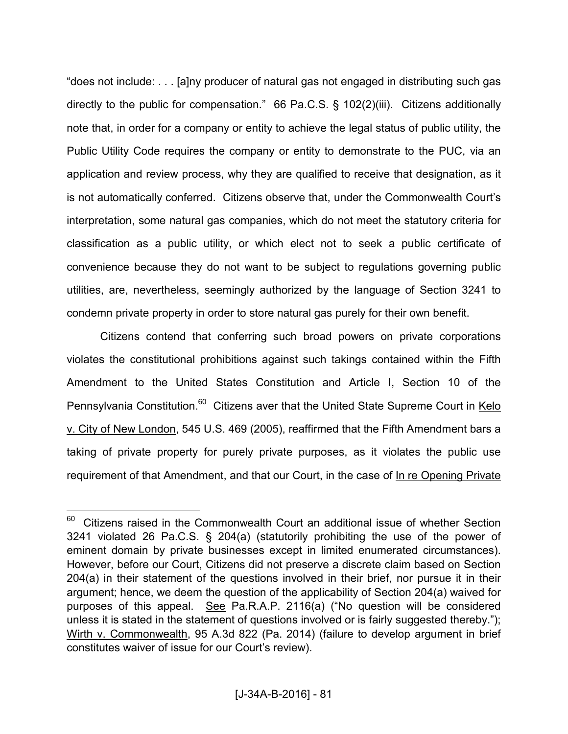"does not include: . . . [a]ny producer of natural gas not engaged in distributing such gas directly to the public for compensation." 66 Pa.C.S. § 102(2)(iii). Citizens additionally note that, in order for a company or entity to achieve the legal status of public utility, the Public Utility Code requires the company or entity to demonstrate to the PUC, via an application and review process, why they are qualified to receive that designation, as it is not automatically conferred. Citizens observe that, under the Commonwealth Court's interpretation, some natural gas companies, which do not meet the statutory criteria for classification as a public utility, or which elect not to seek a public certificate of convenience because they do not want to be subject to regulations governing public utilities, are, nevertheless, seemingly authorized by the language of Section 3241 to condemn private property in order to store natural gas purely for their own benefit.

 Citizens contend that conferring such broad powers on private corporations violates the constitutional prohibitions against such takings contained within the Fifth Amendment to the United States Constitution and Article I, Section 10 of the Pennsylvania Constitution.<sup>60</sup> Citizens aver that the United State Supreme Court in Kelo v. City of New London, 545 U.S. 469 (2005), reaffirmed that the Fifth Amendment bars a taking of private property for purely private purposes, as it violates the public use requirement of that Amendment, and that our Court, in the case of In re Opening Private

 $60$  Citizens raised in the Commonwealth Court an additional issue of whether Section 3241 violated 26 Pa.C.S. § 204(a) (statutorily prohibiting the use of the power of eminent domain by private businesses except in limited enumerated circumstances). However, before our Court, Citizens did not preserve a discrete claim based on Section 204(a) in their statement of the questions involved in their brief, nor pursue it in their argument; hence, we deem the question of the applicability of Section 204(a) waived for purposes of this appeal. See Pa.R.A.P. 2116(a) ("No question will be considered unless it is stated in the statement of questions involved or is fairly suggested thereby."); Wirth v. Commonwealth, 95 A.3d 822 (Pa. 2014) (failure to develop argument in brief constitutes waiver of issue for our Court's review).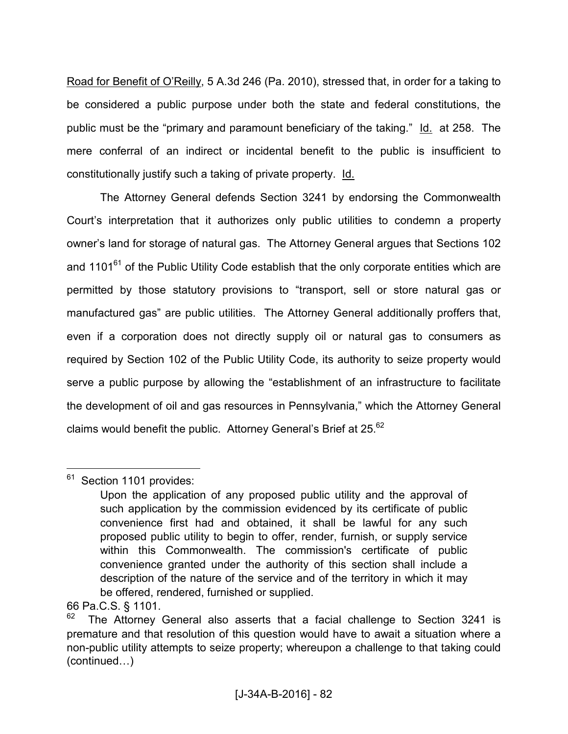Road for Benefit of O'Reilly, 5 A.3d 246 (Pa. 2010), stressed that, in order for a taking to be considered a public purpose under both the state and federal constitutions, the public must be the "primary and paramount beneficiary of the taking." Id. at 258. The mere conferral of an indirect or incidental benefit to the public is insufficient to constitutionally justify such a taking of private property. Id.

 The Attorney General defends Section 3241 by endorsing the Commonwealth Court's interpretation that it authorizes only public utilities to condemn a property owner's land for storage of natural gas. The Attorney General argues that Sections 102 and  $1101^{61}$  of the Public Utility Code establish that the only corporate entities which are permitted by those statutory provisions to "transport, sell or store natural gas or manufactured gas" are public utilities. The Attorney General additionally proffers that, even if a corporation does not directly supply oil or natural gas to consumers as required by Section 102 of the Public Utility Code, its authority to seize property would serve a public purpose by allowing the "establishment of an infrastructure to facilitate the development of oil and gas resources in Pennsylvania," which the Attorney General claims would benefit the public. Attorney General's Brief at 25. $62$ 

<sup>&</sup>lt;sup>61</sup> Section 1101 provides:

Upon the application of any proposed public utility and the approval of such application by the commission evidenced by its certificate of public convenience first had and obtained, it shall be lawful for any such proposed public utility to begin to offer, render, furnish, or supply service within this Commonwealth. The commission's certificate of public convenience granted under the authority of this section shall include a description of the nature of the service and of the territory in which it may be offered, rendered, furnished or supplied.

<sup>66</sup> Pa.C.S. § 1101.

The Attorney General also asserts that a facial challenge to Section 3241 is premature and that resolution of this question would have to await a situation where a non-public utility attempts to seize property; whereupon a challenge to that taking could  $(continued...)$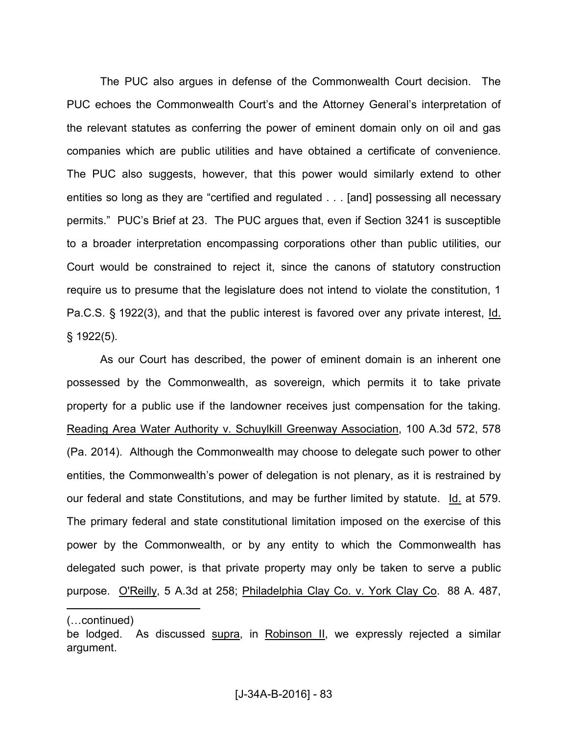The PUC also argues in defense of the Commonwealth Court decision. The PUC echoes the Commonwealth Court's and the Attorney General's interpretation of the relevant statutes as conferring the power of eminent domain only on oil and gas companies which are public utilities and have obtained a certificate of convenience. The PUC also suggests, however, that this power would similarly extend to other entities so long as they are "certified and regulated . . . [and] possessing all necessary permits." PUC's Brief at 23. The PUC argues that, even if Section 3241 is susceptible to a broader interpretation encompassing corporations other than public utilities, our Court would be constrained to reject it, since the canons of statutory construction require us to presume that the legislature does not intend to violate the constitution, 1 Pa.C.S. § 1922(3), and that the public interest is favored over any private interest, Id. § 1922(5).

 As our Court has described, the power of eminent domain is an inherent one possessed by the Commonwealth, as sovereign, which permits it to take private property for a public use if the landowner receives just compensation for the taking. Reading Area Water Authority v. Schuylkill Greenway Association, 100 A.3d 572, 578 (Pa. 2014). Although the Commonwealth may choose to delegate such power to other entities, the Commonwealth's power of delegation is not plenary, as it is restrained by our federal and state Constitutions, and may be further limited by statute. Id. at 579. The primary federal and state constitutional limitation imposed on the exercise of this power by the Commonwealth, or by any entity to which the Commonwealth has delegated such power, is that private property may only be taken to serve a public purpose. O'Reilly, 5 A.3d at 258; Philadelphia Clay Co. v. York Clay Co. 88 A. 487,

<sup>(...</sup>continued)

be lodged. As discussed supra, in Robinson II, we expressly rejected a similar argument.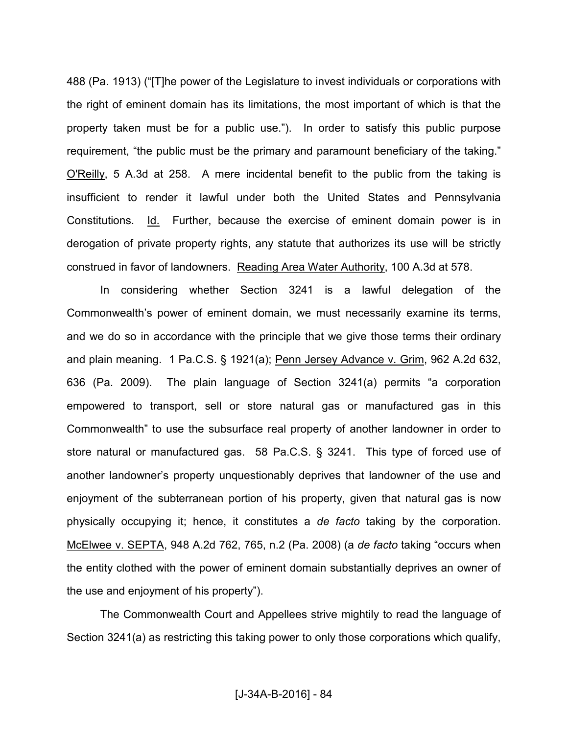488 (Pa. 1913) ("[T]he power of the Legislature to invest individuals or corporations with the right of eminent domain has its limitations, the most important of which is that the property taken must be for a public use."). In order to satisfy this public purpose requirement, "the public must be the primary and paramount beneficiary of the taking." O'Reilly, 5 A.3d at 258. A mere incidental benefit to the public from the taking is insufficient to render it lawful under both the United States and Pennsylvania Constitutions. Id. Further, because the exercise of eminent domain power is in derogation of private property rights, any statute that authorizes its use will be strictly construed in favor of landowners. Reading Area Water Authority, 100 A.3d at 578.

 In considering whether Section 3241 is a lawful delegation of the Commonwealth's power of eminent domain, we must necessarily examine its terms, and we do so in accordance with the principle that we give those terms their ordinary and plain meaning. 1 Pa.C.S. § 1921(a); Penn Jersey Advance v. Grim, 962 A.2d 632, 636 (Pa. 2009). The plain language of Section 3241(a) permits "a corporation empowered to transport, sell or store natural gas or manufactured gas in this Commonwealth" to use the subsurface real property of another landowner in order to store natural or manufactured gas. 58 Pa.C.S. § 3241. This type of forced use of another landowner's property unquestionably deprives that landowner of the use and enjoyment of the subterranean portion of his property, given that natural gas is now physically occupying it; hence, it constitutes a *de facto* taking by the corporation. McElwee v. SEPTA, 948 A.2d 762, 765, n.2 (Pa. 2008) (a *de facto* taking "occurs when the entity clothed with the power of eminent domain substantially deprives an owner of the use and enjoyment of his property").

 The Commonwealth Court and Appellees strive mightily to read the language of Section 3241(a) as restricting this taking power to only those corporations which qualify,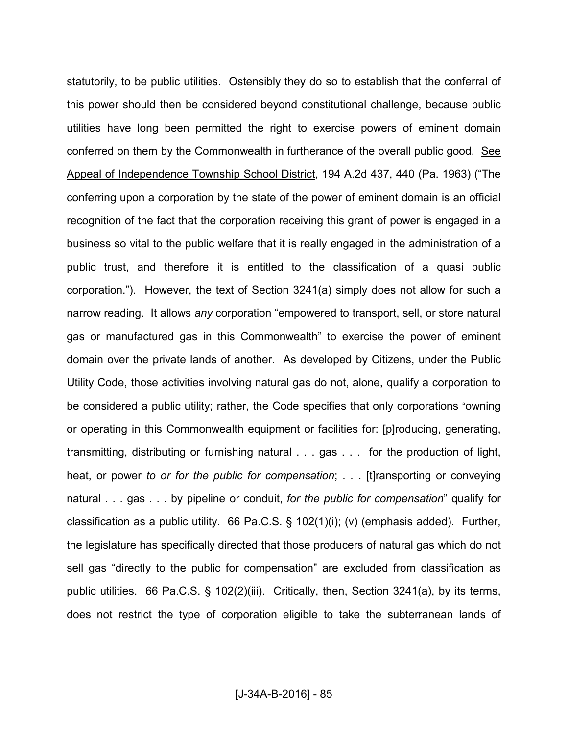statutorily, to be public utilities. Ostensibly they do so to establish that the conferral of this power should then be considered beyond constitutional challenge, because public utilities have long been permitted the right to exercise powers of eminent domain conferred on them by the Commonwealth in furtherance of the overall public good. See Appeal of Independence Township School District, 194 A.2d 437, 440 (Pa. 1963) ("The conferring upon a corporation by the state of the power of eminent domain is an official recognition of the fact that the corporation receiving this grant of power is engaged in a business so vital to the public welfare that it is really engaged in the administration of a public trust, and therefore it is entitled to the classification of a quasi public corporation."). However, the text of Section 3241(a) simply does not allow for such a narrow reading. It allows *any* corporation "empowered to transport, sell, or store natural gas or manufactured gas in this Commonwealth" to exercise the power of eminent domain over the private lands of another. As developed by Citizens, under the Public Utility Code, those activities involving natural gas do not, alone, qualify a corporation to be considered a public utility; rather, the Code specifies that only corporations "owning or operating in this Commonwealth equipment or facilities for: [p]roducing, generating, transmitting, distributing or furnishing natural . . . gas . . . for the production of light, heat, or power *to or for the public for compensation*; . . . [t]ransporting or conveying natural . . . gas . . . by pipeline or conduit, *for the public for compensation*" qualify for classification as a public utility. 66 Pa.C.S. § 102(1)(i); (v) (emphasis added). Further, the legislature has specifically directed that those producers of natural gas which do not sell gas "directly to the public for compensation" are excluded from classification as public utilities. 66 Pa.C.S. § 102(2)(iii). Critically, then, Section 3241(a), by its terms, does not restrict the type of corporation eligible to take the subterranean lands of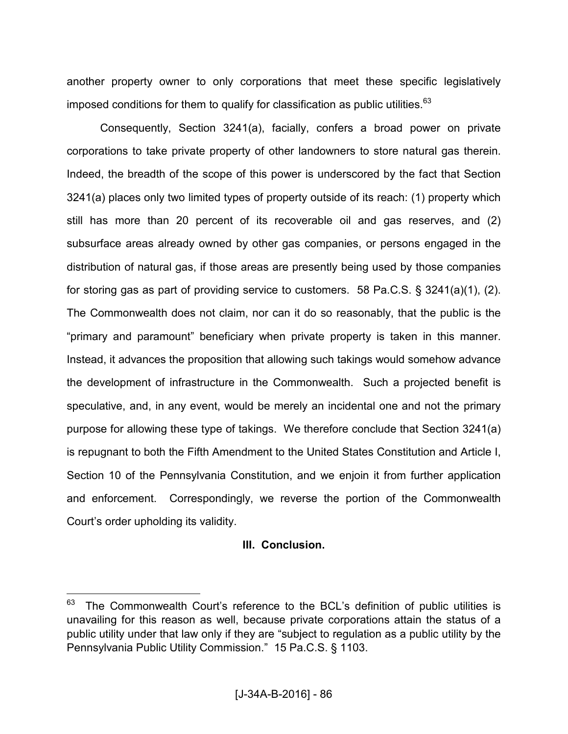another property owner to only corporations that meet these specific legislatively imposed conditions for them to qualify for classification as public utilities. $^{63}$ 

 Consequently, Section 3241(a), facially, confers a broad power on private corporations to take private property of other landowners to store natural gas therein. Indeed, the breadth of the scope of this power is underscored by the fact that Section 3241(a) places only two limited types of property outside of its reach: (1) property which still has more than 20 percent of its recoverable oil and gas reserves, and (2) subsurface areas already owned by other gas companies, or persons engaged in the distribution of natural gas, if those areas are presently being used by those companies for storing gas as part of providing service to customers. 58 Pa.C.S. § 3241(a)(1), (2). The Commonwealth does not claim, nor can it do so reasonably, that the public is the "primary and paramount" beneficiary when private property is taken in this manner. Instead, it advances the proposition that allowing such takings would somehow advance the development of infrastructure in the Commonwealth. Such a projected benefit is speculative, and, in any event, would be merely an incidental one and not the primary purpose for allowing these type of takings. We therefore conclude that Section 3241(a) is repugnant to both the Fifth Amendment to the United States Constitution and Article I, Section 10 of the Pennsylvania Constitution, and we enjoin it from further application and enforcement. Correspondingly, we reverse the portion of the Commonwealth Court's order upholding its validity.

## **III. Conclusion.**

The Commonwealth Court's reference to the BCL's definition of public utilities is unavailing for this reason as well, because private corporations attain the status of a public utility under that law only if they are "subject to regulation as a public utility by the Pennsylvania Public Utility Commission." 15 Pa.C.S. § 1103.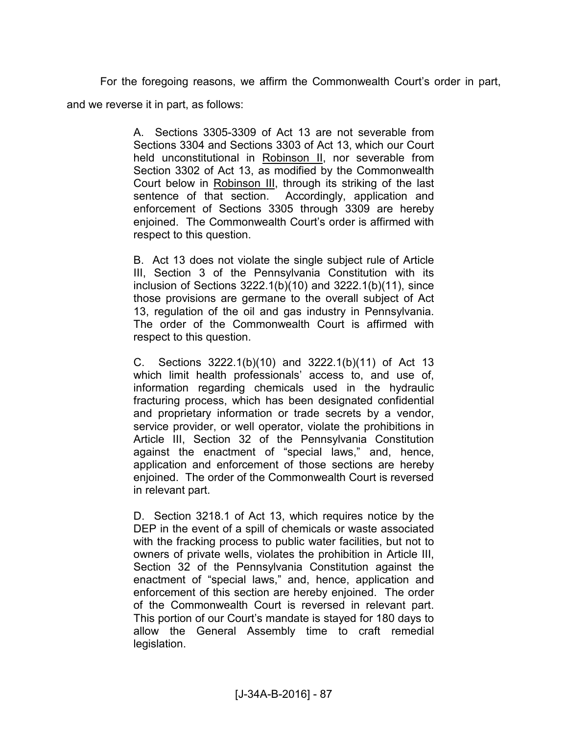For the foregoing reasons, we affirm the Commonwealth Court's order in part, and we reverse it in part, as follows:

> A. Sections 3305-3309 of Act 13 are not severable from Sections 3304 and Sections 3303 of Act 13, which our Court held unconstitutional in Robinson II, nor severable from Section 3302 of Act 13, as modified by the Commonwealth Court below in Robinson III, through its striking of the last sentence of that section. Accordingly, application and enforcement of Sections 3305 through 3309 are hereby enjoined. The Commonwealth Court's order is affirmed with respect to this question.

> B. Act 13 does not violate the single subject rule of Article III, Section 3 of the Pennsylvania Constitution with its inclusion of Sections 3222.1(b)(10) and 3222.1(b)(11), since those provisions are germane to the overall subject of Act 13, regulation of the oil and gas industry in Pennsylvania. The order of the Commonwealth Court is affirmed with respect to this question.

> C. Sections 3222.1(b)(10) and 3222.1(b)(11) of Act 13 which limit health professionals' access to, and use of, information regarding chemicals used in the hydraulic fracturing process, which has been designated confidential and proprietary information or trade secrets by a vendor, service provider, or well operator, violate the prohibitions in Article III, Section 32 of the Pennsylvania Constitution against the enactment of "special laws," and, hence, application and enforcement of those sections are hereby enjoined. The order of the Commonwealth Court is reversed in relevant part.

> D. Section 3218.1 of Act 13, which requires notice by the DEP in the event of a spill of chemicals or waste associated with the fracking process to public water facilities, but not to owners of private wells, violates the prohibition in Article III, Section 32 of the Pennsylvania Constitution against the enactment of "special laws," and, hence, application and enforcement of this section are hereby enjoined. The order of the Commonwealth Court is reversed in relevant part. This portion of our Court's mandate is stayed for 180 days to allow the General Assembly time to craft remedial legislation.